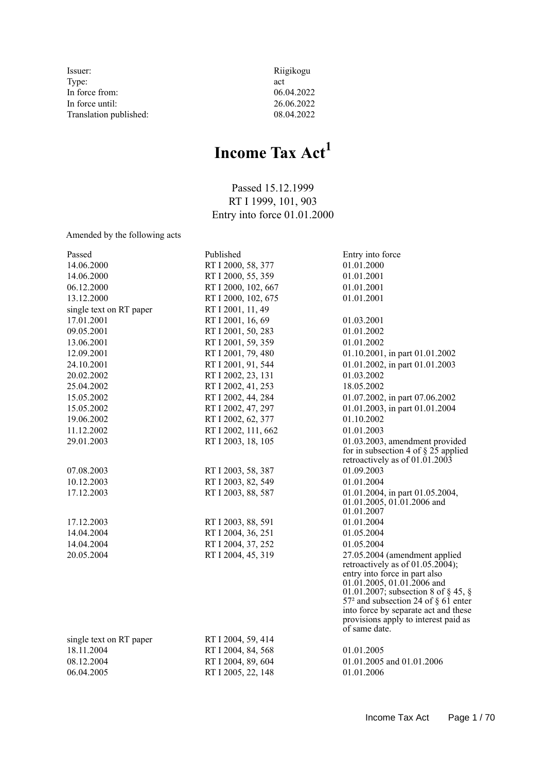- Issuer: Riigikogu Type: act<br>In force from: 06.04.2022 In force from: 06.04.2022<br>In force until: 26.06.2022 In force until: 26.06.2022<br>Translation published: 08.04.2022 Translation published:
	-

# **Income Tax Act<sup>1</sup>**

Passed 15.12.1999 RT I 1999, 101, 903 Entry into force 01.01.2000

Amended by the following acts

| Passed                  | Published           | Entry into force                                                                    |
|-------------------------|---------------------|-------------------------------------------------------------------------------------|
| 14.06.2000              | RT I 2000, 58, 377  | 01.01.2000                                                                          |
| 14.06.2000              | RT I 2000, 55, 359  | 01.01.2001                                                                          |
| 06.12.2000              | RT I 2000, 102, 667 | 01.01.2001                                                                          |
| 13.12.2000              | RT I 2000, 102, 675 | 01.01.2001                                                                          |
| single text on RT paper | RT I 2001, 11, 49   |                                                                                     |
| 17.01.2001              | RT I 2001, 16, 69   | 01.03.2001                                                                          |
| 09.05.2001              | RT I 2001, 50, 283  | 01.01.2002                                                                          |
| 13.06.2001              | RT I 2001, 59, 359  | 01.01.2002                                                                          |
| 12.09.2001              | RT I 2001, 79, 480  | 01.10.2001, in part 01.01.2002                                                      |
| 24.10.2001              | RT I 2001, 91, 544  | 01.01.2002, in part 01.01.2003                                                      |
| 20.02.2002              | RT I 2002, 23, 131  | 01.03.2002                                                                          |
| 25.04.2002              | RT I 2002, 41, 253  | 18.05.2002                                                                          |
| 15.05.2002              | RT I 2002, 44, 284  | 01.07.2002, in part 07.06.2002                                                      |
| 15.05.2002              | RT I 2002, 47, 297  | 01.01.2003, in part 01.01.2004                                                      |
| 19.06.2002              | RT I 2002, 62, 377  | 01.10.2002                                                                          |
| 11.12.2002              | RT I 2002, 111, 662 | 01.01.2003                                                                          |
| 29.01.2003              | RT I 2003, 18, 105  | 01.03.2003, amendment provided                                                      |
|                         |                     | for in subsection 4 of $\S$ 25 applied                                              |
|                         |                     | retroactively as of 01.01.2003                                                      |
| 07.08.2003              | RT I 2003, 58, 387  | 01.09.2003                                                                          |
| 10.12.2003              | RT I 2003, 82, 549  | 01.01.2004                                                                          |
| 17.12.2003              | RT I 2003, 88, 587  | 01.01.2004, in part 01.05.2004,                                                     |
|                         |                     | 01.01.2005, 01.01.2006 and<br>01.01.2007                                            |
|                         |                     |                                                                                     |
| 17.12.2003              | RT I 2003, 88, 591  | 01.01.2004                                                                          |
| 14.04.2004              | RT I 2004, 36, 251  | 01.05.2004                                                                          |
| 14.04.2004              | RT I 2004, 37, 252  | 01.05.2004                                                                          |
| 20.05.2004              | RT I 2004, 45, 319  | 27.05.2004 (amendment applied<br>retroactively as of $01.05.2004$ ;                 |
|                         |                     | entry into force in part also                                                       |
|                         |                     | 01.01.2005, 01.01.2006 and                                                          |
|                         |                     | 01.01.2007; subsection 8 of $\S$ 45, $\S$                                           |
|                         |                     | 57 <sup>2</sup> and subsection 24 of $\S$ 61 <sup><math>\epsilon</math></sup> enter |
|                         |                     | into force by separate act and these                                                |
|                         |                     | provisions apply to interest paid as<br>of same date.                               |
| single text on RT paper | RT I 2004, 59, 414  |                                                                                     |
| 18.11.2004              | RT I 2004, 84, 568  | 01.01.2005                                                                          |
| 08.12.2004              | RT I 2004, 89, 604  | 01.01.2005 and 01.01.2006                                                           |
|                         |                     |                                                                                     |
| 06.04.2005              | RT I 2005, 22, 148  | 01.01.2006                                                                          |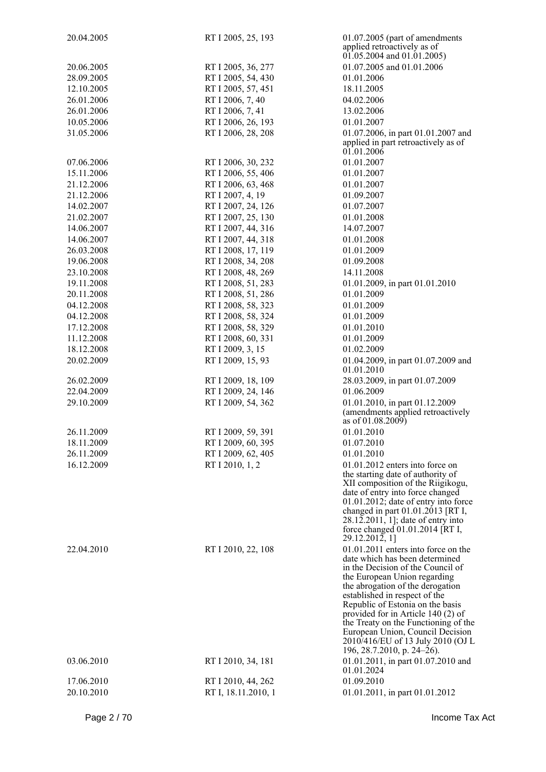| 20.04.2005 | RT I 2005, 25, 193  | 01.07.2005 (part of amendments<br>applied retroactively as of<br>$01.05.2004$ and $01.01.2005$ )                                                                                                                                                                                                                                                                |
|------------|---------------------|-----------------------------------------------------------------------------------------------------------------------------------------------------------------------------------------------------------------------------------------------------------------------------------------------------------------------------------------------------------------|
| 20.06.2005 | RT I 2005, 36, 277  | 01.07.2005 and 01.01.2006                                                                                                                                                                                                                                                                                                                                       |
| 28.09.2005 | RT I 2005, 54, 430  | 01.01.2006                                                                                                                                                                                                                                                                                                                                                      |
| 12.10.2005 | RT I 2005, 57, 451  | 18.11.2005                                                                                                                                                                                                                                                                                                                                                      |
| 26.01.2006 | RT I 2006, 7, 40    | 04.02.2006                                                                                                                                                                                                                                                                                                                                                      |
| 26.01.2006 | RT I 2006, 7, 41    | 13.02.2006                                                                                                                                                                                                                                                                                                                                                      |
| 10.05.2006 | RT I 2006, 26, 193  | 01.01.2007                                                                                                                                                                                                                                                                                                                                                      |
| 31.05.2006 | RT I 2006, 28, 208  | 01.07.2006, in part 01.01.2007 and                                                                                                                                                                                                                                                                                                                              |
|            |                     | applied in part retroactively as of<br>01.01.2006                                                                                                                                                                                                                                                                                                               |
| 07.06.2006 | RT I 2006, 30, 232  | 01.01.2007                                                                                                                                                                                                                                                                                                                                                      |
| 15.11.2006 | RT I 2006, 55, 406  | 01.01.2007                                                                                                                                                                                                                                                                                                                                                      |
| 21.12.2006 | RT I 2006, 63, 468  | 01.01.2007                                                                                                                                                                                                                                                                                                                                                      |
| 21.12.2006 | RT I 2007, 4, 19    | 01.09.2007                                                                                                                                                                                                                                                                                                                                                      |
| 14.02.2007 | RT I 2007, 24, 126  | 01.07.2007                                                                                                                                                                                                                                                                                                                                                      |
| 21.02.2007 | RT I 2007, 25, 130  | 01.01.2008                                                                                                                                                                                                                                                                                                                                                      |
| 14.06.2007 | RT I 2007, 44, 316  | 14.07.2007                                                                                                                                                                                                                                                                                                                                                      |
| 14.06.2007 | RT I 2007, 44, 318  | 01.01.2008                                                                                                                                                                                                                                                                                                                                                      |
| 26.03.2008 | RT I 2008, 17, 119  | 01.01.2009                                                                                                                                                                                                                                                                                                                                                      |
| 19.06.2008 | RT I 2008, 34, 208  | 01.09.2008                                                                                                                                                                                                                                                                                                                                                      |
| 23.10.2008 | RT I 2008, 48, 269  | 14.11.2008                                                                                                                                                                                                                                                                                                                                                      |
| 19.11.2008 | RT I 2008, 51, 283  | 01.01.2009, in part 01.01.2010                                                                                                                                                                                                                                                                                                                                  |
| 20.11.2008 | RT I 2008, 51, 286  | 01.01.2009                                                                                                                                                                                                                                                                                                                                                      |
| 04.12.2008 | RT I 2008, 58, 323  | 01.01.2009                                                                                                                                                                                                                                                                                                                                                      |
| 04.12.2008 | RT I 2008, 58, 324  | 01.01.2009                                                                                                                                                                                                                                                                                                                                                      |
| 17.12.2008 | RT I 2008, 58, 329  | 01.01.2010                                                                                                                                                                                                                                                                                                                                                      |
| 11.12.2008 | RT I 2008, 60, 331  | 01.01.2009                                                                                                                                                                                                                                                                                                                                                      |
| 18.12.2008 | RT I 2009, 3, 15    | 01.02.2009                                                                                                                                                                                                                                                                                                                                                      |
| 20.02.2009 | RT I 2009, 15, 93   | 01.04.2009, in part 01.07.2009 and                                                                                                                                                                                                                                                                                                                              |
|            |                     | 01.01.2010                                                                                                                                                                                                                                                                                                                                                      |
| 26.02.2009 | RT I 2009, 18, 109  | 28.03.2009, in part 01.07.2009                                                                                                                                                                                                                                                                                                                                  |
| 22.04.2009 | RT I 2009, 24, 146  | 01.06.2009                                                                                                                                                                                                                                                                                                                                                      |
| 29.10.2009 | RT I 2009, 54, 362  | 01.01.2010, in part 01.12.2009<br>(amendments applied retroactively<br>as of 01.08.2009)                                                                                                                                                                                                                                                                        |
| 26.11.2009 | RT I 2009, 59, 391  | 01.01.2010                                                                                                                                                                                                                                                                                                                                                      |
| 18.11.2009 | RT I 2009, 60, 395  | 01.07.2010                                                                                                                                                                                                                                                                                                                                                      |
| 26.11.2009 | RT I 2009, 62, 405  | 01.01.2010                                                                                                                                                                                                                                                                                                                                                      |
| 16.12.2009 | RT I 2010, 1, 2     | $01.01.2012$ enters into force on                                                                                                                                                                                                                                                                                                                               |
|            |                     | the starting date of authority of<br>XII composition of the Riigikogu,<br>date of entry into force changed<br>$01.01.2012$ ; date of entry into force<br>changed in part $01.01.2013$ [RT I,<br>28.12.2011, 1]; date of entry into<br>force changed 01.01.2014 [RT I,<br>29.12.2012, 1]                                                                         |
| 22.04.2010 | RT I 2010, 22, 108  | 01.01.2011 enters into force on the<br>date which has been determined                                                                                                                                                                                                                                                                                           |
|            |                     | in the Decision of the Council of<br>the European Union regarding<br>the abrogation of the derogation<br>established in respect of the<br>Republic of Estonia on the basis<br>provided for in Article 140 (2) of<br>the Treaty on the Functioning of the<br>European Union, Council Decision<br>2010/416/EU of 13 July 2010 (OJ L<br>196, 28.7.2010, p. 24–26). |
| 03.06.2010 | RT I 2010, 34, 181  | 01.01.2011, in part 01.07.2010 and<br>01.01.2024                                                                                                                                                                                                                                                                                                                |
| 17.06.2010 | RT I 2010, 44, 262  | 01.09.2010                                                                                                                                                                                                                                                                                                                                                      |
| 20.10.2010 | RT I, 18.11.2010, 1 | 01.01.2011, in part 01.01.2012                                                                                                                                                                                                                                                                                                                                  |
|            |                     |                                                                                                                                                                                                                                                                                                                                                                 |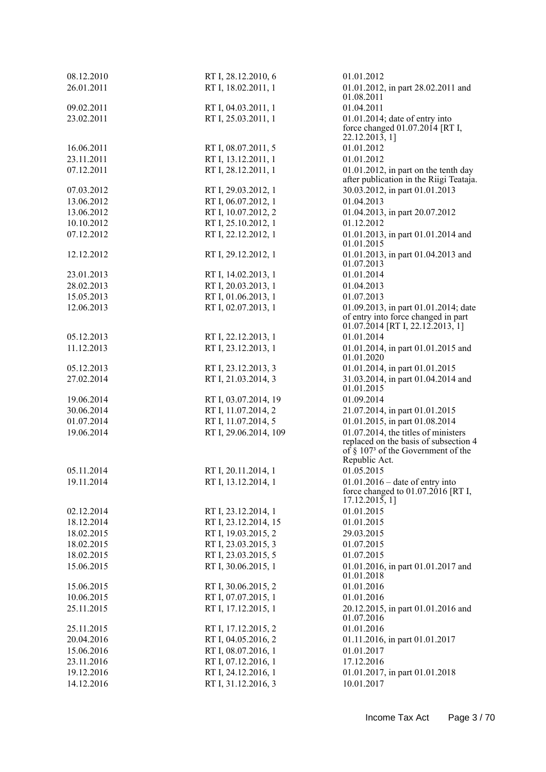| 08.12.2010               | RT I, 28.12.2010, 6   | 01.01.2012                                                                                                                                         |
|--------------------------|-----------------------|----------------------------------------------------------------------------------------------------------------------------------------------------|
| 26.01.2011               | RT I, 18.02.2011, 1   | 01.01.2012, in part 28.02.2011 and                                                                                                                 |
|                          |                       | 01.08.2011                                                                                                                                         |
| 09.02.2011<br>23.02.2011 | RT I, 04.03.2011, 1   | 01.04.2011                                                                                                                                         |
|                          | RT I, 25.03.2011, 1   | $01.01.2014$ ; date of entry into<br>force changed $01.07.2014$ [RT I,<br>22.12.2013, 1                                                            |
| 16.06.2011               | RT I, 08.07.2011, 5   | 01.01.2012                                                                                                                                         |
| 23.11.2011               | RT I, 13.12.2011, 1   | 01.01.2012                                                                                                                                         |
| 07.12.2011               | RT I, 28.12.2011, 1   | $01.01.2012$ , in part on the tenth day<br>after publication in the Riigi Teataja.                                                                 |
| 07.03.2012               | RT I, 29.03.2012, 1   | 30.03.2012, in part 01.01.2013                                                                                                                     |
| 13.06.2012               | RT I, 06.07.2012, 1   | 01.04.2013                                                                                                                                         |
| 13.06.2012               | RT I, 10.07.2012, 2   | 01.04.2013, in part 20.07.2012                                                                                                                     |
| 10.10.2012               | RT I, 25.10.2012, 1   | 01.12.2012                                                                                                                                         |
| 07.12.2012               | RT I, 22.12.2012, 1   | 01.01.2013, in part 01.01.2014 and<br>01.01.2015                                                                                                   |
| 12.12.2012               | RT I, 29.12.2012, 1   | 01.01.2013, in part 01.04.2013 and<br>01.07.2013                                                                                                   |
| 23.01.2013               | RT I, 14.02.2013, 1   | 01.01.2014                                                                                                                                         |
| 28.02.2013               | RT I, 20.03.2013, 1   | 01.04.2013                                                                                                                                         |
| 15.05.2013               | RT I, 01.06.2013, 1   | 01.07.2013                                                                                                                                         |
| 12.06.2013               | RT I, 02.07.2013, 1   | 01.09.2013, in part 01.01.2014; date<br>of entry into force changed in part<br>$01.07.2014$ [RT I, 22.12.2013, 1]                                  |
| 05.12.2013               | RT I, 22.12.2013, 1   | 01.01.2014                                                                                                                                         |
| 11.12.2013               | RT I, 23.12.2013, 1   | 01.01.2014, in part 01.01.2015 and<br>01.01.2020                                                                                                   |
| 05.12.2013               | RT I, 23.12.2013, 3   | 01.01.2014, in part 01.01.2015                                                                                                                     |
| 27.02.2014               | RT I, 21.03.2014, 3   | 31.03.2014, in part 01.04.2014 and<br>01.01.2015                                                                                                   |
| 19.06.2014               | RT I, 03.07.2014, 19  | 01.09.2014                                                                                                                                         |
| 30.06.2014               | RT I, 11.07.2014, 2   | 21.07.2014, in part 01.01.2015                                                                                                                     |
| 01.07.2014               | RT I, 11.07.2014, 5   | 01.01.2015, in part 01.08.2014                                                                                                                     |
| 19.06.2014               | RT I, 29.06.2014, 109 | 01.07.2014, the titles of ministers<br>replaced on the basis of subsection 4<br>of $\S$ 107 <sup>3</sup> of the Government of the<br>Republic Act. |
| 05.11.2014               | RT I, 20.11.2014, 1   | 01.05.2015                                                                                                                                         |
| 19.11.2014               | RT I, 13.12.2014, 1   | $01.01.2016$ – date of entry into<br>force changed to $01.07.2016$ [RT I,<br>17.12.2015, 1                                                         |
| 02.12.2014               | RT I, 23.12.2014, 1   | 01.01.2015                                                                                                                                         |
| 18.12.2014               | RT I, 23.12.2014, 15  | 01.01.2015                                                                                                                                         |
| 18.02.2015               | RT I, 19.03.2015, 2   | 29.03.2015                                                                                                                                         |
| 18.02.2015               | RT I, 23.03.2015, 3   | 01.07.2015                                                                                                                                         |
| 18.02.2015               | RT I, 23.03.2015, 5   | 01.07.2015                                                                                                                                         |
| 15.06.2015               | RT I, 30.06.2015, 1   | 01.01.2016, in part 01.01.2017 and<br>01.01.2018                                                                                                   |
| 15.06.2015               | RT I, 30.06.2015, 2   | 01.01.2016                                                                                                                                         |
| 10.06.2015               | RT I, 07.07.2015, 1   | 01.01.2016                                                                                                                                         |
| 25.11.2015               | RT I, 17.12.2015, 1   | 20.12.2015, in part 01.01.2016 and<br>01.07.2016                                                                                                   |
| 25.11.2015               | RT I, 17.12.2015, 2   | 01.01.2016                                                                                                                                         |
| 20.04.2016               | RT I, 04.05.2016, 2   | 01.11.2016, in part 01.01.2017                                                                                                                     |
| 15.06.2016               | RT I, 08.07.2016, 1   | 01.01.2017                                                                                                                                         |
| 23.11.2016               | RT I, 07.12.2016, 1   | 17.12.2016                                                                                                                                         |
| 19.12.2016               | RT I, 24.12.2016, 1   | 01.01.2017, in part 01.01.2018                                                                                                                     |
| 14.12.2016               | RT I, 31.12.2016, 3   | 10.01.2017                                                                                                                                         |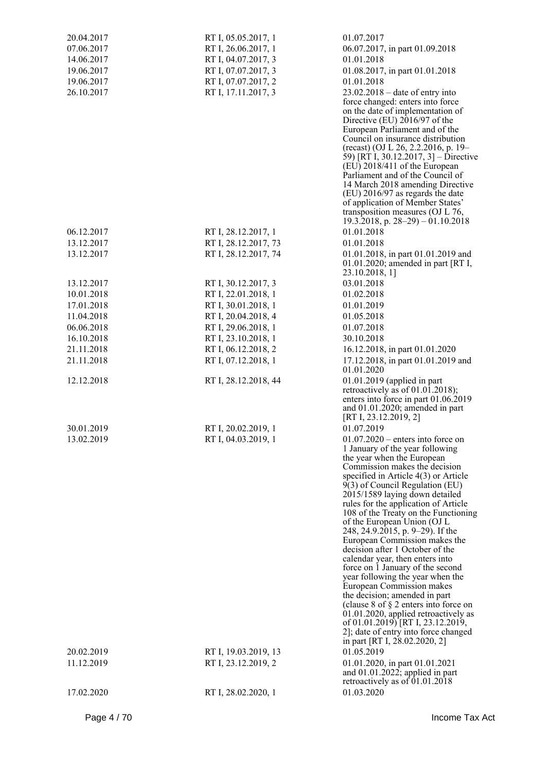| 20.04.2017<br>07.06.2017<br>14.06.2017<br>19.06.2017<br>19.06.2017<br>26.10.2017 | RT I, 05.05.2017, 1<br>RT I, 26.06.2017, 1<br>RT I, 04.07.2017, 3<br>RT I, 07.07.2017, 3<br>RT I, 07.07.2017, 2<br>RT I, 17.11.2017, 3 | 01.07.2017<br>06.07.2017, in part 01.09.2018<br>01.01.2018<br>01.08.2017, in part 01.01.2018<br>01.01.2018<br>$23.02.2018$ – date of entry into<br>force changed: enters into force<br>on the date of implementation of<br>Directive (EU) 2016/97 of the<br>European Parliament and of the<br>Council on insurance distribution<br>(recast) (OJ L 26, 2.2.2016, p. 19–<br>59) [RT I, 30.12.2017, 3] – Directive<br>(EU) 2018/411 of the European<br>Parliament and of the Council of<br>14 March 2018 amending Directive<br>$(EU)$ 2016/97 as regards the date<br>of application of Member States'<br>transposition measures (OJ L 76,<br>19.3.2018, p. $28-29$ ) – 01.10.2018                                                                                                                                                                         |
|----------------------------------------------------------------------------------|----------------------------------------------------------------------------------------------------------------------------------------|--------------------------------------------------------------------------------------------------------------------------------------------------------------------------------------------------------------------------------------------------------------------------------------------------------------------------------------------------------------------------------------------------------------------------------------------------------------------------------------------------------------------------------------------------------------------------------------------------------------------------------------------------------------------------------------------------------------------------------------------------------------------------------------------------------------------------------------------------------|
| 06.12.2017                                                                       | RT I, 28.12.2017, 1                                                                                                                    | 01.01.2018                                                                                                                                                                                                                                                                                                                                                                                                                                                                                                                                                                                                                                                                                                                                                                                                                                             |
| 13.12.2017                                                                       | RT I, 28.12.2017, 73                                                                                                                   | 01.01.2018                                                                                                                                                                                                                                                                                                                                                                                                                                                                                                                                                                                                                                                                                                                                                                                                                                             |
| 13.12.2017                                                                       | RT I, 28.12.2017, 74                                                                                                                   | 01.01.2018, in part 01.01.2019 and<br>$01.01.2020$ ; amended in part [RT I,<br>23.10.2018, 1]                                                                                                                                                                                                                                                                                                                                                                                                                                                                                                                                                                                                                                                                                                                                                          |
| 13.12.2017                                                                       | RT I, 30.12.2017, 3                                                                                                                    | 03.01.2018                                                                                                                                                                                                                                                                                                                                                                                                                                                                                                                                                                                                                                                                                                                                                                                                                                             |
| 10.01.2018                                                                       | RT I, 22.01.2018, 1                                                                                                                    | 01.02.2018                                                                                                                                                                                                                                                                                                                                                                                                                                                                                                                                                                                                                                                                                                                                                                                                                                             |
| 17.01.2018                                                                       | RT I, 30.01.2018, 1                                                                                                                    | 01.01.2019                                                                                                                                                                                                                                                                                                                                                                                                                                                                                                                                                                                                                                                                                                                                                                                                                                             |
| 11.04.2018                                                                       | RT I, 20.04.2018, 4                                                                                                                    | 01.05.2018                                                                                                                                                                                                                                                                                                                                                                                                                                                                                                                                                                                                                                                                                                                                                                                                                                             |
| 06.06.2018                                                                       | RT I, 29.06.2018, 1                                                                                                                    | 01.07.2018                                                                                                                                                                                                                                                                                                                                                                                                                                                                                                                                                                                                                                                                                                                                                                                                                                             |
| 16.10.2018                                                                       | RT I, 23.10.2018, 1                                                                                                                    | 30.10.2018                                                                                                                                                                                                                                                                                                                                                                                                                                                                                                                                                                                                                                                                                                                                                                                                                                             |
| 21.11.2018                                                                       | RT I, 06.12.2018, 2                                                                                                                    | 16.12.2018, in part 01.01.2020                                                                                                                                                                                                                                                                                                                                                                                                                                                                                                                                                                                                                                                                                                                                                                                                                         |
| 21.11.2018                                                                       | RT I, 07.12.2018, 1                                                                                                                    | 17.12.2018, in part 01.01.2019 and<br>01.01.2020                                                                                                                                                                                                                                                                                                                                                                                                                                                                                                                                                                                                                                                                                                                                                                                                       |
| 12.12.2018                                                                       | RT I, 28.12.2018, 44                                                                                                                   | 01.01.2019 (applied in part<br>retroactively as of $01.01.2018$ ;<br>enters into force in part 01.06.2019<br>and $01.01.2020$ ; amended in part<br>[RT I, 23.12.2019, 2]                                                                                                                                                                                                                                                                                                                                                                                                                                                                                                                                                                                                                                                                               |
| 30.01.2019                                                                       | RT I, 20.02.2019, 1                                                                                                                    | 01.07.2019                                                                                                                                                                                                                                                                                                                                                                                                                                                                                                                                                                                                                                                                                                                                                                                                                                             |
| 13.02.2019                                                                       | RT I, 04.03.2019, 1                                                                                                                    | $01.07.2020$ – enters into force on<br>1 January of the year following<br>the year when the European<br>Commission makes the decision<br>specified in Article $4(3)$ or Article<br>9(3) of Council Regulation (EU)<br>2015/1589 laying down detailed<br>rules for the application of Article<br>108 of the Treaty on the Functioning<br>of the European Union (OJ L<br>248, 24.9.2015, p. 9–29). If the<br>European Commission makes the<br>decision after 1 October of the<br>calendar year, then enters into<br>force on 1 January of the second<br>year following the year when the<br>European Commission makes<br>the decision; amended in part<br>(clause 8 of $\S$ 2 enters into force on<br>01.01.2020, applied retroactively as<br>of 01.01.2019) [RT I, 23.12.2019,<br>2]; date of entry into force changed<br>in part [RT I, 28.02.2020, 2] |
| 20.02.2019                                                                       | RT I, 19.03.2019, 13                                                                                                                   | 01.05.2019                                                                                                                                                                                                                                                                                                                                                                                                                                                                                                                                                                                                                                                                                                                                                                                                                                             |
| 11.12.2019                                                                       | RT I, 23.12.2019, 2                                                                                                                    | 01.01.2020, in part 01.01.2021<br>and $01.01.2022$ ; applied in part<br>retroactively as of 01.01.2018                                                                                                                                                                                                                                                                                                                                                                                                                                                                                                                                                                                                                                                                                                                                                 |
| 17.02.2020                                                                       | RT I, 28.02.2020, 1                                                                                                                    | 01.03.2020                                                                                                                                                                                                                                                                                                                                                                                                                                                                                                                                                                                                                                                                                                                                                                                                                                             |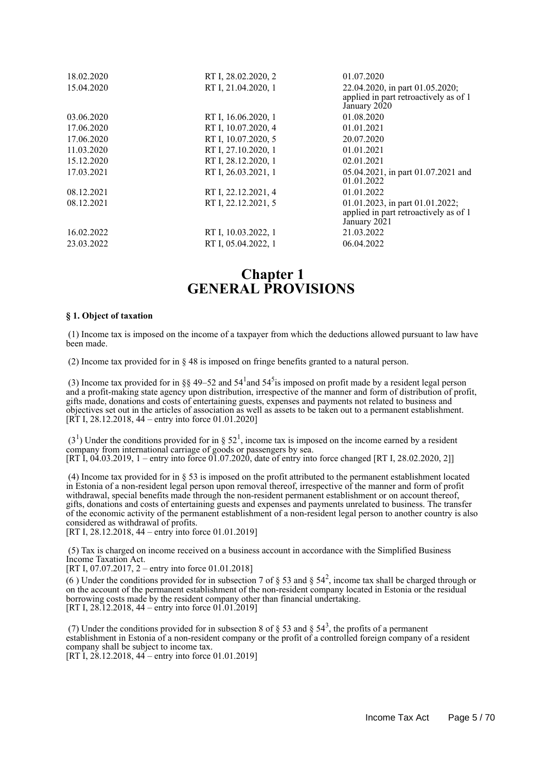| 18.02.2020<br>15.04.2020 | RT I, 28.02.2020, 2<br>RT I, 21.04.2020, 1 | 01.07.2020<br>22.04.2020, in part 01.05.2020;<br>applied in part retroactively as of 1      |
|--------------------------|--------------------------------------------|---------------------------------------------------------------------------------------------|
|                          |                                            | January 2020                                                                                |
| 03.06.2020               | RT I, 16.06.2020, 1                        | 01.08.2020                                                                                  |
| 17.06.2020               | RT I, 10.07.2020, 4                        | 01.01.2021                                                                                  |
| 17.06.2020               | RT I, 10.07.2020, 5                        | 20.07.2020                                                                                  |
| 11.03.2020               | RT I, 27.10.2020, 1                        | 01.01.2021                                                                                  |
| 15.12.2020               | RT I, 28.12.2020, 1                        | 02.01.2021                                                                                  |
| 17.03.2021               | RT I, 26.03.2021, 1                        | 05.04.2021, in part 01.07.2021 and<br>01.01.2022                                            |
| 08.12.2021               | RT I, 22.12.2021, 4                        | 01.01.2022                                                                                  |
| 08.12.2021               | RT I, 22.12.2021, 5                        | 01.01.2023, in part $01.01.2022$ ;<br>applied in part retroactively as of 1<br>January 2021 |
| 16.02.2022               | RT I, 10.03.2022, 1                        | 21.03.2022                                                                                  |
| 23.03.2022               | RT I, 05.04.2022, 1                        | 06.04.2022                                                                                  |

## **Chapter 1 GENERAL PROVISIONS**

#### **§ 1. Object of taxation**

 (1) Income tax is imposed on the income of a taxpayer from which the deductions allowed pursuant to law have been made.

(2) Income tax provided for in § 48 is imposed on fringe benefits granted to a natural person.

(3) Income tax provided for in §§ 49–52 and  $54<sup>1</sup>$  and  $54<sup>5</sup>$  is imposed on profit made by a resident legal person and a profit-making state agency upon distribution, irrespective of the manner and form of distribution of profit, gifts made, donations and costs of entertaining guests, expenses and payments not related to business and objectives set out in the articles of association as well as assets to be taken out to a permanent establishment. [RT I, 28.12.2018, 44 – entry into force 01.01.2020]

 $(3<sup>1</sup>)$  Under the conditions provided for in § 52<sup>1</sup>, income tax is imposed on the income earned by a resident company from international carriage of goods or passengers by sea. [RT I, 04.03.2019, 1 – entry into force 01.07.2020, date of entry into force changed [RT I, 28.02.2020, 2]]

 (4) Income tax provided for in § 53 is imposed on the profit attributed to the permanent establishment located in Estonia of a non-resident legal person upon removal thereof, irrespective of the manner and form of profit withdrawal, special benefits made through the non-resident permanent establishment or on account thereof, gifts, donations and costs of entertaining guests and expenses and payments unrelated to business. The transfer of the economic activity of the permanent establishment of a non-resident legal person to another country is also considered as withdrawal of profits.

[RT I, 28.12.2018, 44 – entry into force 01.01.2019]

 (5) Tax is charged on income received on a business account in accordance with the Simplified Business Income Taxation Act.

[RT I, 07.07.2017, 2 – entry into force 01.01.2018]

(6) Under the conditions provided for in subsection 7 of  $\S$  53 and  $\S$  54<sup>2</sup>, income tax shall be charged through or on the account of the permanent establishment of the non-resident company located in Estonia or the residual borrowing costs made by the resident company other than financial undertaking. [RT I, 28.12.2018, 44 – entry into force 01.01.2019]

(7) Under the conditions provided for in subsection 8 of  $\S$  53 and  $\S$  54<sup>3</sup>, the profits of a permanent establishment in Estonia of a non-resident company or the profit of a controlled foreign company of a resident company shall be subject to income tax. [RT I, 28.12.2018, 44 – entry into force 01.01.2019]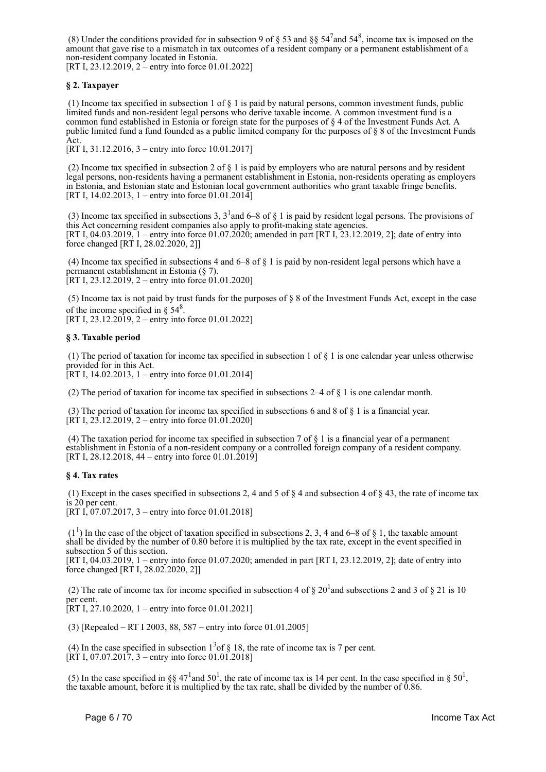(8) Under the conditions provided for in subsection 9 of § 53 and §§  $54^7$  and  $54^8$ , income tax is imposed on the amount that gave rise to a mismatch in tax outcomes of a resident company or a permanent establishment of a non-resident company located in Estonia.

[RT I, 23.12.2019, 2 – entry into force 01.01.2022]

### **§ 2. Taxpayer**

 (1) Income tax specified in subsection 1 of § 1 is paid by natural persons, common investment funds, public limited funds and non-resident legal persons who derive taxable income. A common investment fund is a common fund established in Estonia or foreign state for the purposes of § 4 of the Investment Funds Act. A public limited fund a fund founded as a public limited company for the purposes of § 8 of the Investment Funds Act.

[RT I, 31.12.2016, 3 – entry into force 10.01.2017]

 (2) Income tax specified in subsection 2 of § 1 is paid by employers who are natural persons and by resident legal persons, non-residents having a permanent establishment in Estonia, non-residents operating as employers in Estonia, and Estonian state and Estonian local government authorities who grant taxable fringe benefits. [RT I, 14.02.2013, 1 – entry into force 01.01.2014]

(3) Income tax specified in subsections 3,  $3^1$  and 6–8 of § 1 is paid by resident legal persons. The provisions of this Act concerning resident companies also apply to profit-making state agencies. [RT I, 04.03.2019, 1 – entry into force 01.07.2020; amended in part [RT I, 23.12.2019, 2]; date of entry into force changed [RT I, 28.02.2020, 2]]

 (4) Income tax specified in subsections 4 and 6–8 of § 1 is paid by non-resident legal persons which have a permanent establishment in Estonia (§ 7). [RT I, 23.12.2019, 2 – entry into force 01.01.2020]

 (5) Income tax is not paid by trust funds for the purposes of § 8 of the Investment Funds Act, except in the case of the income specified in  $\S 54^8$ . [RT I, 23.12.2019, 2 – entry into force 01.01.2022]

#### **§ 3. Taxable period**

 (1) The period of taxation for income tax specified in subsection 1 of § 1 is one calendar year unless otherwise provided for in this Act. [RT I, 14.02.2013, 1 – entry into force 01.01.2014]

(2) The period of taxation for income tax specified in subsections 2–4 of § 1 is one calendar month.

 (3) The period of taxation for income tax specified in subsections 6 and 8 of § 1 is a financial year.  $[\hat{R}T I, 23.12.2019, 2 -$  entry into force 01.01.2020]

 (4) The taxation period for income tax specified in subsection 7 of § 1 is a financial year of a permanent establishment in Estonia of a non-resident company or a controlled foreign company of a resident company. [RT I, 28.12.2018, 44 – entry into force  $01.01.\overline{2}019$ ]

#### **§ 4. Tax rates**

(1) Except in the cases specified in subsections 2, 4 and 5 of  $\S$  4 and subsection 4 of  $\S$  43, the rate of income tax is 20 per cent.

[RT I, 07.07.2017, 3 – entry into force 01.01.2018]

 $(1<sup>1</sup>)$  In the case of the object of taxation specified in subsections 2, 3, 4 and 6–8 of § 1, the taxable amount shall be divided by the number of 0.80 before it is multiplied by the tax rate, except in the event specified in subsection 5 of this section.

[RT I, 04.03.2019, 1 – entry into force 01.07.2020; amended in part [RT I, 23.12.2019, 2]; date of entry into force changed [RT I, 28.02.2020, 2]]

(2) The rate of income tax for income specified in subsection 4 of  $\S 20<sup>1</sup>$  and subsections 2 and 3 of  $\S 21$  is 10 per cent.

 $[RT I, 27.10.2020, 1 - entry into force 01.01.2021]$ 

(3) [Repealed – RT I 2003, 88, 587 – entry into force 01.01.2005]

(4) In the case specified in subsection  $1<sup>3</sup>$  of § 18, the rate of income tax is 7 per cent.  $[\hat{R}T I, 07.07.2017, 3 -$  entry into force 01.01.2018]

(5) In the case specified in §§ 47<sup>1</sup> and 50<sup>1</sup>, the rate of income tax is 14 per cent. In the case specified in § 50<sup>1</sup>, the taxable amount, before it is multiplied by the tax rate, shall be divided by the number of 0.86.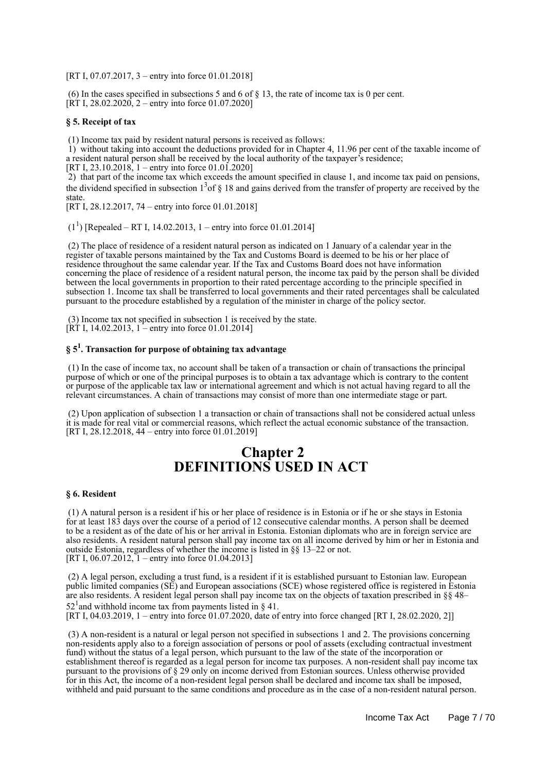[RT I, 07.07.2017, 3 – entry into force 01.01.2018]

 (6) In the cases specified in subsections 5 and 6 of § 13, the rate of income tax is 0 per cent.  $[\hat{R}T I, 28.02.2020, 2 -$  entry into force 01.07.2020]

#### **§ 5. Receipt of tax**

(1) Income tax paid by resident natural persons is received as follows:

 1) without taking into account the deductions provided for in Chapter 4, 11.96 per cent of the taxable income of a resident natural person shall be received by the local authority of the taxpayer's residence;

[RT I, 23.10.2018, 1 – entry into force 01.01.2020]

 2) that part of the income tax which exceeds the amount specified in clause 1, and income tax paid on pensions, the dividend specified in subsection  $1<sup>3</sup>$  of § 18 and gains derived from the transfer of property are received by the state.

[RT I, 28.12.2017, 74 – entry into force 01.01.2018]

 $(1^1)$  [Repealed – RT I, 14.02.2013, 1 – entry into force 01.01.2014]

 (2) The place of residence of a resident natural person as indicated on 1 January of a calendar year in the register of taxable persons maintained by the Tax and Customs Board is deemed to be his or her place of residence throughout the same calendar year. If the Tax and Customs Board does not have information concerning the place of residence of a resident natural person, the income tax paid by the person shall be divided between the local governments in proportion to their rated percentage according to the principle specified in subsection 1. Income tax shall be transferred to local governments and their rated percentages shall be calculated pursuant to the procedure established by a regulation of the minister in charge of the policy sector.

 (3) Income tax not specified in subsection 1 is received by the state.  $[\hat{R} \hat{T}]$  I, 14.02.2013, 1 – entry into force 01.01.2014]

## **§ 5<sup>1</sup> . Transaction for purpose of obtaining tax advantage**

 (1) In the case of income tax, no account shall be taken of a transaction or chain of transactions the principal purpose of which or one of the principal purposes is to obtain a tax advantage which is contrary to the content or purpose of the applicable tax law or international agreement and which is not actual having regard to all the relevant circumstances. A chain of transactions may consist of more than one intermediate stage or part.

 (2) Upon application of subsection 1 a transaction or chain of transactions shall not be considered actual unless it is made for real vital or commercial reasons, which reflect the actual economic substance of the transaction. [RT I, 28.12.2018, 44 – entry into force 01.01.2019]

## **Chapter 2 DEFINITIONS USED IN ACT**

#### **§ 6. Resident**

 (1) A natural person is a resident if his or her place of residence is in Estonia or if he or she stays in Estonia for at least 183 days over the course of a period of 12 consecutive calendar months. A person shall be deemed to be a resident as of the date of his or her arrival in Estonia. Estonian diplomats who are in foreign service are also residents. A resident natural person shall pay income tax on all income derived by him or her in Estonia and outside Estonia, regardless of whether the income is listed in §§ 13–22 or not. [RT I,  $06.07.2012$ , I – entry into force 01.04.2013]

 (2) A legal person, excluding a trust fund, is a resident if it is established pursuant to Estonian law. European public limited companies (SE) and European associations (SCE) whose registered office is registered in Estonia are also residents. A resident legal person shall pay income tax on the objects of taxation prescribed in §§ 48–  $52<sup>1</sup>$  and withhold income tax from payments listed in § 41.

[RT I, 04.03.2019, 1 – entry into force 01.07.2020, date of entry into force changed [RT I, 28.02.2020, 2]]

 (3) A non-resident is a natural or legal person not specified in subsections 1 and 2. The provisions concerning non-residents apply also to a foreign association of persons or pool of assets (excluding contractual investment fund) without the status of a legal person, which pursuant to the law of the state of the incorporation or establishment thereof is regarded as a legal person for income tax purposes. A non-resident shall pay income tax pursuant to the provisions of § 29 only on income derived from Estonian sources. Unless otherwise provided for in this Act, the income of a non-resident legal person shall be declared and income tax shall be imposed, withheld and paid pursuant to the same conditions and procedure as in the case of a non-resident natural person.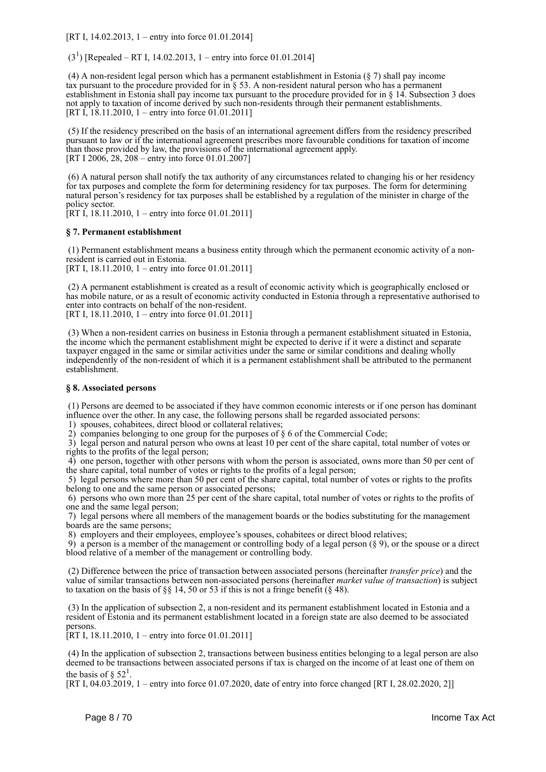[RT I, 14.02.2013, 1 – entry into force 01.01.2014]

 $(3<sup>1</sup>)$  [Repealed – RT I, 14.02.2013, 1 – entry into force 01.01.2014]

 (4) A non-resident legal person which has a permanent establishment in Estonia (§ 7) shall pay income tax pursuant to the procedure provided for in  $\S$  53. A non-resident natural person who has a permanent establishment in Estonia shall pay income tax pursuant to the procedure provided for in § 14. Subsection 3 does not apply to taxation of income derived by such non-residents through their permanent establishments. [RT I, 18.11.2010, 1 – entry into force 01.01.2011]

 (5) If the residency prescribed on the basis of an international agreement differs from the residency prescribed pursuant to law or if the international agreement prescribes more favourable conditions for taxation of income than those provided by law, the provisions of the international agreement apply. [RT I 2006, 28, 208 – entry into force 01.01.2007]

 (6) A natural person shall notify the tax authority of any circumstances related to changing his or her residency for tax purposes and complete the form for determining residency for tax purposes. The form for determining natural person's residency for tax purposes shall be established by a regulation of the minister in charge of the policy sector.

 $[RT I, 18.11.2010, 1 -$  entry into force 01.01.2011]

#### **§ 7. Permanent establishment**

 (1) Permanent establishment means a business entity through which the permanent economic activity of a nonresident is carried out in Estonia. [RT I, 18.11.2010, 1 – entry into force 01.01.2011]

 (2) A permanent establishment is created as a result of economic activity which is geographically enclosed or has mobile nature, or as a result of economic activity conducted in Estonia through a representative authorised to enter into contracts on behalf of the non-resident. [RT I, 18.11.2010, 1 – entry into force 01.01.2011]

 (3) When a non-resident carries on business in Estonia through a permanent establishment situated in Estonia, the income which the permanent establishment might be expected to derive if it were a distinct and separate taxpayer engaged in the same or similar activities under the same or similar conditions and dealing wholly independently of the non-resident of which it is a permanent establishment shall be attributed to the permanent establishment.

#### **§ 8. Associated persons**

 (1) Persons are deemed to be associated if they have common economic interests or if one person has dominant influence over the other. In any case, the following persons shall be regarded associated persons:

1) spouses, cohabitees, direct blood or collateral relatives;

2) companies belonging to one group for the purposes of § 6 of the Commercial Code;

 3) legal person and natural person who owns at least 10 per cent of the share capital, total number of votes or rights to the profits of the legal person;

 4) one person, together with other persons with whom the person is associated, owns more than 50 per cent of the share capital, total number of votes or rights to the profits of a legal person;

 5) legal persons where more than 50 per cent of the share capital, total number of votes or rights to the profits belong to one and the same person or associated persons;

 6) persons who own more than 25 per cent of the share capital, total number of votes or rights to the profits of one and the same legal person;

 7) legal persons where all members of the management boards or the bodies substituting for the management boards are the same persons;

8) employers and their employees, employee's spouses, cohabitees or direct blood relatives;

 9) a person is a member of the management or controlling body of a legal person (§ 9), or the spouse or a direct blood relative of a member of the management or controlling body.

 (2) Difference between the price of transaction between associated persons (hereinafter *transfer price*) and the value of similar transactions between non-associated persons (hereinafter *market value of transaction*) is subject to taxation on the basis of  $\S$  14, 50 or 53 if this is not a fringe benefit ( $\S$  48).

 (3) In the application of subsection 2, a non-resident and its permanent establishment located in Estonia and a resident of Estonia and its permanent establishment located in a foreign state are also deemed to be associated persons.

[RT I, 18.11.2010, 1 – entry into force 01.01.2011]

 (4) In the application of subsection 2, transactions between business entities belonging to a legal person are also deemed to be transactions between associated persons if tax is charged on the income of at least one of them on the basis of  $\S 52<sup>1</sup>$ .

[RT I, 04.03.2019, 1 – entry into force 01.07.2020, date of entry into force changed [RT I, 28.02.2020, 2]]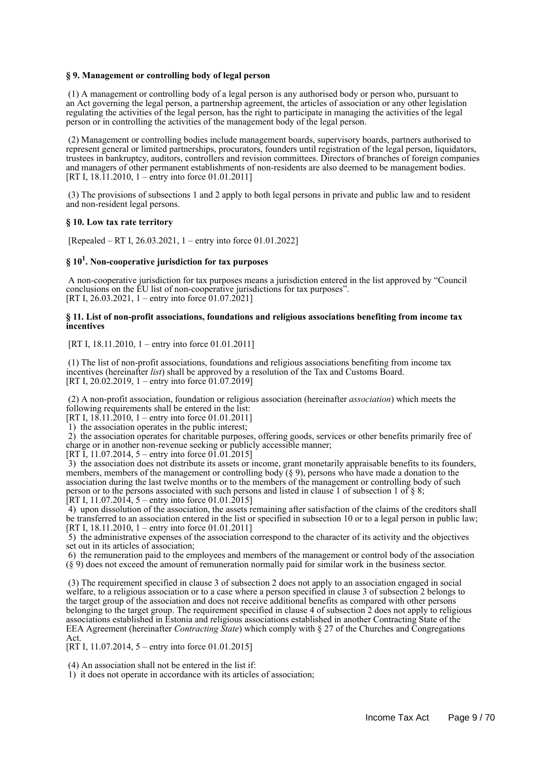#### **§ 9. Management or controlling body of legal person**

 (1) A management or controlling body of a legal person is any authorised body or person who, pursuant to an Act governing the legal person, a partnership agreement, the articles of association or any other legislation regulating the activities of the legal person, has the right to participate in managing the activities of the legal person or in controlling the activities of the management body of the legal person.

 (2) Management or controlling bodies include management boards, supervisory boards, partners authorised to represent general or limited partnerships, procurators, founders until registration of the legal person, liquidators, trustees in bankruptcy, auditors, controllers and revision committees. Directors of branches of foreign companies and managers of other permanent establishments of non-residents are also deemed to be management bodies. [RT I,  $18.11.2010$ ,  $1 -$ entry into force 01.01.2011]

 (3) The provisions of subsections 1 and 2 apply to both legal persons in private and public law and to resident and non-resident legal persons.

#### **§ 10. Low tax rate territory**

[Repealed – RT I, 26.03.2021, 1 – entry into force 01.01.2022]

## **§ 10<sup>1</sup> . Non-cooperative jurisdiction for tax purposes**

 A non-cooperative jurisdiction for tax purposes means a jurisdiction entered in the list approved by "Council conclusions on the EU list of non-cooperative jurisdictions for tax purposes". [RT I, 26.03.2021, 1 – entry into force 01.07.2021]

#### **§ 11. List of non-profit associations, foundations and religious associations benefiting from income tax incentives**

[RT I, 18.11.2010, 1 – entry into force 01.01.2011]

 (1) The list of non-profit associations, foundations and religious associations benefiting from income tax incentives (hereinafter *list*) shall be approved by a resolution of the Tax and Customs Board. [RT I, 20.02.2019, 1 – entry into force 01.07.2019]

 (2) A non-profit association, foundation or religious association (hereinafter *association*) which meets the following requirements shall be entered in the list:

[RT I,  $18.11.2010$ , 1 – entry into force 01.01.2011]

1) the association operates in the public interest;

2) the association operates for charitable purposes, offering goods, services or other benefits primarily free of charge or in another non-revenue seeking or publicly accessible manner;

[RT I, 11.07.2014, 5 – entry into force  $01.01.2015$ ]

 3) the association does not distribute its assets or income, grant monetarily appraisable benefits to its founders, members, members of the management or controlling body  $(\S 9)$ , persons who have made a donation to the association during the last twelve months or to the members of the management or controlling body of such person or to the persons associated with such persons and listed in clause 1 of subsection 1 of § 8; [RT I, 11.07.2014, 5 – entry into force 01.01.2015]

 4) upon dissolution of the association, the assets remaining after satisfaction of the claims of the creditors shall be transferred to an association entered in the list or specified in subsection 10 or to a legal person in public law; [RT I, 18.11.2010, 1 – entry into force 01.01.2011]

 5) the administrative expenses of the association correspond to the character of its activity and the objectives set out in its articles of association;

 6) the remuneration paid to the employees and members of the management or control body of the association (§ 9) does not exceed the amount of remuneration normally paid for similar work in the business sector.

 (3) The requirement specified in clause 3 of subsection 2 does not apply to an association engaged in social welfare, to a religious association or to a case where a person specified in clause 3 of subsection 2 belongs to the target group of the association and does not receive additional benefits as compared with other persons belonging to the target group. The requirement specified in clause 4 of subsection 2 does not apply to religious associations established in Estonia and religious associations established in another Contracting State of the EEA Agreement (hereinafter *Contracting State*) which comply with § 27 of the Churches and Congregations Act.

[RT I, 11.07.2014, 5 – entry into force 01.01.2015]

(4) An association shall not be entered in the list if:

1) it does not operate in accordance with its articles of association;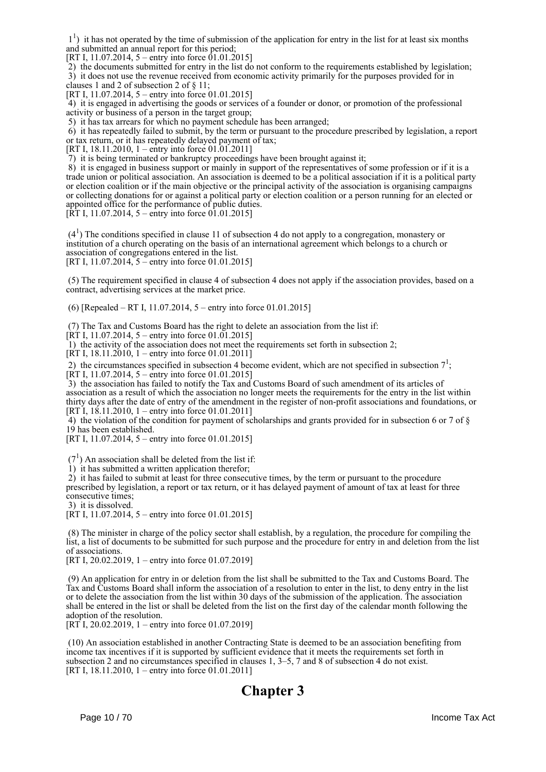<sup>1</sup>) it has not operated by the time of submission of the application for entry in the list for at least six months and submitted an annual report for this period;

[RT I, 11.07.2014, 5 – entry into force 01.01.2015]

 $2)$  the documents submitted for entry in the list do not conform to the requirements established by legislation; 3) it does not use the revenue received from economic activity primarily for the purposes provided for in clauses 1 and 2 of subsection 2 of § 11;

[RT I, 11.07.2014, 5 – entry into force 01.01.2015]

 4) it is engaged in advertising the goods or services of a founder or donor, or promotion of the professional activity or business of a person in the target group;

5) it has tax arrears for which no payment schedule has been arranged;

 6) it has repeatedly failed to submit, by the term or pursuant to the procedure prescribed by legislation, a report or tax return, or it has repeatedly delayed payment of tax;

[RT I, 18.11.2010, 1 – entry into force 01.01.2011]

7) it is being terminated or bankruptcy proceedings have been brought against it;

8) it is engaged in business support or mainly in support of the representatives of some profession or if it is a trade union or political association. An association is deemed to be a political association if it is a political party or election coalition or if the main objective or the principal activity of the association is organising campaigns or collecting donations for or against a political party or election coalition or a person running for an elected or appointed office for the performance of public duties.

 $[\hat{R}T I, 11.07.2014, 5 -$  entry into force 01.01.2015]

 $(4<sup>1</sup>)$  The conditions specified in clause 11 of subsection 4 do not apply to a congregation, monastery or institution of a church operating on the basis of an international agreement which belongs to a church or association of congregations entered in the list. [RT I, 11.07.2014, 5 – entry into force 01.01.2015]

 (5) The requirement specified in clause 4 of subsection 4 does not apply if the association provides, based on a contract, advertising services at the market price.

(6) [Repealed – RT I, 11.07.2014, 5 – entry into force 01.01.2015]

(7) The Tax and Customs Board has the right to delete an association from the list if:

 $[\hat{R}T I, 11.07.2014, 5 -$  entry into force 01.01.2015]

1) the activity of the association does not meet the requirements set forth in subsection 2;

[RT I, 18.11.2010, 1 – entry into force 01.01.2011]

2) the circumstances specified in subsection 4 become evident, which are not specified in subsection  $7<sup>1</sup>$ ;

[RT I, 11.07.2014, 5 – entry into force 01.01.2015]

 3) the association has failed to notify the Tax and Customs Board of such amendment of its articles of association as a result of which the association no longer meets the requirements for the entry in the list within thirty days after the date of entry of the amendment in the register of non-profit associations and foundations, or [RT I,  $18.11.2010$ , 1 – entry into force 01.01.2011]

4) the violation of the condition for payment of scholarships and grants provided for in subsection 6 or 7 of  $\S$ 19 has been established.

[RT I, 11.07.2014, 5 – entry into force 01.01.2015]

 $(7<sup>1</sup>)$  An association shall be deleted from the list if:

1) it has submitted a written application therefor;

 2) it has failed to submit at least for three consecutive times, by the term or pursuant to the procedure prescribed by legislation, a report or tax return, or it has delayed payment of amount of tax at least for three consecutive times;

3) it is dissolved.

[RT I, 11.07.2014, 5 – entry into force 01.01.2015]

 (8) The minister in charge of the policy sector shall establish, by a regulation, the procedure for compiling the list, a list of documents to be submitted for such purpose and the procedure for entry in and deletion from the list of associations.

[RT I, 20.02.2019, 1 – entry into force 01.07.2019]

 (9) An application for entry in or deletion from the list shall be submitted to the Tax and Customs Board. The Tax and Customs Board shall inform the association of a resolution to enter in the list, to deny entry in the list or to delete the association from the list within 30 days of the submission of the application. The association shall be entered in the list or shall be deleted from the list on the first day of the calendar month following the adoption of the resolution.

[RT I, 20.02.2019, 1 – entry into force 01.07.2019]

 (10) An association established in another Contracting State is deemed to be an association benefiting from income tax incentives if it is supported by sufficient evidence that it meets the requirements set forth in subsection 2 and no circumstances specified in clauses 1, 3–5, 7 and 8 of subsection 4 do not exist. [RT I, 18.11.2010, 1 – entry into force 01.01.2011]

## **Chapter 3**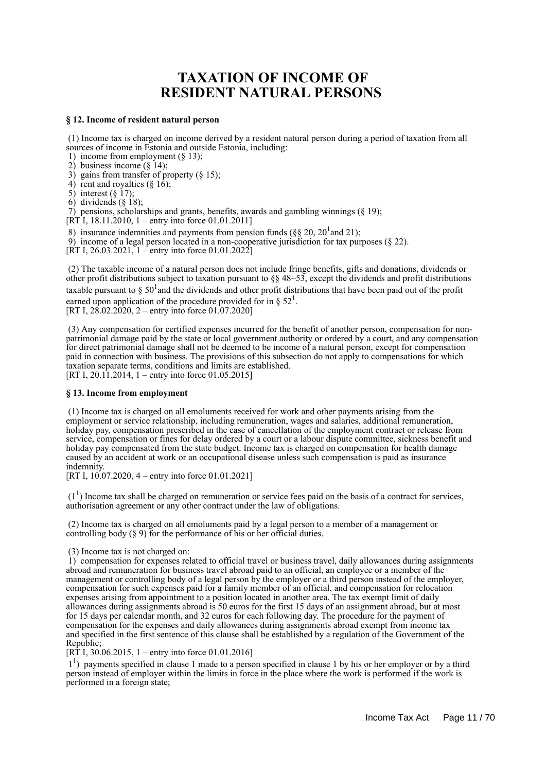## **TAXATION OF INCOME OF RESIDENT NATURAL PERSONS**

#### **§ 12. Income of resident natural person**

 (1) Income tax is charged on income derived by a resident natural person during a period of taxation from all sources of income in Estonia and outside Estonia, including:

1) income from employment (§ 13);

2) business income  $(\S 14)$ ;

3) gains from transfer of property  $(\S 15)$ ;

4) rent and royalties  $(\S 16)$ ;

5) interest  $(\S$  17);

6) dividends (§ 18);

7) pensions, scholarships and grants, benefits, awards and gambling winnings (§ 19);

[RT I, 18.11.2010, 1 – entry into force 01.01.2011]

8) insurance indemnities and payments from pension funds ( $\S$ § 20, 20<sup>1</sup> and 21);

9) income of a legal person located in a non-cooperative jurisdiction for tax purposes (§ 22).

[RT I, 26.03.2021,  $1 -$ entry into force 01.01.2022]

 (2) The taxable income of a natural person does not include fringe benefits, gifts and donations, dividends or other profit distributions subject to taxation pursuant to §§ 48–53, except the dividends and profit distributions taxable pursuant to  $\S 50^1$  and the dividends and other profit distributions that have been paid out of the profit earned upon application of the procedure provided for in §  $52<sup>1</sup>$ . [RT I,  $28.02.2020$ ,  $2 -$ entry into force 01.07.2020]

 (3) Any compensation for certified expenses incurred for the benefit of another person, compensation for nonpatrimonial damage paid by the state or local government authority or ordered by a court, and any compensation for direct patrimonial damage shall not be deemed to be income of a natural person, except for compensation paid in connection with business. The provisions of this subsection do not apply to compensations for which taxation separate terms, conditions and limits are established. [RT I, 20.11.2014, 1 – entry into force 01.05.2015]

#### **§ 13. Income from employment**

 (1) Income tax is charged on all emoluments received for work and other payments arising from the employment or service relationship, including remuneration, wages and salaries, additional remuneration, holiday pay, compensation prescribed in the case of cancellation of the employment contract or release from service, compensation or fines for delay ordered by a court or a labour dispute committee, sickness benefit and holiday pay compensated from the state budget. Income tax is charged on compensation for health damage caused by an accident at work or an occupational disease unless such compensation is paid as insurance indemnity.

[RT I, 10.07.2020, 4 – entry into force 01.01.2021]

 $(1<sup>1</sup>)$  Income tax shall be charged on remuneration or service fees paid on the basis of a contract for services, authorisation agreement or any other contract under the law of obligations.

 (2) Income tax is charged on all emoluments paid by a legal person to a member of a management or controlling body (§ 9) for the performance of his or her official duties.

(3) Income tax is not charged on:

 1) compensation for expenses related to official travel or business travel, daily allowances during assignments abroad and remuneration for business travel abroad paid to an official, an employee or a member of the management or controlling body of a legal person by the employer or a third person instead of the employer, compensation for such expenses paid for a family member of an official, and compensation for relocation expenses arising from appointment to a position located in another area. The tax exempt limit of daily allowances during assignments abroad is 50 euros for the first 15 days of an assignment abroad, but at most for 15 days per calendar month, and 32 euros for each following day. The procedure for the payment of compensation for the expenses and daily allowances during assignments abroad exempt from income tax and specified in the first sentence of this clause shall be established by a regulation of the Government of the Republic;

[RT I, 30.06.2015, 1 – entry into force 01.01.2016]

<sup>1</sup>) payments specified in clause 1 made to a person specified in clause 1 by his or her employer or by a third person instead of employer within the limits in force in the place where the work is performed if the work is performed in a foreign state;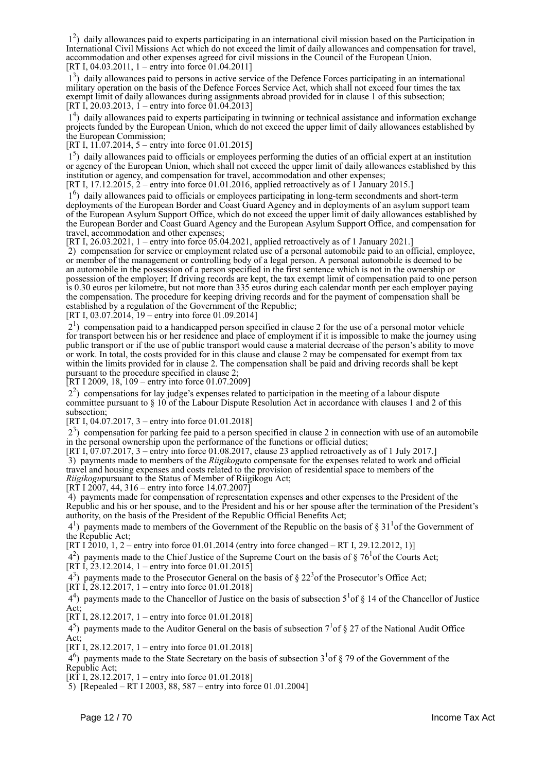12 ) daily allowances paid to experts participating in an international civil mission based on the Participation in International Civil Missions Act which do not exceed the limit of daily allowances and compensation for travel, accommodation and other expenses agreed for civil missions in the Council of the European Union. [RT I, 04.03.2011, 1 – entry into force 01.04.2011]

 13 ) daily allowances paid to persons in active service of the Defence Forces participating in an international military operation on the basis of the Defence Forces Service Act, which shall not exceed four times the tax exempt limit of daily allowances during assignments abroad provided for in clause 1 of this subsection; [RT I, 20.03.2013,  $1 -$  entry into force 01.04.2013]

 14 ) daily allowances paid to experts participating in twinning or technical assistance and information exchange projects funded by the European Union, which do not exceed the upper limit of daily allowances established by the European Commission;

[RT I, 11.07.2014, 5 – entry into force 01.01.2015]

 15 ) daily allowances paid to officials or employees performing the duties of an official expert at an institution or agency of the European Union, which shall not exceed the upper limit of daily allowances established by this institution or agency, and compensation for travel, accommodation and other expenses;

[RT I, 17.12.2015, 2 – entry into force 01.01.2016, applied retroactively as of 1 January 2015.]

 16 ) daily allowances paid to officials or employees participating in long-term secondments and short-term deployments of the European Border and Coast Guard Agency and in deployments of an asylum support team of the European Asylum Support Office, which do not exceed the upper limit of daily allowances established by the European Border and Coast Guard Agency and the European Asylum Support Office, and compensation for travel, accommodation and other expenses;

[RT I, 26.03.2021, 1 – entry into force 05.04.2021, applied retroactively as of 1 January 2021.] 2) compensation for service or employment related use of a personal automobile paid to an official, employee,

or member of the management or controlling body of a legal person. A personal automobile is deemed to be an automobile in the possession of a person specified in the first sentence which is not in the ownership or possession of the employer; If driving records are kept, the tax exempt limit of compensation paid to one person is 0.30 euros per kilometre, but not more than 335 euros during each calendar month per each employer paying the compensation. The procedure for keeping driving records and for the payment of compensation shall be established by a regulation of the Government of the Republic;

[RT I, 03.07.2014,  $19$  – entry into force 01.09.2014]

 21 ) compensation paid to a handicapped person specified in clause 2 for the use of a personal motor vehicle for transport between his or her residence and place of employment if it is impossible to make the journey using public transport or if the use of public transport would cause a material decrease of the person's ability to move or work. In total, the costs provided for in this clause and clause 2 may be compensated for exempt from tax within the limits provided for in clause 2. The compensation shall be paid and driving records shall be kept pursuant to the procedure specified in clause 2;

[RT I 2009, 18, 109 – entry into force 01.07.2009]

 22 ) compensations for lay judge's expenses related to participation in the meeting of a labour dispute committee pursuant to § 10 of the Labour Dispute Resolution Act in accordance with clauses 1 and 2 of this subsection;

[RT I, 04.07.2017, 3 – entry into force 01.01.2018]

 23 ) compensation for parking fee paid to a person specified in clause 2 in connection with use of an automobile in the personal ownership upon the performance of the functions or official duties;

[RT I, 07.07.2017, 3 – entry into force 01.08.2017, clause 23 applied retroactively as of 1 July 2017.] 3) payments made to members of the *Riigikogu*to compensate for the expenses related to work and official travel and housing expenses and costs related to the provision of residential space to members of the *Riigikogu*pursuant to the Status of Member of Riigikogu Act;

 $[RT I 2007, 44, 316 - entry into force 14.07.2007]$ 

 4) payments made for compensation of representation expenses and other expenses to the President of the Republic and his or her spouse, and to the President and his or her spouse after the termination of the President's authority, on the basis of the President of the Republic Official Benefits Act;

 $4<sup>1</sup>$ ) payments made to members of the Government of the Republic on the basis of § 31<sup>1</sup> of the Government of the Republic Act;

[RT I 2010, 1, 2 – entry into force 01.01.2014 (entry into force changed – RT I, 29.12.2012, 1)]

 $(4^2)$  payments made to the Chief Justice of the Supreme Court on the basis of § 76<sup>1</sup> of the Courts Act;

 $[RT\,\text{I}, \,23.12.2014, \,1 -$  entry into force 01.01.2015]

 $(4^3)$  payments made to the Prosecutor General on the basis of § 22<sup>3</sup> of the Prosecutor's Office Act;

 $[R\hat{T} \hat{I}, \hat{28}.12.2017, 1 - entry into force 01.01.2018]$ 

 $4<sup>4</sup>$ ) payments made to the Chancellor of Justice on the basis of subsection  $5<sup>1</sup>$  of § 14 of the Chancellor of Justice Act;

[RT I, 28.12.2017, 1 – entry into force 01.01.2018]

 $4<sup>5</sup>$ ) payments made to the Auditor General on the basis of subsection  $7<sup>1</sup>$  of § 27 of the National Audit Office Act;

[RT I, 28.12.2017, 1 – entry into force 01.01.2018]

 46 ) payments made to the State Secretary on the basis of subsection 3<sup>1</sup> of § 79 of the Government of the Republic Act;

[RT I,  $28.12.2017$ , 1 – entry into force 01.01.2018]

5) [Repealed – RT I 2003, 88, 587 – entry into force 01.01.2004]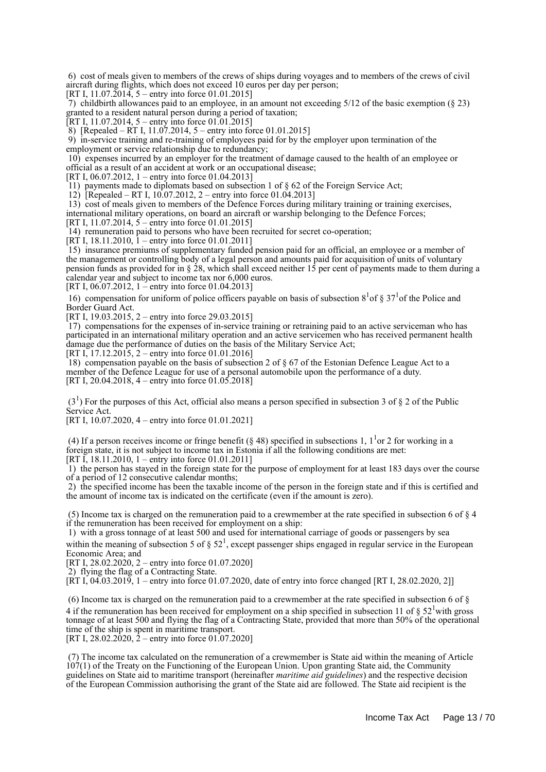6) cost of meals given to members of the crews of ships during voyages and to members of the crews of civil aircraft during flights, which does not exceed 10 euros per day per person;

[RT I,  $11.07.\overline{2}014$ ,  $5$  – entry into force 01.01.2015]

 7) childbirth allowances paid to an employee, in an amount not exceeding 5/12 of the basic exemption (§ 23) granted to a resident natural person during a period of taxation;

[RT I, 11.07.2014, 5 – entry into force 01.01.2015]

 $\overline{8}$ ) [Repealed – RT I, 11.07.2014, 5 – entry into force 01.01.2015]

 9) in-service training and re-training of employees paid for by the employer upon termination of the employment or service relationship due to redundancy;

 10) expenses incurred by an employer for the treatment of damage caused to the health of an employee or official as a result of an accident at work or an occupational disease;

[RT I, 06.07.2012, 1 – entry into force 01.04.2013]

11) payments made to diplomats based on subsection 1 of § 62 of the Foreign Service Act;

12) [Repealed – RT I, 10.07.2012, 2 – entry into force 01.04.2013]

 13) cost of meals given to members of the Defence Forces during military training or training exercises, international military operations, on board an aircraft or warship belonging to the Defence Forces; [RT I, 11.07.2014,  $5$  – entry into force 01.01.2015]

14) remuneration paid to persons who have been recruited for secret co-operation;

[RT I, 18.11.2010, 1 – entry into force 01.01.2011]

 15) insurance premiums of supplementary funded pension paid for an official, an employee or a member of the management or controlling body of a legal person and amounts paid for acquisition of units of voluntary pension funds as provided for in § 28, which shall exceed neither 15 per cent of payments made to them during a calendar year and subject to income tax nor 6,000 euros.

[RT I, 06.07.2012, 1 – entry into force 01.04.2013]

16) compensation for uniform of police officers payable on basis of subsection  $8^1$  of  $\S 37^1$  of the Police and Border Guard Act.

[RT I, 19.03.2015, 2 – entry into force 29.03.2015]

 17) compensations for the expenses of in-service training or retraining paid to an active serviceman who has participated in an international military operation and an active servicemen who has received permanent health damage due the performance of duties on the basis of the Military Service Act;

[RT I, 17.12.2015, 2 – entry into force 01.01.2016]

 18) compensation payable on the basis of subsection 2 of § 67 of the Estonian Defence League Act to a member of the Defence League for use of a personal automobile upon the performance of a duty. [RT I, 20.04.2018, 4 – entry into force 01.05.2018]

 $(3<sup>1</sup>)$  For the purposes of this Act, official also means a person specified in subsection 3 of § 2 of the Public Service Act.

[RT I, 10.07.2020, 4 – entry into force 01.01.2021]

(4) If a person receives income or fringe benefit (§ 48) specified in subsections 1,  $1<sup>1</sup>$  or 2 for working in a foreign state, it is not subject to income tax in Estonia if all the following conditions are met:

[RT I, 18.11.2010, 1 – entry into force 01.01.2011]

 1) the person has stayed in the foreign state for the purpose of employment for at least 183 days over the course of a period of 12 consecutive calendar months;

 2) the specified income has been the taxable income of the person in the foreign state and if this is certified and the amount of income tax is indicated on the certificate (even if the amount is zero).

 (5) Income tax is charged on the remuneration paid to a crewmember at the rate specified in subsection 6 of § 4 if the remuneration has been received for employment on a ship:

 1) with a gross tonnage of at least 500 and used for international carriage of goods or passengers by sea within the meaning of subsection 5 of  $\S 52<sup>1</sup>$ , except passenger ships engaged in regular service in the European Economic Area; and

[RT I, 28.02.2020, 2 – entry into force 01.07.2020]

2) flying the flag of a Contracting State.

[RT I, 04.03.2019, 1 – entry into force 01.07.2020, date of entry into force changed [RT I, 28.02.2020, 2]]

 (6) Income tax is charged on the remuneration paid to a crewmember at the rate specified in subsection 6 of § 4 if the remuneration has been received for employment on a ship specified in subsection 11 of  $\S 52^1$  with gross tonnage of at least 500 and flying the flag of a Contracting State, provided that more than 50% of the operational time of the ship is spent in maritime transport. [RT I, 28.02.2020,  $\dot{2}$  – entry into force 01.07.2020]

 (7) The income tax calculated on the remuneration of a crewmember is State aid within the meaning of Article 107(1) of the Treaty on the Functioning of the European Union. Upon granting State aid, the Community guidelines on State aid to maritime transport (hereinafter *maritime aid guidelines*) and the respective decision of the European Commission authorising the grant of the State aid are followed. The State aid recipient is the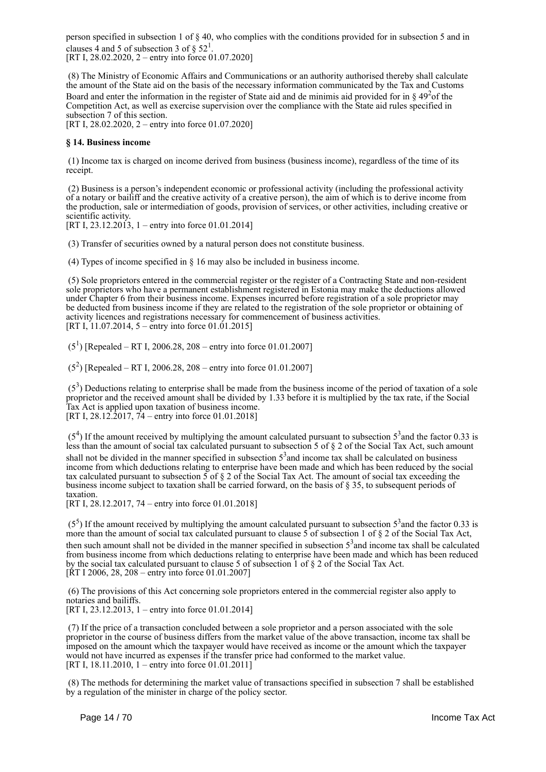person specified in subsection 1 of § 40, who complies with the conditions provided for in subsection 5 and in clauses 4 and 5 of subsection 3 of  $\S 52^1$ .

[RT I, 28.02.2020, 2 – entry into force 01.07.2020]

 (8) The Ministry of Economic Affairs and Communications or an authority authorised thereby shall calculate the amount of the State aid on the basis of the necessary information communicated by the Tax and Customs Board and enter the information in the register of State aid and de minimis aid provided for in  $\S 49<sup>2</sup>$ of the Competition Act, as well as exercise supervision over the compliance with the State aid rules specified in subsection 7 of this section. [RT I, 28.02.2020, 2 – entry into force 01.07.2020]

#### **§ 14. Business income**

 (1) Income tax is charged on income derived from business (business income), regardless of the time of its receipt.

 (2) Business is a person's independent economic or professional activity (including the professional activity of a notary or bailiff and the creative activity of a creative person), the aim of which is to derive income from the production, sale or intermediation of goods, provision of services, or other activities, including creative or scientific activity.

[RT I, 23.12.2013, 1 – entry into force 01.01.2014]

(3) Transfer of securities owned by a natural person does not constitute business.

(4) Types of income specified in § 16 may also be included in business income.

 (5) Sole proprietors entered in the commercial register or the register of a Contracting State and non-resident sole proprietors who have a permanent establishment registered in Estonia may make the deductions allowed under Chapter 6 from their business income. Expenses incurred before registration of a sole proprietor may be deducted from business income if they are related to the registration of the sole proprietor or obtaining of activity licences and registrations necessary for commencement of business activities. [RT I, 11.07.2014, 5 – entry into force 01.01.2015]

 $(5^1)$  [Repealed – RT I, 2006.28, 208 – entry into force 01.01.2007]

 $(5^2)$  [Repealed – RT I, 2006.28, 208 – entry into force 01.01.2007]

 $(5<sup>3</sup>)$  Deductions relating to enterprise shall be made from the business income of the period of taxation of a sole proprietor and the received amount shall be divided by 1.33 before it is multiplied by the tax rate, if the Social Tax Act is applied upon taxation of business income. [RT I, 28.12.2017, 74 – entry into force 01.01.2018]

 $(5<sup>4</sup>)$  If the amount received by multiplying the amount calculated pursuant to subsection  $5<sup>3</sup>$  and the factor 0.33 is less than the amount of social tax calculated pursuant to subsection 5 of § 2 of the Social Tax Act, such amount shall not be divided in the manner specified in subsection  $5<sup>3</sup>$  and income tax shall be calculated on business income from which deductions relating to enterprise have been made and which has been reduced by the social tax calculated pursuant to subsection  $5$  of  $\S$  2 of the Social Tax Act. The amount of social tax exceeding the business income subject to taxation shall be carried forward, on the basis of § 35, to subsequent periods of taxation.

[RT I, 28.12.2017, 74 – entry into force 01.01.2018]

 $(5<sup>5</sup>)$  If the amount received by multiplying the amount calculated pursuant to subsection  $5<sup>3</sup>$  and the factor 0.33 is more than the amount of social tax calculated pursuant to clause 5 of subsection 1 of § 2 of the Social Tax Act, then such amount shall not be divided in the manner specified in subsection  $5<sup>3</sup>$  and income tax shall be calculated from business income from which deductions relating to enterprise have been made and which has been reduced by the social tax calculated pursuant to clause 5 of subsection 1 of § 2 of the Social Tax Act. [RT I 2006, 28, 208 – entry into force 01.01.2007]

 (6) The provisions of this Act concerning sole proprietors entered in the commercial register also apply to notaries and bailiffs.

[RT I, 23.12.2013, 1 – entry into force 01.01.2014]

 (7) If the price of a transaction concluded between a sole proprietor and a person associated with the sole proprietor in the course of business differs from the market value of the above transaction, income tax shall be imposed on the amount which the taxpayer would have received as income or the amount which the taxpayer would not have incurred as expenses if the transfer price had conformed to the market value. [RT I, 18.11.2010, 1 – entry into force 01.01.2011]

 (8) The methods for determining the market value of transactions specified in subsection 7 shall be established by a regulation of the minister in charge of the policy sector.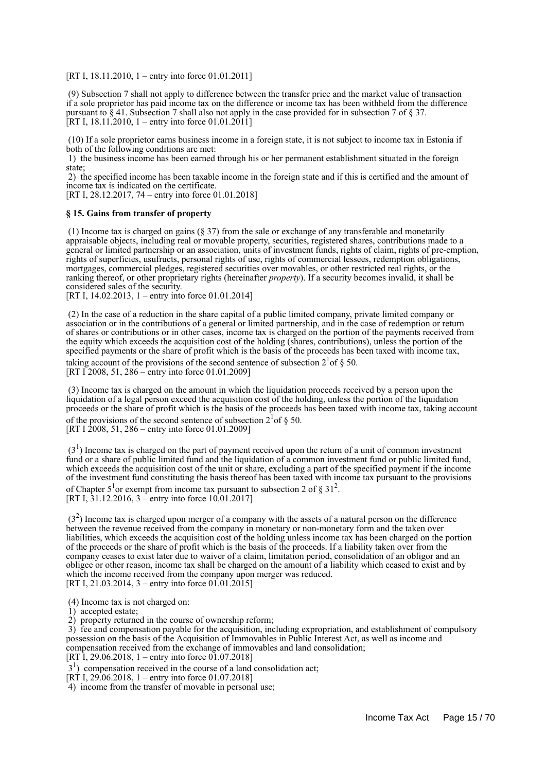[RT I, 18.11.2010, 1 – entry into force 01.01.2011]

 (9) Subsection 7 shall not apply to difference between the transfer price and the market value of transaction if a sole proprietor has paid income tax on the difference or income tax has been withheld from the difference pursuant to § 41. Subsection 7 shall also not apply in the case provided for in subsection 7 of § 37. [RT I, 18.11.2010, 1 – entry into force 01.01.2011]

 (10) If a sole proprietor earns business income in a foreign state, it is not subject to income tax in Estonia if both of the following conditions are met:

 1) the business income has been earned through his or her permanent establishment situated in the foreign state;

 2) the specified income has been taxable income in the foreign state and if this is certified and the amount of income tax is indicated on the certificate.

[RT I, 28.12.2017, 74 – entry into force 01.01.2018]

#### **§ 15. Gains from transfer of property**

 (1) Income tax is charged on gains (§ 37) from the sale or exchange of any transferable and monetarily appraisable objects, including real or movable property, securities, registered shares, contributions made to a general or limited partnership or an association, units of investment funds, rights of claim, rights of pre-emption, rights of superficies, usufructs, personal rights of use, rights of commercial lessees, redemption obligations, mortgages, commercial pledges, registered securities over movables, or other restricted real rights, or the ranking thereof, or other proprietary rights (hereinafter *property*). If a security becomes invalid, it shall be considered sales of the security.

[RT I, 14.02.2013, 1 – entry into force 01.01.2014]

 (2) In the case of a reduction in the share capital of a public limited company, private limited company or association or in the contributions of a general or limited partnership, and in the case of redemption or return of shares or contributions or in other cases, income tax is charged on the portion of the payments received from the equity which exceeds the acquisition cost of the holding (shares, contributions), unless the portion of the specified payments or the share of profit which is the basis of the proceeds has been taxed with income tax,

taking account of the provisions of the second sentence of subsection  $2^{1}$  of § 50. [RT I 2008, 51, 286 – entry into force 01.01.2009]

 (3) Income tax is charged on the amount in which the liquidation proceeds received by a person upon the liquidation of a legal person exceed the acquisition cost of the holding, unless the portion of the liquidation proceeds or the share of profit which is the basis of the proceeds has been taxed with income tax, taking account of the provisions of the second sentence of subsection  $2^{1}$  of § 50. [RT I 2008, 51, 286 – entry into force 01.01.2009]

 $(3<sup>1</sup>)$  Income tax is charged on the part of payment received upon the return of a unit of common investment fund or a share of public limited fund and the liquidation of a common investment fund or public limited fund, which exceeds the acquisition cost of the unit or share, excluding a part of the specified payment if the income of the investment fund constituting the basis thereof has been taxed with income tax pursuant to the provisions of Chapter  $5^1$ or exempt from income tax pursuant to subsection 2 of § 31<sup>2</sup>. [RT I, 31.12.2016, 3 – entry into force 10.01.2017]

 $(3<sup>2</sup>)$  Income tax is charged upon merger of a company with the assets of a natural person on the difference between the revenue received from the company in monetary or non-monetary form and the taken over liabilities, which exceeds the acquisition cost of the holding unless income tax has been charged on the portion of the proceeds or the share of profit which is the basis of the proceeds. If a liability taken over from the company ceases to exist later due to waiver of a claim, limitation period, consolidation of an obligor and an obligee or other reason, income tax shall be charged on the amount of a liability which ceased to exist and by which the income received from the company upon merger was reduced. [RT I, 21.03.2014, 3 – entry into force 01.01.2015]

- (4) Income tax is not charged on:
- 1) accepted estate;
- 2) property returned in the course of ownership reform;

 3) fee and compensation payable for the acquisition, including expropriation, and establishment of compulsory possession on the basis of the Acquisition of Immovables in Public Interest Act, as well as income and compensation received from the exchange of immovables and land consolidation;

[RT I, 29.06.2018, 1 – entry into force  $01.07.2018$ ]

3<sup>1</sup>) compensation received in the course of a land consolidation act;

[RT I,  $29.06.2018$ , 1 – entry into force 01.07.2018]

4) income from the transfer of movable in personal use;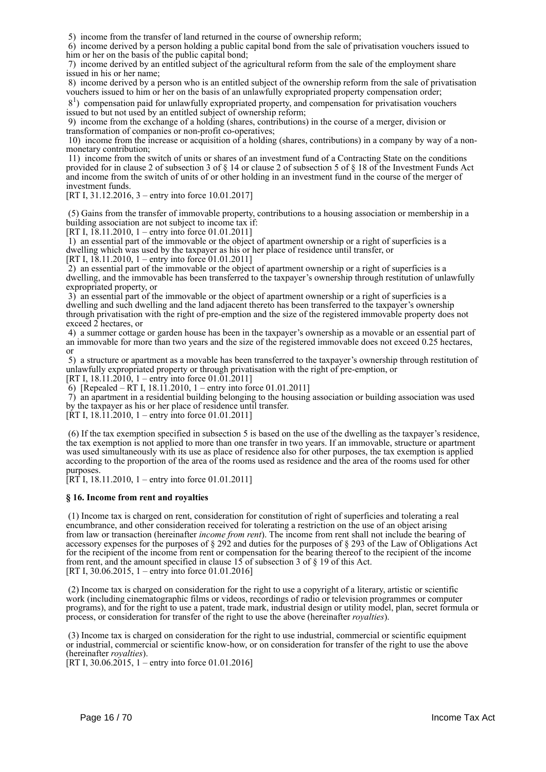5) income from the transfer of land returned in the course of ownership reform;

 6) income derived by a person holding a public capital bond from the sale of privatisation vouchers issued to him or her on the basis of the public capital bond;

 7) income derived by an entitled subject of the agricultural reform from the sale of the employment share issued in his or her name;

 8) income derived by a person who is an entitled subject of the ownership reform from the sale of privatisation vouchers issued to him or her on the basis of an unlawfully expropriated property compensation order;

 81 ) compensation paid for unlawfully expropriated property, and compensation for privatisation vouchers issued to but not used by an entitled subject of ownership reform;

 9) income from the exchange of a holding (shares, contributions) in the course of a merger, division or transformation of companies or non-profit co-operatives;

 10) income from the increase or acquisition of a holding (shares, contributions) in a company by way of a nonmonetary contribution;

 11) income from the switch of units or shares of an investment fund of a Contracting State on the conditions provided for in clause 2 of subsection 3 of § 14 or clause 2 of subsection 5 of § 18 of the Investment Funds Act and income from the switch of units of or other holding in an investment fund in the course of the merger of investment funds.

[RT I, 31.12.2016, 3 – entry into force 10.01.2017]

 (5) Gains from the transfer of immovable property, contributions to a housing association or membership in a building association are not subject to income tax if:

[RT I, 18.11.2010, 1 – entry into force 01.01.2011]

 1) an essential part of the immovable or the object of apartment ownership or a right of superficies is a dwelling which was used by the taxpayer as his or her place of residence until transfer, or

[RT I, 18.11.2010, 1 – entry into force 01.01.2011]

 2) an essential part of the immovable or the object of apartment ownership or a right of superficies is a dwelling, and the immovable has been transferred to the taxpayer's ownership through restitution of unlawfully expropriated property, or

 3) an essential part of the immovable or the object of apartment ownership or a right of superficies is a dwelling and such dwelling and the land adjacent thereto has been transferred to the taxpayer's ownership through privatisation with the right of pre-emption and the size of the registered immovable property does not exceed 2 hectares, or

 4) a summer cottage or garden house has been in the taxpayer's ownership as a movable or an essential part of an immovable for more than two years and the size of the registered immovable does not exceed 0.25 hectares, or

 5) a structure or apartment as a movable has been transferred to the taxpayer's ownership through restitution of unlawfully expropriated property or through privatisation with the right of pre-emption, or [RT I,  $18.11.2010$ ,  $1 -$ entry into force  $01.01.2011$ ]

6) [Repealed – RT I, 18.11.2010, 1 – entry into force 01.01.2011]

 7) an apartment in a residential building belonging to the housing association or building association was used by the taxpayer as his or her place of residence until transfer.

 $[\text{RT I}, 18.11.2010, 1 - \text{entry} \]$  into force 01.01.2011]

 (6) If the tax exemption specified in subsection 5 is based on the use of the dwelling as the taxpayer's residence, the tax exemption is not applied to more than one transfer in two years. If an immovable, structure or apartment was used simultaneously with its use as place of residence also for other purposes, the tax exemption is applied according to the proportion of the area of the rooms used as residence and the area of the rooms used for other purposes.

 $[RT\ I, 18.11.2010, 1 - entry into force 01.01.2011]$ 

#### **§ 16. Income from rent and royalties**

 (1) Income tax is charged on rent, consideration for constitution of right of superficies and tolerating a real encumbrance, and other consideration received for tolerating a restriction on the use of an object arising from law or transaction (hereinafter *income from rent*). The income from rent shall not include the bearing of accessory expenses for the purposes of § 292 and duties for the purposes of § 293 of the Law of Obligations Act for the recipient of the income from rent or compensation for the bearing thereof to the recipient of the income from rent, and the amount specified in clause  $15$  of subsection 3 of § 19 of this Act. [RT I, 30.06.2015, 1 – entry into force 01.01.2016]

 (2) Income tax is charged on consideration for the right to use a copyright of a literary, artistic or scientific work (including cinematographic films or videos, recordings of radio or television programmes or computer programs), and for the right to use a patent, trade mark, industrial design or utility model, plan, secret formula or process, or consideration for transfer of the right to use the above (hereinafter *royalties*).

 (3) Income tax is charged on consideration for the right to use industrial, commercial or scientific equipment or industrial, commercial or scientific know-how, or on consideration for transfer of the right to use the above (hereinafter *royalties*).

[RT I, 30.06.2015, 1 – entry into force 01.01.2016]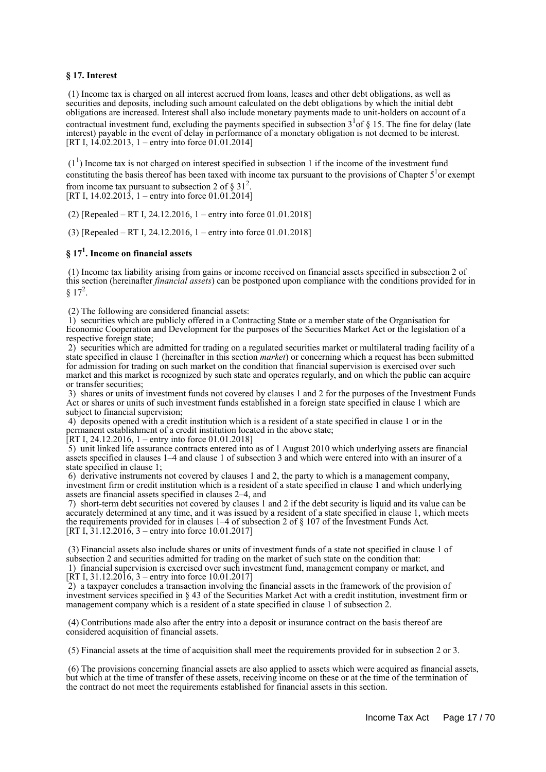#### **§ 17. Interest**

 (1) Income tax is charged on all interest accrued from loans, leases and other debt obligations, as well as securities and deposits, including such amount calculated on the debt obligations by which the initial debt obligations are increased. Interest shall also include monetary payments made to unit-holders on account of a contractual investment fund, excluding the payments specified in subsection  $3^{1}$  of § 15. The fine for delay (late interest) payable in the event of delay in performance of a monetary obligation is not deemed to be interest. [RT I,  $14.02.2013$ , 1 – entry into force 01.01.2014]

 $(1<sup>1</sup>)$  Income tax is not charged on interest specified in subsection 1 if the income of the investment fund constituting the basis thereof has been taxed with income tax pursuant to the provisions of Chapter  $5<sup>1</sup>$ or exempt from income tax pursuant to subsection 2 of  $\S 31^2$ . [RT I, 14.02.2013, 1 – entry into force 01.01.2014]

(2) [Repealed – RT I, 24.12.2016, 1 – entry into force 01.01.2018]

(3) [Repealed – RT I, 24.12.2016, 1 – entry into force 01.01.2018]

## **§ 17<sup>1</sup> . Income on financial assets**

 (1) Income tax liability arising from gains or income received on financial assets specified in subsection 2 of this section (hereinafter *financial assets*) can be postponed upon compliance with the conditions provided for in  $§ 17^2.$ 

(2) The following are considered financial assets:

 1) securities which are publicly offered in a Contracting State or a member state of the Organisation for Economic Cooperation and Development for the purposes of the Securities Market Act or the legislation of a respective foreign state;

 2) securities which are admitted for trading on a regulated securities market or multilateral trading facility of a state specified in clause 1 (hereinafter in this section *market*) or concerning which a request has been submitted for admission for trading on such market on the condition that financial supervision is exercised over such market and this market is recognized by such state and operates regularly, and on which the public can acquire or transfer securities;

 3) shares or units of investment funds not covered by clauses 1 and 2 for the purposes of the Investment Funds Act or shares or units of such investment funds established in a foreign state specified in clause 1 which are subject to financial supervision;

 4) deposits opened with a credit institution which is a resident of a state specified in clause 1 or in the permanent establishment of a credit institution located in the above state;

[RT I, 24.12.2016, 1 – entry into force 01.01.2018]

 5) unit linked life assurance contracts entered into as of 1 August 2010 which underlying assets are financial assets specified in clauses 1–4 and clause 1 of subsection 3 and which were entered into with an insurer of a state specified in clause 1;

 6) derivative instruments not covered by clauses 1 and 2, the party to which is a management company, investment firm or credit institution which is a resident of a state specified in clause 1 and which underlying assets are financial assets specified in clauses 2–4, and

 7) short-term debt securities not covered by clauses 1 and 2 if the debt security is liquid and its value can be accurately determined at any time, and it was issued by a resident of a state specified in clause 1, which meets the requirements provided for in clauses 1–4 of subsection 2 of § 107 of the Investment Funds Act. [RT I,  $31.12.2016$ , 3 – entry into force 10.01.2017]

 (3) Financial assets also include shares or units of investment funds of a state not specified in clause 1 of subsection 2 and securities admitted for trading on the market of such state on the condition that: 1) financial supervision is exercised over such investment fund, management company or market, and [RT I, 31.12.2016, 3 – entry into force 10.01.2017]

 2) a taxpayer concludes a transaction involving the financial assets in the framework of the provision of investment services specified in § 43 of the Securities Market Act with a credit institution, investment firm or management company which is a resident of a state specified in clause 1 of subsection 2.

 (4) Contributions made also after the entry into a deposit or insurance contract on the basis thereof are considered acquisition of financial assets.

(5) Financial assets at the time of acquisition shall meet the requirements provided for in subsection 2 or 3.

 (6) The provisions concerning financial assets are also applied to assets which were acquired as financial assets, but which at the time of transfer of these assets, receiving income on these or at the time of the termination of the contract do not meet the requirements established for financial assets in this section.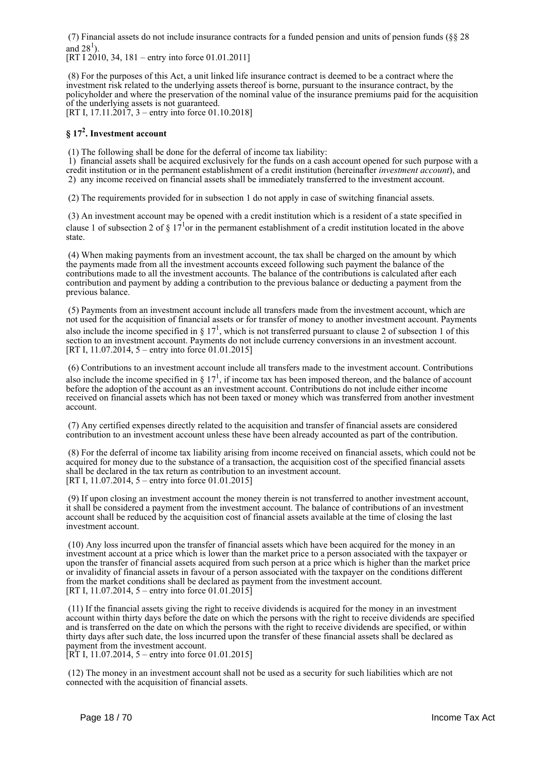(7) Financial assets do not include insurance contracts for a funded pension and units of pension funds (§§ 28 and  $28<sup>1</sup>$ ).

[RT I 2010, 34, 181 – entry into force 01.01.2011]

 (8) For the purposes of this Act, a unit linked life insurance contract is deemed to be a contract where the investment risk related to the underlying assets thereof is borne, pursuant to the insurance contract, by the policyholder and where the preservation of the nominal value of the insurance premiums paid for the acquisition of the underlying assets is not guaranteed.

[RT I, 17.11.2017, 3 – entry into force 01.10.2018]

## **§ 17<sup>2</sup> . Investment account**

(1) The following shall be done for the deferral of income tax liability:

 1) financial assets shall be acquired exclusively for the funds on a cash account opened for such purpose with a credit institution or in the permanent establishment of a credit institution (hereinafter *investment account*), and 2) any income received on financial assets shall be immediately transferred to the investment account.

(2) The requirements provided for in subsection 1 do not apply in case of switching financial assets.

 (3) An investment account may be opened with a credit institution which is a resident of a state specified in clause 1 of subsection 2 of  $\S 17<sup>1</sup>$ or in the permanent establishment of a credit institution located in the above state.

 (4) When making payments from an investment account, the tax shall be charged on the amount by which the payments made from all the investment accounts exceed following such payment the balance of the contributions made to all the investment accounts. The balance of the contributions is calculated after each contribution and payment by adding a contribution to the previous balance or deducting a payment from the previous balance.

 (5) Payments from an investment account include all transfers made from the investment account, which are not used for the acquisition of financial assets or for transfer of money to another investment account. Payments also include the income specified in  $\S 17<sup>1</sup>$ , which is not transferred pursuant to clause 2 of subsection 1 of this section to an investment account. Payments do not include currency conversions in an investment account. [RT I, 11.07.2014, 5 – entry into force 01.01.2015]

 (6) Contributions to an investment account include all transfers made to the investment account. Contributions also include the income specified in  $\S 17<sup>1</sup>$ , if income tax has been imposed thereon, and the balance of account before the adoption of the account as an investment account. Contributions do not include either income received on financial assets which has not been taxed or money which was transferred from another investment account.

 (7) Any certified expenses directly related to the acquisition and transfer of financial assets are considered contribution to an investment account unless these have been already accounted as part of the contribution.

 (8) For the deferral of income tax liability arising from income received on financial assets, which could not be acquired for money due to the substance of a transaction, the acquisition cost of the specified financial assets shall be declared in the tax return as contribution to an investment account. [RT I, 11.07.2014, 5 – entry into force 01.01.2015]

 (9) If upon closing an investment account the money therein is not transferred to another investment account, it shall be considered a payment from the investment account. The balance of contributions of an investment account shall be reduced by the acquisition cost of financial assets available at the time of closing the last investment account.

 (10) Any loss incurred upon the transfer of financial assets which have been acquired for the money in an investment account at a price which is lower than the market price to a person associated with the taxpayer or upon the transfer of financial assets acquired from such person at a price which is higher than the market price or invalidity of financial assets in favour of a person associated with the taxpayer on the conditions different from the market conditions shall be declared as payment from the investment account. [RT I, 11.07.2014, 5 – entry into force 01.01.2015]

 (11) If the financial assets giving the right to receive dividends is acquired for the money in an investment account within thirty days before the date on which the persons with the right to receive dividends are specified and is transferred on the date on which the persons with the right to receive dividends are specified, or within thirty days after such date, the loss incurred upon the transfer of these financial assets shall be declared as payment from the investment account.

 $[RT I, 11.07.2014, 5 - entry into force 01.01.2015]$ 

 (12) The money in an investment account shall not be used as a security for such liabilities which are not connected with the acquisition of financial assets.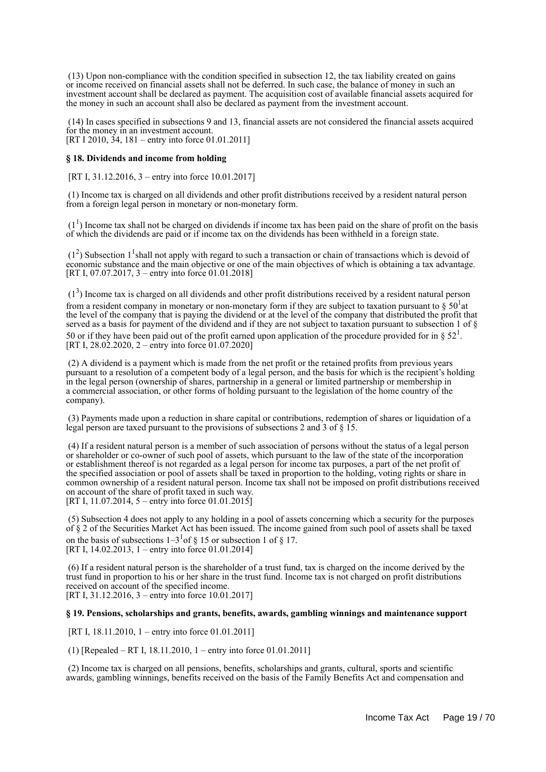(13) Upon non-compliance with the condition specified in subsection 12, the tax liability created on gains or income received on financial assets shall not be deferred. In such case, the balance of money in such an investment account shall be declared as payment. The acquisition cost of available financial assets acquired for the money in such an account shall also be declared as payment from the investment account.

 (14) In cases specified in subsections 9 and 13, financial assets are not considered the financial assets acquired for the money in an investment account. [RT I 2010, 34, 181 – entry into force 01.01.2011]

#### **§ 18. Dividends and income from holding**

[RT I, 31.12.2016, 3 – entry into force 10.01.2017]

 (1) Income tax is charged on all dividends and other profit distributions received by a resident natural person from a foreign legal person in monetary or non-monetary form.

 $(1<sup>1</sup>)$  Income tax shall not be charged on dividends if income tax has been paid on the share of profit on the basis of which the dividends are paid or if income tax on the dividends has been withheld in a foreign state.

 $(1<sup>2</sup>)$  Subsection 1<sup>1</sup> shall not apply with regard to such a transaction or chain of transactions which is devoid of economic substance and the main objective or one of the main objectives of which is obtaining a tax advantage. [RT I, 07.07.2017, 3 – entry into force 01.01.2018]

 $(1<sup>3</sup>)$  Income tax is charged on all dividends and other profit distributions received by a resident natural person from a resident company in monetary or non-monetary form if they are subject to taxation pursuant to  $\S 50^1$ at the level of the company that is paying the dividend or at the level of the company that distributed the profit that served as a basis for payment of the dividend and if they are not subject to taxation pursuant to subsection 1 of § 50 or if they have been paid out of the profit earned upon application of the procedure provided for in § 52<sup>1</sup>. [RT I,  $28.02.2020$ ,  $2 -$ entry into force 01.07.2020]

 (2) A dividend is a payment which is made from the net profit or the retained profits from previous years pursuant to a resolution of a competent body of a legal person, and the basis for which is the recipient's holding in the legal person (ownership of shares, partnership in a general or limited partnership or membership in a commercial association, or other forms of holding pursuant to the legislation of the home country of the company).

 (3) Payments made upon a reduction in share capital or contributions, redemption of shares or liquidation of a legal person are taxed pursuant to the provisions of subsections 2 and 3 of  $\frac{1}{5}$ .

 (4) If a resident natural person is a member of such association of persons without the status of a legal person or shareholder or co-owner of such pool of assets, which pursuant to the law of the state of the incorporation or establishment thereof is not regarded as a legal person for income tax purposes, a part of the net profit of the specified association or pool of assets shall be taxed in proportion to the holding, voting rights or share in common ownership of a resident natural person. Income tax shall not be imposed on profit distributions received on account of the share of profit taxed in such way. [RT I, 11.07.2014, 5 – entry into force  $01.01.2015$ ]

 (5) Subsection 4 does not apply to any holding in a pool of assets concerning which a security for the purposes of § 2 of the Securities Market Act has been issued. The income gained from such pool of assets shall be taxed on the basis of subsections  $1-3<sup>1</sup>$  of § 15 or subsection 1 of § 17. [RT I, 14.02.2013, 1 – entry into force 01.01.2014]

 (6) If a resident natural person is the shareholder of a trust fund, tax is charged on the income derived by the trust fund in proportion to his or her share in the trust fund. Income tax is not charged on profit distributions received on account of the specified income. [RT I, 31.12.2016, 3 – entry into force 10.01.2017]

#### **§ 19. Pensions, scholarships and grants, benefits, awards, gambling winnings and maintenance support**

[RT I, 18.11.2010, 1 – entry into force 01.01.2011]

(1) [Repealed – RT I, 18.11.2010, 1 – entry into force 01.01.2011]

 (2) Income tax is charged on all pensions, benefits, scholarships and grants, cultural, sports and scientific awards, gambling winnings, benefits received on the basis of the Family Benefits Act and compensation and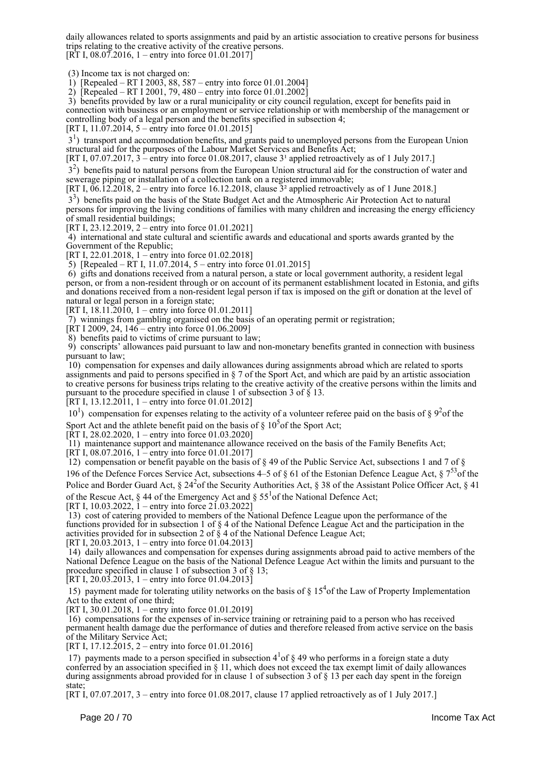daily allowances related to sports assignments and paid by an artistic association to creative persons for business trips relating to the creative activity of the creative persons.  $[RT I, 08.07.2016, 1 - entry into force 01.01.2017]$ 

(3) Income tax is not charged on:

1) [Repealed – RT I 2003, 88, 587 – entry into force 01.01.2004]

2) [Repealed – RT I 2001, 79, 480 – entry into force 01.01.2002]

 3) benefits provided by law or a rural municipality or city council regulation, except for benefits paid in connection with business or an employment or service relationship or with membership of the management or controlling body of a legal person and the benefits specified in subsection 4;

[RT I,  $11.07.2014$ , 5 – entry into force 01.01.2015]

3<sup>1</sup>) transport and accommodation benefits, and grants paid to unemployed persons from the European Union structural aid for the purposes of the Labour Market Services and Benefits Act;

[RT I, 07.07.2017, 3 – entry into force 01.08.2017, clause  $3<sup>1</sup>$  applied retroactively as of 1 July 2017.]

 32 ) benefits paid to natural persons from the European Union structural aid for the construction of water and sewerage piping or installation of a collection tank on a registered immovable;

[RT I,  $06.12.2018$ , 2 – entry into force 16.12.2018, clause  $3<sup>2</sup>$  applied retroactively as of 1 June 2018.]

3<sup>3</sup>) benefits paid on the basis of the State Budget Act and the Atmospheric Air Protection Act to natural persons for improving the living conditions of families with many children and increasing the energy efficiency of small residential buildings;

[RT I, 23.12.2019, 2 – entry into force 01.01.2021]

 4) international and state cultural and scientific awards and educational and sports awards granted by the Government of the Republic;

[RT I, 22.01.2018, 1 – entry into force 01.02.2018]

5) [Repealed – RT I, 11.07.2014, 5 – entry into force 01.01.2015]

 6) gifts and donations received from a natural person, a state or local government authority, a resident legal person, or from a non-resident through or on account of its permanent establishment located in Estonia, and gifts and donations received from a non-resident legal person if tax is imposed on the gift or donation at the level of natural or legal person in a foreign state;

[RT I, 18.11.2010, 1 – entry into force 01.01.2011]

7) winnings from gambling organised on the basis of an operating permit or registration;

[RT I 2009, 24, 146 – entry into force 01.06.2009]

8) benefits paid to victims of crime pursuant to law;

 9) conscripts' allowances paid pursuant to law and non-monetary benefits granted in connection with business pursuant to law;

 10) compensation for expenses and daily allowances during assignments abroad which are related to sports assignments and paid to persons specified in § 7 of the Sport Act, and which are paid by an artistic association to creative persons for business trips relating to the creative activity of the creative persons within the limits and pursuant to the procedure specified in clause 1 of subsection 3 of § 13.

[RT I, 13.12.2011, 1 – entry into force 01.01.2012]

 $10<sup>1</sup>$ ) compensation for expenses relating to the activity of a volunteer referee paid on the basis of § 9<sup>2</sup> of the Sport Act and the athlete benefit paid on the basis of  $\S 10^5$  of the Sport Act;

[RT I, 28.02.2020, 1 – entry into force 01.03.2020]

11) maintenance support and maintenance allowance received on the basis of the Family Benefits Act;

[RT I, 08.07.2016, 1 – entry into force 01.01.2017]

12) compensation or benefit payable on the basis of  $\S$  49 of the Public Service Act, subsections 1 and 7 of  $\S$ 196 of the Defence Forces Service Act, subsections 4–5 of § 61 of the Estonian Defence League Act,  $\frac{5}{3}$  7<sup>53</sup> of the Police and Border Guard Act,  $\S 24^2$  of the Security Authorities Act,  $\S 38$  of the Assistant Police Officer Act,  $\S 41$ 

of the Rescue Act, § 44 of the Emergency Act and §  $55<sup>1</sup>$  of the National Defence Act;

[RT I, 10.03.2022,  $1$  – entry into force 21.03.2022]

 13) cost of catering provided to members of the National Defence League upon the performance of the functions provided for in subsection 1 of § 4 of the National Defence League Act and the participation in the activities provided for in subsection 2 of  $\ddot{\S}$  4 of the National Defence League Act;

[RT I, 20.03.2013, 1 – entry into force 01.04.2013]

 14) daily allowances and compensation for expenses during assignments abroad paid to active members of the National Defence League on the basis of the National Defence League Act within the limits and pursuant to the procedure specified in clause 1 of subsection 3 of § 13; [RT I, 20.03.2013, 1 – entry into force 01.04.2013]

15) payment made for tolerating utility networks on the basis of  $\S 15<sup>4</sup>$ of the Law of Property Implementation Act to the extent of one third;

[RT I, 30.01.2018, 1 – entry into force 01.01.2019]

 16) compensations for the expenses of in-service training or retraining paid to a person who has received permanent health damage due the performance of duties and therefore released from active service on the basis of the Military Service Act;

[RT I, 17.12.2015, 2 – entry into force 01.01.2016]

17) payments made to a person specified in subsection  $4<sup>1</sup>$  of  $\S$  49 who performs in a foreign state a duty conferred by an association specified in § 11, which does not exceed the tax exempt limit of daily allowances during assignments abroad provided for in clause 1 of subsection 3 of § 13 per each day spent in the foreign state;

[RT I, 07.07.2017, 3 – entry into force 01.08.2017, clause 17 applied retroactively as of 1 July 2017.]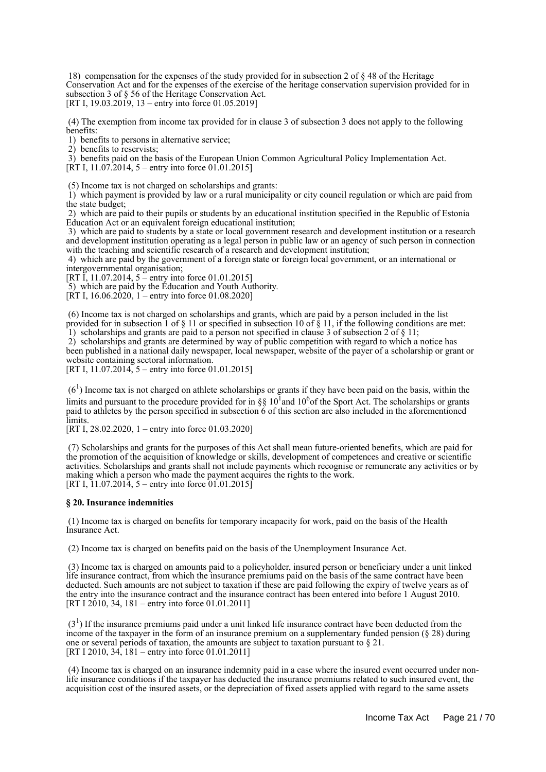18) compensation for the expenses of the study provided for in subsection 2 of § 48 of the Heritage Conservation Act and for the expenses of the exercise of the heritage conservation supervision provided for in subsection 3 of § 56 of the Heritage Conservation Act.

[RT I, 19.03.2019] 13 – entry into force 01.05.2019]

 (4) The exemption from income tax provided for in clause 3 of subsection 3 does not apply to the following benefits:

1) benefits to persons in alternative service;

2) benefits to reservists;

3) benefits paid on the basis of the European Union Common Agricultural Policy Implementation Act.

[RT I, 11.07.2014, 5 – entry into force 01.01.2015]

(5) Income tax is not charged on scholarships and grants:

 1) which payment is provided by law or a rural municipality or city council regulation or which are paid from the state budget;

 2) which are paid to their pupils or students by an educational institution specified in the Republic of Estonia Education Act or an equivalent foreign educational institution;

 3) which are paid to students by a state or local government research and development institution or a research and development institution operating as a legal person in public law or an agency of such person in connection with the teaching and scientific research of a research and development institution;

 4) which are paid by the government of a foreign state or foreign local government, or an international or intergovernmental organisation;

[RT I, 11.07.2014, 5 – entry into force 01.01.2015]

5) which are paid by the Education and Youth Authority.

[RT I, 16.06.2020, 1 – entry into force 01.08.2020]

 (6) Income tax is not charged on scholarships and grants, which are paid by a person included in the list provided for in subsection 1 of § 11 or specified in subsection 10 of § 11, if the following conditions are met: 1) scholarships and grants are paid to a person not specified in clause 3 of subsection  $2 \text{ of } \S 11$ ;

 2) scholarships and grants are determined by way of public competition with regard to which a notice has been published in a national daily newspaper, local newspaper, website of the payer of a scholarship or grant or website containing sectoral information.

[RT I, 11.07.2014, 5 – entry into force 01.01.2015]

 $(6<sup>1</sup>)$  Income tax is not charged on athlete scholarships or grants if they have been paid on the basis, within the limits and pursuant to the procedure provided for in §§ 10<sup>1</sup> and 10<sup>6</sup> of the Sport Act. The scholarships or grants paid to athletes by the person specified in subsection 6 of this section are also included in the aforementioned limits.

[RT I, 28.02.2020, 1 – entry into force 01.03.2020]

 (7) Scholarships and grants for the purposes of this Act shall mean future-oriented benefits, which are paid for the promotion of the acquisition of knowledge or skills, development of competences and creative or scientific activities. Scholarships and grants shall not include payments which recognise or remunerate any activities or by making which a person who made the payment acquires the rights to the work. [RT I,  $11.07.2014$ , 5 – entry into force  $01.01.2015$ ]

#### **§ 20. Insurance indemnities**

 (1) Income tax is charged on benefits for temporary incapacity for work, paid on the basis of the Health Insurance Act.

(2) Income tax is charged on benefits paid on the basis of the Unemployment Insurance Act.

 (3) Income tax is charged on amounts paid to a policyholder, insured person or beneficiary under a unit linked life insurance contract, from which the insurance premiums paid on the basis of the same contract have been deducted. Such amounts are not subject to taxation if these are paid following the expiry of twelve years as of the entry into the insurance contract and the insurance contract has been entered into before 1 August 2010. [RT I 2010, 34, 181 – entry into force 01.01.2011]

 $(3<sup>1</sup>)$  If the insurance premiums paid under a unit linked life insurance contract have been deducted from the income of the taxpayer in the form of an insurance premium on a supplementary funded pension  $(\S 28)$  during one or several periods of taxation, the amounts are subject to taxation pursuant to § 21. [RT I 2010, 34, 181 – entry into force 01.01.2011]

 (4) Income tax is charged on an insurance indemnity paid in a case where the insured event occurred under nonlife insurance conditions if the taxpayer has deducted the insurance premiums related to such insured event, the acquisition cost of the insured assets, or the depreciation of fixed assets applied with regard to the same assets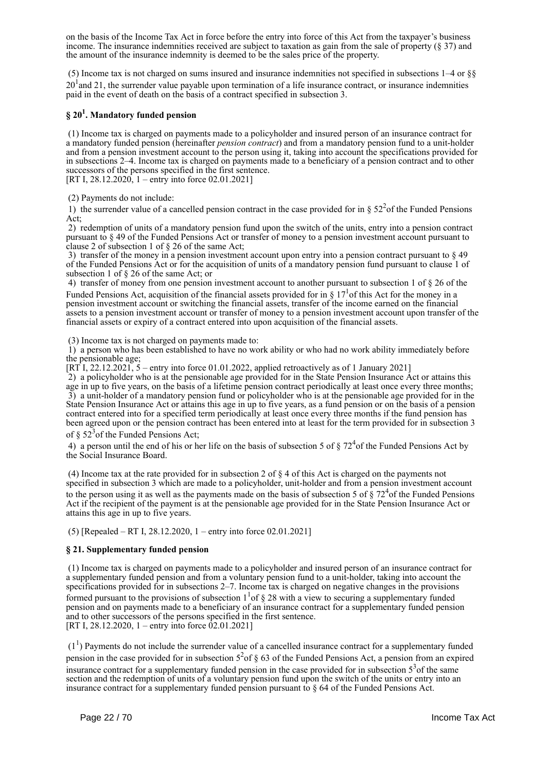on the basis of the Income Tax Act in force before the entry into force of this Act from the taxpayer's business income. The insurance indemnities received are subject to taxation as gain from the sale of property (§ 37) and the amount of the insurance indemnity is deemed to be the sales price of the property.

 (5) Income tax is not charged on sums insured and insurance indemnities not specified in subsections 1–4 or §§  $20<sup>1</sup>$  and 21, the surrender value payable upon termination of a life insurance contract, or insurance indemnities paid in the event of death on the basis of a contract specified in subsection 3.

## **§ 20<sup>1</sup> . Mandatory funded pension**

 (1) Income tax is charged on payments made to a policyholder and insured person of an insurance contract for a mandatory funded pension (hereinafter *pension contract*) and from a mandatory pension fund to a unit-holder and from a pension investment account to the person using it, taking into account the specifications provided for in subsections 2–4. Income tax is charged on payments made to a beneficiary of a pension contract and to other successors of the persons specified in the first sentence.

[RT I, 28.12.2020, 1 – entry into force 02.01.2021]

(2) Payments do not include:

1) the surrender value of a cancelled pension contract in the case provided for in  $\S 52<sup>2</sup>$  of the Funded Pensions  $Act$ 

 2) redemption of units of a mandatory pension fund upon the switch of the units, entry into a pension contract pursuant to § 49 of the Funded Pensions Act or transfer of money to a pension investment account pursuant to clause 2 of subsection 1 of § 26 of the same Act;

 3) transfer of the money in a pension investment account upon entry into a pension contract pursuant to § 49 of the Funded Pensions Act or for the acquisition of units of a mandatory pension fund pursuant to clause 1 of subsection 1 of § 26 of the same Act; or

 4) transfer of money from one pension investment account to another pursuant to subsection 1 of § 26 of the Funded Pensions Act, acquisition of the financial assets provided for in  $\S 17<sup>1</sup>$  of this Act for the money in a pension investment account or switching the financial assets, transfer of the income earned on the financial assets to a pension investment account or transfer of money to a pension investment account upon transfer of the financial assets or expiry of a contract entered into upon acquisition of the financial assets.

(3) Income tax is not charged on payments made to:

 1) a person who has been established to have no work ability or who had no work ability immediately before the pensionable age;

[RT I, 22.12.2021,  $5$  – entry into force 01.01.2022, applied retroactively as of 1 January 2021]

 2) a policyholder who is at the pensionable age provided for in the State Pension Insurance Act or attains this age in up to five years, on the basis of a lifetime pension contract periodically at least once every three months; 3) a unit-holder of a mandatory pension fund or policyholder who is at the pensionable age provided for in the State Pension Insurance Act or attains this age in up to five years, as a fund pension or on the basis of a pension contract entered into for a specified term periodically at least once every three months if the fund pension has been agreed upon or the pension contract has been entered into at least for the term provided for in subsection 3 of  $\S 52<sup>3</sup>$  of the Funded Pensions Act;

4) a person until the end of his or her life on the basis of subsection 5 of  $\S 72<sup>4</sup>$ of the Funded Pensions Act by the Social Insurance Board.

 (4) Income tax at the rate provided for in subsection 2 of § 4 of this Act is charged on the payments not specified in subsection 3 which are made to a policyholder, unit-holder and from a pension investment account to the person using it as well as the payments made on the basis of subsection 5 of  $\S 72<sup>4</sup>$  of the Funded Pensions Act if the recipient of the payment is at the pensionable age provided for in the State Pension Insurance Act or attains this age in up to five years.

(5) [Repealed – RT I, 28.12.2020, 1 – entry into force 02.01.2021]

#### **§ 21. Supplementary funded pension**

 (1) Income tax is charged on payments made to a policyholder and insured person of an insurance contract for a supplementary funded pension and from a voluntary pension fund to a unit-holder, taking into account the specifications provided for in subsections 2–7. Income tax is charged on negative changes in the provisions formed pursuant to the provisions of subsection  $1<sup>1</sup>$  of § 28 with a view to securing a supplementary funded pension and on payments made to a beneficiary of an insurance contract for a supplementary funded pension and to other successors of the persons specified in the first sentence. [RT I, 28.12.2020, 1 – entry into force  $\overline{02.01.2021}$ ]

 $(1<sup>1</sup>)$  Payments do not include the surrender value of a cancelled insurance contract for a supplementary funded pension in the case provided for in subsection  $5^2$  of § 63 of the Funded Pensions Act, a pension from an expired insurance contract for a supplementary funded pension in the case provided for in subsection  $5<sup>3</sup>$  of the same section and the redemption of units of a voluntary pension fund upon the switch of the units or entry into an insurance contract for a supplementary funded pension pursuant to  $\S 64$  of the Funded Pensions Act.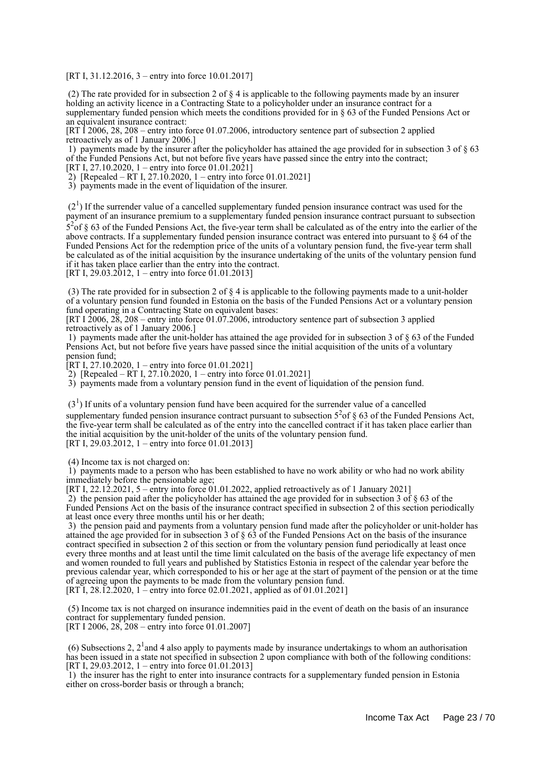[RT I, 31.12.2016, 3 – entry into force 10.01.2017]

 (2) The rate provided for in subsection 2 of § 4 is applicable to the following payments made by an insurer holding an activity licence in a Contracting State to a policyholder under an insurance contract for a supplementary funded pension which meets the conditions provided for in § 63 of the Funded Pensions Act or an equivalent insurance contract:

[RT I 2006, 28, 208 – entry into force 01.07.2006, introductory sentence part of subsection 2 applied retroactively as of 1 January 2006.]

 1) payments made by the insurer after the policyholder has attained the age provided for in subsection 3 of § 63 of the Funded Pensions Act, but not before five years have passed since the entry into the contract; [RT I, 27.10.2020, 1 – entry into force 01.01.2021]

2) [Repealed – RT I, 27.10.2020, 1 – entry into force 01.01.2021]

3) payments made in the event of liquidation of the insurer.

 $(2<sup>1</sup>)$  If the surrender value of a cancelled supplementary funded pension insurance contract was used for the payment of an insurance premium to a supplementary funded pension insurance contract pursuant to subsection  $5<sup>2</sup>$  of § 63 of the Funded Pensions Act, the five-year term shall be calculated as of the entry into the earlier of the above contracts. If a supplementary funded pension insurance contract was entered into pursuant to § 64 of the Funded Pensions Act for the redemption price of the units of a voluntary pension fund, the five-year term shall be calculated as of the initial acquisition by the insurance undertaking of the units of the voluntary pension fund if it has taken place earlier than the entry into the contract.

[RT I, 29.03.2012, 1 – entry into force 01.01.2013]

 (3) The rate provided for in subsection 2 of § 4 is applicable to the following payments made to a unit-holder of a voluntary pension fund founded in Estonia on the basis of the Funded Pensions Act or a voluntary pension fund operating in a Contracting State on equivalent bases:

[RT I 2006, 28, 208 – entry into force 01.07.2006, introductory sentence part of subsection 3 applied retroactively as of 1 January 2006.]

 1) payments made after the unit-holder has attained the age provided for in subsection 3 of § 63 of the Funded Pensions Act, but not before five years have passed since the initial acquisition of the units of a voluntary pension fund;

 $[RT I, 27.10.2020, 1 - entry into force 01.01.2021]$ 

2) [Repealed – RT I, 27.10.2020, 1 – entry into force 01.01.2021]

3) payments made from a voluntary pension fund in the event of liquidation of the pension fund.

 $(3<sup>1</sup>)$  If units of a voluntary pension fund have been acquired for the surrender value of a cancelled supplementary funded pension insurance contract pursuant to subsection  $5<sup>2</sup>$  of § 63 of the Funded Pensions Act, the five-year term shall be calculated as of the entry into the cancelled contract if it has taken place earlier than the initial acquisition by the unit-holder of the units of the voluntary pension fund.

[RT I, 29.03.2012, 1 – entry into force 01.01.2013]

(4) Income tax is not charged on:

 $\dot{1}$ ) payments made to a person who has been established to have no work ability or who had no work ability immediately before the pensionable age;

[RT I, 22.12.2021, 5 – entry into force 01.01.2022, applied retroactively as of 1 January 2021]

2) the pension paid after the policyholder has attained the age provided for in subsection  $3$  of  $\S$  63 of the Funded Pensions Act on the basis of the insurance contract specified in subsection 2 of this section periodically at least once every three months until his or her death;

 3) the pension paid and payments from a voluntary pension fund made after the policyholder or unit-holder has attained the age provided for in subsection 3 of § 63 of the Funded Pensions Act on the basis of the insurance contract specified in subsection 2 of this section or from the voluntary pension fund periodically at least once every three months and at least until the time limit calculated on the basis of the average life expectancy of men and women rounded to full years and published by Statistics Estonia in respect of the calendar year before the previous calendar year, which corresponded to his or her age at the start of payment of the pension or at the time of agreeing upon the payments to be made from the voluntary pension fund. [RT I, 28.12.2020, 1 – entry into force 02.01.2021, applied as of 01.01.2021]

 (5) Income tax is not charged on insurance indemnities paid in the event of death on the basis of an insurance contract for supplementary funded pension.

[RT I 2006, 28, 208 – entry into force 01.01.2007]

(6) Subsections 2,  $2<sup>1</sup>$  and 4 also apply to payments made by insurance undertakings to whom an authorisation has been issued in a state not specified in subsection 2 upon compliance with both of the following conditions: [RT I, 29.03.2012, 1 – entry into force 01.01.2013]

 1) the insurer has the right to enter into insurance contracts for a supplementary funded pension in Estonia either on cross-border basis or through a branch;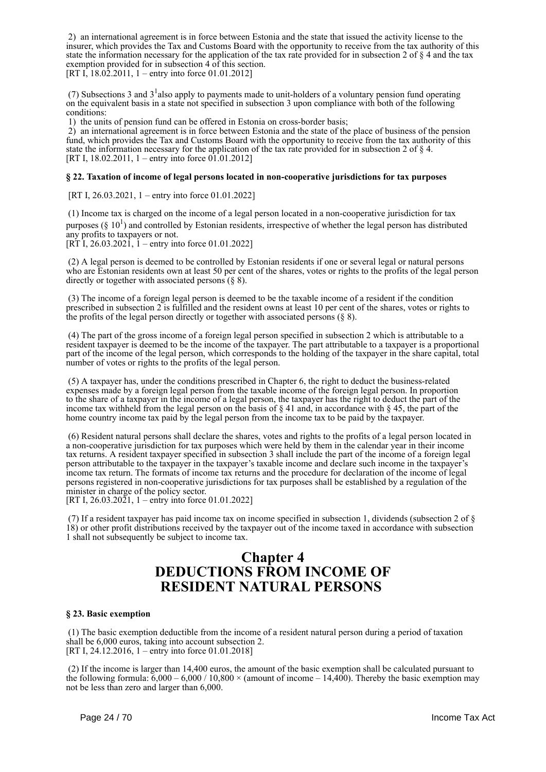2) an international agreement is in force between Estonia and the state that issued the activity license to the insurer, which provides the Tax and Customs Board with the opportunity to receive from the tax authority of this state the information necessary for the application of the tax rate provided for in subsection 2 of § 4 and the tax exemption provided for in subsection 4 of this section. [RT I,  $18.02.2011$ ,  $1 -$ entry into force 01.01.2012]

(7) Subsections 3 and  $3<sup>1</sup>$  also apply to payments made to unit-holders of a voluntary pension fund operating on the equivalent basis in a state not specified in subsection 3 upon compliance with both of the following conditions:

1) the units of pension fund can be offered in Estonia on cross-border basis;

 2) an international agreement is in force between Estonia and the state of the place of business of the pension fund, which provides the Tax and Customs Board with the opportunity to receive from the tax authority of this state the information necessary for the application of the tax rate provided for in subsection 2 of § 4. [RT I, 18.02.2011, 1 – entry into force  $01.01.2012$ ]

#### **§ 22. Taxation of income of legal persons located in non-cooperative jurisdictions for tax purposes**

[RT I, 26.03.2021, 1 – entry into force 01.01.2022]

 (1) Income tax is charged on the income of a legal person located in a non-cooperative jurisdiction for tax purposes (§  $10<sup>1</sup>$ ) and controlled by Estonian residents, irrespective of whether the legal person has distributed any profits to taxpayers or not.

[RT I, 26.03.2021, 1 – entry into force 01.01.2022]

 (2) A legal person is deemed to be controlled by Estonian residents if one or several legal or natural persons who are Estonian residents own at least 50 per cent of the shares, votes or rights to the profits of the legal person directly or together with associated persons (§ 8).

 (3) The income of a foreign legal person is deemed to be the taxable income of a resident if the condition prescribed in subsection 2 is fulfilled and the resident owns at least 10 per cent of the shares, votes or rights to the profits of the legal person directly or together with associated persons  $(\S 8)$ .

 (4) The part of the gross income of a foreign legal person specified in subsection 2 which is attributable to a resident taxpayer is deemed to be the income of the taxpayer. The part attributable to a taxpayer is a proportional part of the income of the legal person, which corresponds to the holding of the taxpayer in the share capital, total number of votes or rights to the profits of the legal person.

 (5) A taxpayer has, under the conditions prescribed in Chapter 6, the right to deduct the business-related expenses made by a foreign legal person from the taxable income of the foreign legal person. In proportion to the share of a taxpayer in the income of a legal person, the taxpayer has the right to deduct the part of the income tax withheld from the legal person on the basis of § 41 and, in accordance with § 45, the part of the home country income tax paid by the legal person from the income tax to be paid by the taxpayer.

 (6) Resident natural persons shall declare the shares, votes and rights to the profits of a legal person located in a non-cooperative jurisdiction for tax purposes which were held by them in the calendar year in their income tax returns. A resident taxpayer specified in subsection 3 shall include the part of the income of a foreign legal person attributable to the taxpayer in the taxpayer's taxable income and declare such income in the taxpayer's income tax return. The formats of income tax returns and the procedure for declaration of the income of legal persons registered in non-cooperative jurisdictions for tax purposes shall be established by a regulation of the minister in charge of the policy sector.

[RT I, 26.03.2021, 1 – entry into force 01.01.2022]

 (7) If a resident taxpayer has paid income tax on income specified in subsection 1, dividends (subsection 2 of § 18) or other profit distributions received by the taxpayer out of the income taxed in accordance with subsection 1 shall not subsequently be subject to income tax.

## **Chapter 4 DEDUCTIONS FROM INCOME OF RESIDENT NATURAL PERSONS**

#### **§ 23. Basic exemption**

 (1) The basic exemption deductible from the income of a resident natural person during a period of taxation shall be 6,000 euros, taking into account subsection 2. [RT I, 24.12.2016, 1 – entry into force 01.01.2018]

 (2) If the income is larger than 14,400 euros, the amount of the basic exemption shall be calculated pursuant to the following formula:  $6,000 - 6,000 / 10,800 \times$  (amount of income – 14,400). Thereby the basic exemption may not be less than zero and larger than 6,000.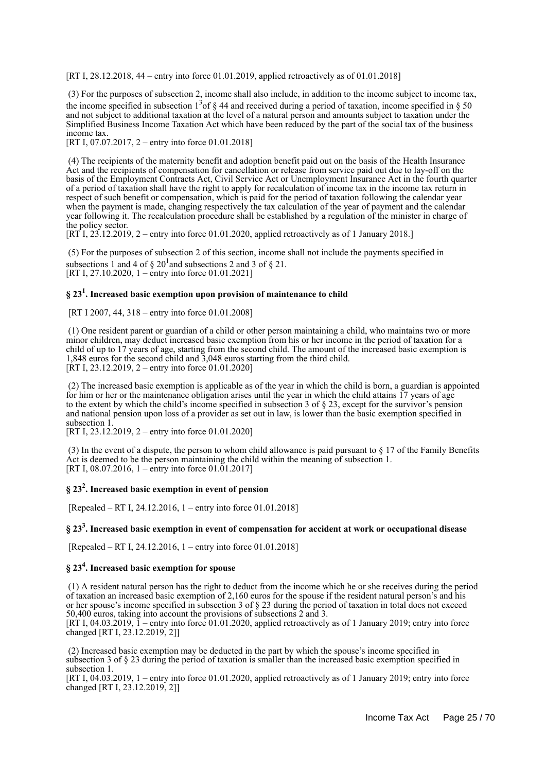[RT I, 28.12.2018, 44 – entry into force 01.01.2019, applied retroactively as of 01.01.2018]

 (3) For the purposes of subsection 2, income shall also include, in addition to the income subject to income tax, the income specified in subsection  $1^3$  of § 44 and received during a period of taxation, income specified in § 50 and not subject to additional taxation at the level of a natural person and amounts subject to taxation under the Simplified Business Income Taxation Act which have been reduced by the part of the social tax of the business income tax.

[RT I, 07.07.2017, 2 – entry into force 01.01.2018]

 (4) The recipients of the maternity benefit and adoption benefit paid out on the basis of the Health Insurance Act and the recipients of compensation for cancellation or release from service paid out due to lay-off on the basis of the Employment Contracts Act, Civil Service Act or Unemployment Insurance Act in the fourth quarter of a period of taxation shall have the right to apply for recalculation of income tax in the income tax return in respect of such benefit or compensation, which is paid for the period of taxation following the calendar year when the payment is made, changing respectively the tax calculation of the year of payment and the calendar year following it. The recalculation procedure shall be established by a regulation of the minister in charge of the policy sector.

[RT I, 23.12.2019, 2 – entry into force 01.01.2020, applied retroactively as of 1 January 2018.]

 (5) For the purposes of subsection 2 of this section, income shall not include the payments specified in subsections 1 and 4 of  $\S 20^1$  and subsections 2 and 3 of  $\S 21$ . [RT I, 27.10.2020, 1 – entry into force 01.01.2021]

## **§ 23<sup>1</sup> . Increased basic exemption upon provision of maintenance to child**

[RT I 2007, 44, 318 – entry into force 01.01.2008]

 (1) One resident parent or guardian of a child or other person maintaining a child, who maintains two or more minor children, may deduct increased basic exemption from his or her income in the period of taxation for a child of up to 17 years of age, starting from the second child. The amount of the increased basic exemption is 1,848 euros for the second child and 3,048 euros starting from the third child.  $[\hat{R}T I, 23.12.2019, 2 -$  entry into force 01.01.2020]

 (2) The increased basic exemption is applicable as of the year in which the child is born, a guardian is appointed for him or her or the maintenance obligation arises until the year in which the child attains 17 years of age to the extent by which the child's income specified in subsection 3 of § 23, except for the survivor's pension and national pension upon loss of a provider as set out in law, is lower than the basic exemption specified in subsection 1.

[RT I, 23.12.2019, 2 – entry into force 01.01.2020]

 (3) In the event of a dispute, the person to whom child allowance is paid pursuant to § 17 of the Family Benefits Act is deemed to be the person maintaining the child within the meaning of subsection 1. [RT I, 08.07.2016, 1 – entry into force 01.01.2017]

## **§ 23<sup>2</sup> . Increased basic exemption in event of pension**

[Repealed – RT I, 24.12.2016, 1 – entry into force 01.01.2018]

## **§ 23<sup>3</sup> . Increased basic exemption in event of compensation for accident at work or occupational disease**

[Repealed – RT I, 24.12.2016, 1 – entry into force 01.01.2018]

## **§ 23<sup>4</sup> . Increased basic exemption for spouse**

 (1) A resident natural person has the right to deduct from the income which he or she receives during the period of taxation an increased basic exemption of 2,160 euros for the spouse if the resident natural person's and his or her spouse's income specified in subsection 3 of § 23 during the period of taxation in total does not exceed 50,400 euros, taking into account the provisions of subsections 2 and 3.

[RT I, 04.03.2019, 1 – entry into force 01.01.2020, applied retroactively as of 1 January 2019; entry into force changed [RT I, 23.12.2019, 2]]

 (2) Increased basic exemption may be deducted in the part by which the spouse's income specified in subsection 3 of § 23 during the period of taxation is smaller than the increased basic exemption specified in subsection 1.

[RT I, 04.03.2019, 1 – entry into force 01.01.2020, applied retroactively as of 1 January 2019; entry into force changed [RT I, 23.12.2019, 2]]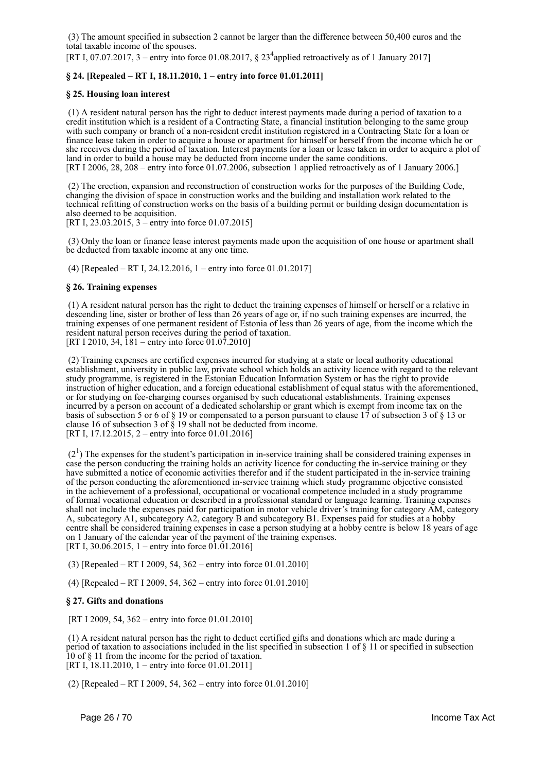(3) The amount specified in subsection 2 cannot be larger than the difference between 50,400 euros and the total taxable income of the spouses.

[RT I, 07.07.2017, 3 – entry into force 01.08.2017,  $\S 23<sup>4</sup>$  applied retroactively as of 1 January 2017]

### **§ 24. [Repealed – RT I, 18.11.2010, 1 – entry into force 01.01.2011]**

#### **§ 25. Housing loan interest**

 (1) A resident natural person has the right to deduct interest payments made during a period of taxation to a credit institution which is a resident of a Contracting State, a financial institution belonging to the same group with such company or branch of a non-resident credit institution registered in a Contracting State for a loan or finance lease taken in order to acquire a house or apartment for himself or herself from the income which he or she receives during the period of taxation. Interest payments for a loan or lease taken in order to acquire a plot of land in order to build a house may be deducted from income under the same conditions. [RT I 2006, 28, 208 – entry into force 01.07.2006, subsection 1 applied retroactively as of 1 January 2006.]

 (2) The erection, expansion and reconstruction of construction works for the purposes of the Building Code, changing the division of space in construction works and the building and installation work related to the technical refitting of construction works on the basis of a building permit or building design documentation is also deemed to be acquisition.

[RT I, 23.03.2015, 3 – entry into force 01.07.2015]

 (3) Only the loan or finance lease interest payments made upon the acquisition of one house or apartment shall be deducted from taxable income at any one time.

(4) [Repealed – RT I, 24.12.2016, 1 – entry into force 01.01.2017]

#### **§ 26. Training expenses**

 (1) A resident natural person has the right to deduct the training expenses of himself or herself or a relative in descending line, sister or brother of less than 26 years of age or, if no such training expenses are incurred, the training expenses of one permanent resident of Estonia of less than 26 years of age, from the income which the resident natural person receives during the period of taxation. [RT I 2010, 34, 181 – entry into force 01.07.2010]

 (2) Training expenses are certified expenses incurred for studying at a state or local authority educational establishment, university in public law, private school which holds an activity licence with regard to the relevant study programme, is registered in the Estonian Education Information System or has the right to provide instruction of higher education, and a foreign educational establishment of equal status with the aforementioned, or for studying on fee-charging courses organised by such educational establishments. Training expenses incurred by a person on account of a dedicated scholarship or grant which is exempt from income tax on the basis of subsection 5 or 6 of § 19 or compensated to a person pursuant to clause 17 of subsection 3 of § 13 or clause 16 of subsection 3 of § 19 shall not be deducted from income. [RT I, 17.12.2015, 2 – entry into force 01.01.2016]

 $(2<sup>1</sup>)$  The expenses for the student's participation in in-service training shall be considered training expenses in case the person conducting the training holds an activity licence for conducting the in-service training or they have submitted a notice of economic activities therefor and if the student participated in the in-service training of the person conducting the aforementioned in-service training which study programme objective consisted in the achievement of a professional, occupational or vocational competence included in a study programme of formal vocational education or described in a professional standard or language learning. Training expenses shall not include the expenses paid for participation in motor vehicle driver's training for category AM, category A, subcategory A1, subcategory A2, category B and subcategory B1. Expenses paid for studies at a hobby centre shall be considered training expenses in case a person studying at a hobby centre is below 18 years of age on 1 January of the calendar year of the payment of the training expenses. [RT I,  $30.06.2015$ , 1 – entry into force  $01.01.2016$ ]

(3) [Repealed – RT I 2009, 54, 362 – entry into force 01.01.2010]

(4) [Repealed – RT I 2009, 54, 362 – entry into force 01.01.2010]

#### **§ 27. Gifts and donations**

[RT I 2009, 54, 362 – entry into force 01.01.2010]

 (1) A resident natural person has the right to deduct certified gifts and donations which are made during a period of taxation to associations included in the list specified in subsection 1 of § 11 or specified in subsection 10 of § 11 from the income for the period of taxation. [RT I, 18.11.2010, 1 – entry into force 01.01.2011]

(2) [Repealed – RT I 2009, 54, 362 – entry into force 01.01.2010]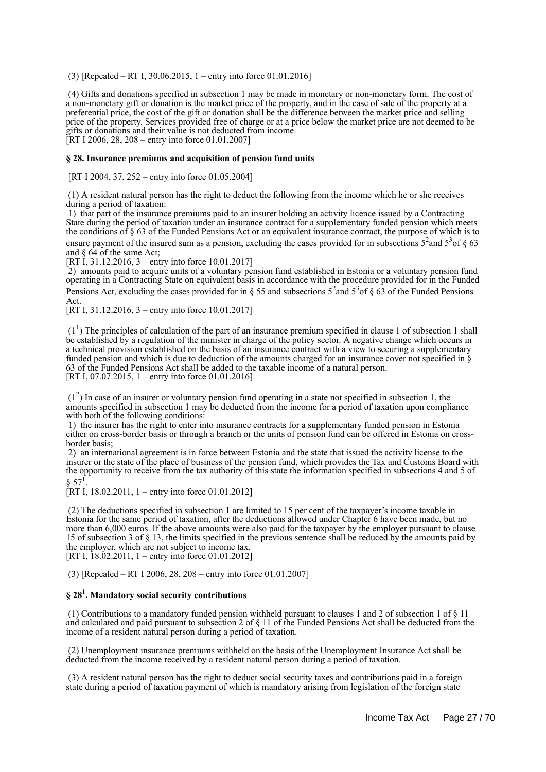(3) [Repealed – RT I, 30.06.2015, 1 – entry into force 01.01.2016]

 (4) Gifts and donations specified in subsection 1 may be made in monetary or non-monetary form. The cost of a non-monetary gift or donation is the market price of the property, and in the case of sale of the property at a preferential price, the cost of the gift or donation shall be the difference between the market price and selling price of the property. Services provided free of charge or at a price below the market price are not deemed to be gifts or donations and their value is not deducted from income. [RT I 2006, 28, 208 – entry into force 01.01.2007]

#### **§ 28. Insurance premiums and acquisition of pension fund units**

[RT I 2004, 37, 252 – entry into force 01.05.2004]

 (1) A resident natural person has the right to deduct the following from the income which he or she receives during a period of taxation:

 1) that part of the insurance premiums paid to an insurer holding an activity licence issued by a Contracting State during the period of taxation under an insurance contract for a supplementary funded pension which meets the conditions of  $\S 63$  of the Funded Pensions Act or an equivalent insurance contract, the purpose of which is to ensure payment of the insured sum as a pension, excluding the cases provided for in subsections  $5^2$  and  $5^3$  of  $\S$  63 and § 64 of the same Act;

[RT I, 31.12.2016, 3 – entry into force 10.01.2017]

 2) amounts paid to acquire units of a voluntary pension fund established in Estonia or a voluntary pension fund operating in a Contracting State on equivalent basis in accordance with the procedure provided for in the Funded Pensions Act, excluding the cases provided for in § 55 and subsections  $5^2$  and  $5^3$  of § 63 of the Funded Pensions Act.

[RT I, 31, 12, 2016, 3 – entry into force 10, 01, 2017]

 $(1<sup>1</sup>)$  The principles of calculation of the part of an insurance premium specified in clause 1 of subsection 1 shall be established by a regulation of the minister in charge of the policy sector. A negative change which occurs in a technical provision established on the basis of an insurance contract with a view to securing a supplementary funded pension and which is due to deduction of the amounts charged for an insurance cover not specified in  $\S$ 63 of the Funded Pensions Act shall be added to the taxable income of a natural person. [RT I, 07.07.2015, 1 – entry into force 01.01.2016]

 (1<sup>2</sup> ) In case of an insurer or voluntary pension fund operating in a state not specified in subsection 1, the amounts specified in subsection 1 may be deducted from the income for a period of taxation upon compliance with both of the following conditions:

 1) the insurer has the right to enter into insurance contracts for a supplementary funded pension in Estonia either on cross-border basis or through a branch or the units of pension fund can be offered in Estonia on crossborder basis;

 2) an international agreement is in force between Estonia and the state that issued the activity license to the insurer or the state of the place of business of the pension fund, which provides the Tax and Customs Board with the opportunity to receive from the tax authority of this state the information specified in subsections 4 and 5 of  $§ 57<sup>1</sup>.$ 

[RT I, 18.02.2011, 1 – entry into force 01.01.2012]

 (2) The deductions specified in subsection 1 are limited to 15 per cent of the taxpayer's income taxable in Estonia for the same period of taxation, after the deductions allowed under Chapter 6 have been made, but no more than 6,000 euros. If the above amounts were also paid for the taxpayer by the employer pursuant to clause 15 of subsection 3 of § 13, the limits specified in the previous sentence shall be reduced by the amounts paid by the employer, which are not subject to income tax. [RT I,  $18.02.2011$ , 1 – entry into force 01.01.2012]

(3) [Repealed – RT I 2006, 28, 208 – entry into force 01.01.2007]

## **§ 28<sup>1</sup> . Mandatory social security contributions**

 (1) Contributions to a mandatory funded pension withheld pursuant to clauses 1 and 2 of subsection 1 of § 11 and calculated and paid pursuant to subsection 2 of § 11 of the Funded Pensions Act shall be deducted from the income of a resident natural person during a period of taxation.

 (2) Unemployment insurance premiums withheld on the basis of the Unemployment Insurance Act shall be deducted from the income received by a resident natural person during a period of taxation.

 (3) A resident natural person has the right to deduct social security taxes and contributions paid in a foreign state during a period of taxation payment of which is mandatory arising from legislation of the foreign state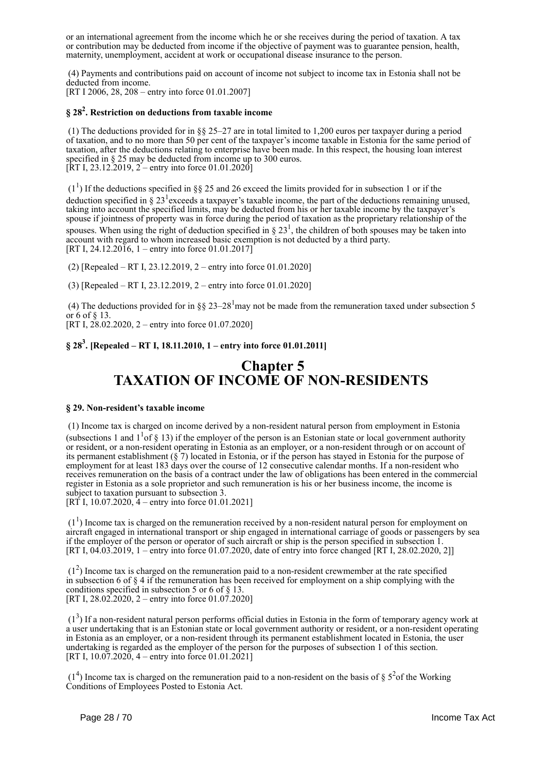or an international agreement from the income which he or she receives during the period of taxation. A tax or contribution may be deducted from income if the objective of payment was to guarantee pension, health, maternity, unemployment, accident at work or occupational disease insurance to the person.

 (4) Payments and contributions paid on account of income not subject to income tax in Estonia shall not be deducted from income. [RT I 2006, 28, 208 – entry into force 01.01.2007]

## **§ 28<sup>2</sup> . Restriction on deductions from taxable income**

 (1) The deductions provided for in §§ 25–27 are in total limited to 1,200 euros per taxpayer during a period of taxation, and to no more than 50 per cent of the taxpayer's income taxable in Estonia for the same period of taxation, after the deductions relating to enterprise have been made. In this respect, the housing loan interest specified in § 25 may be deducted from income up to 300 euros. [RT I, 23.12.2019, 2 – entry into force 01.01.2020]

 $(1<sup>1</sup>)$  If the deductions specified in §§ 25 and 26 exceed the limits provided for in subsection 1 or if the deduction specified in § 23<sup>1</sup> exceeds a taxpayer's taxable income, the part of the deductions remaining unused, taking into account the specified limits, may be deducted from his or her taxable income by the taxpayer's spouse if jointness of property was in force during the period of taxation as the proprietary relationship of the spouses. When using the right of deduction specified in  $\S 23<sup>1</sup>$ , the children of both spouses may be taken into account with regard to whom increased basic exemption is not deducted by a third party. [RT I, 24.12.2016, 1 – entry into force 01.01.2017]

(2) [Repealed – RT I, 23.12.2019, 2 – entry into force 01.01.2020]

(3) [Repealed – RT I, 23.12.2019, 2 – entry into force 01.01.2020]

(4) The deductions provided for in §§ 23–28<sup>1</sup>may not be made from the remuneration taxed under subsection 5 or 6 of § 13.

[RT I, 28.02.2020, 2 – entry into force 01.07.2020]

## **§ 28<sup>3</sup> . [Repealed – RT I, 18.11.2010, 1 – entry into force 01.01.2011]**

## **Chapter 5 TAXATION OF INCOME OF NON-RESIDENTS**

#### **§ 29. Non-resident's taxable income**

 (1) Income tax is charged on income derived by a non-resident natural person from employment in Estonia (subsections 1 and  $1<sup>1</sup>$  of § 13) if the employer of the person is an Estonian state or local government authority or resident, or a non-resident operating in Estonia as an employer, or a non-resident through or on account of its permanent establishment (§ 7) located in Estonia, or if the person has stayed in Estonia for the purpose of employment for at least 183 days over the course of 12 consecutive calendar months. If a non-resident who receives remuneration on the basis of a contract under the law of obligations has been entered in the commercial register in Estonia as a sole proprietor and such remuneration is his or her business income, the income is subject to taxation pursuant to subsection 3.

[RT I, 10.07.2020,  $4$  – entry into force 01.01.2021]

 $(1<sup>1</sup>)$  Income tax is charged on the remuneration received by a non-resident natural person for employment on aircraft engaged in international transport or ship engaged in international carriage of goods or passengers by sea if the employer of the person or operator of such aircraft or ship is the person specified in subsection 1. [RT I, 04.03.2019, 1 – entry into force 01.07.2020, date of entry into force changed [RT I, 28.02.2020, 2]]

 $(1<sup>2</sup>)$  Income tax is charged on the remuneration paid to a non-resident crewmember at the rate specified in subsection 6 of  $\S 4$  if the remuneration has been received for employment on a ship complying with the conditions specified in subsection 5 or 6 of § 13. [RT I, 28.02.2020, 2 – entry into force 01.07.2020]

 (1<sup>3</sup> ) If a non-resident natural person performs official duties in Estonia in the form of temporary agency work at a user undertaking that is an Estonian state or local government authority or resident, or a non-resident operating in Estonia as an employer, or a non-resident through its permanent establishment located in Estonia, the user undertaking is regarded as the employer of the person for the purposes of subsection 1 of this section. [RT I,  $10.07.2020$ ,  $4 -$  entry into force 01.01.2021]

 $(1<sup>4</sup>)$  Income tax is charged on the remuneration paid to a non-resident on the basis of §  $5<sup>2</sup>$  of the Working Conditions of Employees Posted to Estonia Act.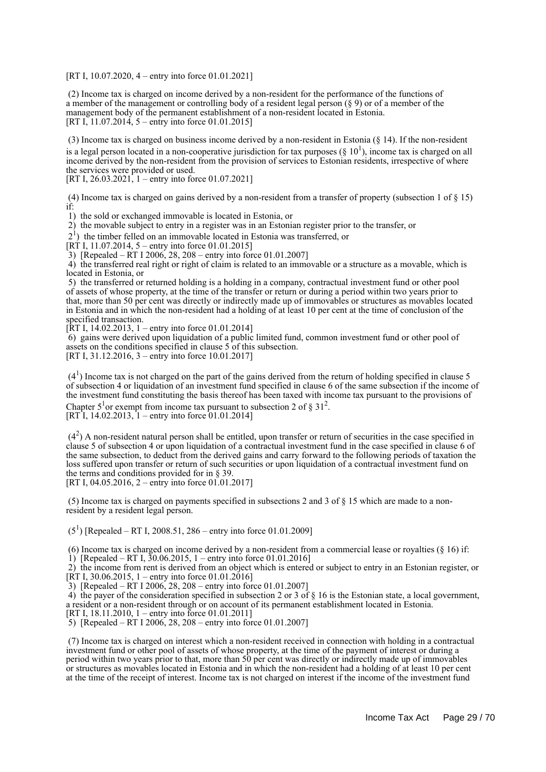[RT I, 10.07.2020, 4 – entry into force 01.01.2021]

 (2) Income tax is charged on income derived by a non-resident for the performance of the functions of a member of the management or controlling body of a resident legal person (§ 9) or of a member of the management body of the permanent establishment of a non-resident located in Estonia. [RT I, 11.07.2014,  $5 -$  entry into force 01.01.2015]

 (3) Income tax is charged on business income derived by a non-resident in Estonia (§ 14). If the non-resident is a legal person located in a non-cooperative jurisdiction for tax purposes  $(\S 10^1)$ , income tax is charged on all income derived by the non-resident from the provision of services to Estonian residents, irrespective of where the services were provided or used.

[RT I, 26.03.2021, 1 – entry into force 01.07.2021]

 (4) Income tax is charged on gains derived by a non-resident from a transfer of property (subsection 1 of § 15) if:

1) the sold or exchanged immovable is located in Estonia, or

2) the movable subject to entry in a register was in an Estonian register prior to the transfer, or

21 ) the timber felled on an immovable located in Estonia was transferred, or

[RT I, 11.07.2014, 5 – entry into force 01.01.2015]

 $\overline{3}$ ) [Repealed – RT I 2006, 28, 208 – entry into force 01.01.2007]

 4) the transferred real right or right of claim is related to an immovable or a structure as a movable, which is located in Estonia, or

 5) the transferred or returned holding is a holding in a company, contractual investment fund or other pool of assets of whose property, at the time of the transfer or return or during a period within two years prior to that, more than 50 per cent was directly or indirectly made up of immovables or structures as movables located in Estonia and in which the non-resident had a holding of at least 10 per cent at the time of conclusion of the specified transaction.

 $[\overline{R}T I, 14.02.2013, 1 -$  entry into force 01.01.2014]

 $6$ ) gains were derived upon liquidation of a public limited fund, common investment fund or other pool of assets on the conditions specified in clause 5 of this subsection.

[RT I, 31.12.2016, 3 – entry into force 10.01.2017]

 $(4<sup>1</sup>)$  Income tax is not charged on the part of the gains derived from the return of holding specified in clause 5 of subsection 4 or liquidation of an investment fund specified in clause 6 of the same subsection if the income of the investment fund constituting the basis thereof has been taxed with income tax pursuant to the provisions of Chapter 5<sup>1</sup> or exempt from income tax pursuant to subsection 2 of  $\S 31^2$ .

[RT I, 14.02.2013, 1 – entry into force 01.01.2014]

 (4<sup>2</sup> ) A non-resident natural person shall be entitled, upon transfer or return of securities in the case specified in clause 5 of subsection 4 or upon liquidation of a contractual investment fund in the case specified in clause 6 of the same subsection, to deduct from the derived gains and carry forward to the following periods of taxation the loss suffered upon transfer or return of such securities or upon liquidation of a contractual investment fund on the terms and conditions provided for in § 39. [RT I, 04.05.2016, 2 – entry into force  $01.01.2017$ ]

 (5) Income tax is charged on payments specified in subsections 2 and 3 of § 15 which are made to a nonresident by a resident legal person.

 $(5^1)$  [Repealed – RT I, 2008.51, 286 – entry into force 01.01.2009]

 (6) Income tax is charged on income derived by a non-resident from a commercial lease or royalties (§ 16) if: 1) [Repealed – RT I,  $30.06, 2015, 1$  – entry into force 01.01.2016]

 2) the income from rent is derived from an object which is entered or subject to entry in an Estonian register, or [RT I, 30.06.2015, 1 – entry into force 01.01.2016]

 $\overline{3}$ ) [Repealed – RT I 2006, 28, 208 – entry into force 01.01.2007]

 4) the payer of the consideration specified in subsection 2 or 3 of § 16 is the Estonian state, a local government, a resident or a non-resident through or on account of its permanent establishment located in Estonia.

[RT I, 18.11.2010, 1 – entry into force 01.01.2011]

5) [Repealed – RT I 2006, 28, 208 – entry into force 01.01.2007]

 (7) Income tax is charged on interest which a non-resident received in connection with holding in a contractual investment fund or other pool of assets of whose property, at the time of the payment of interest or during a period within two years prior to that, more than 50 per cent was directly or indirectly made up of immovables or structures as movables located in Estonia and in which the non-resident had a holding of at least 10 per cent at the time of the receipt of interest. Income tax is not charged on interest if the income of the investment fund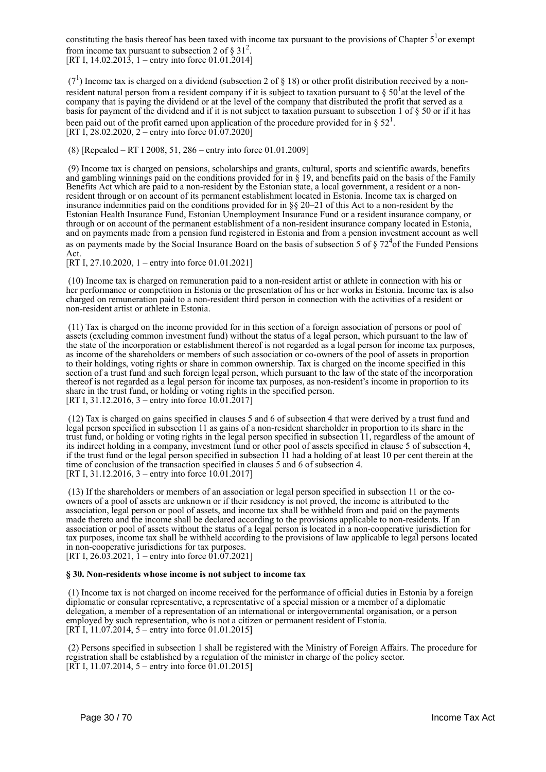constituting the basis thereof has been taxed with income tax pursuant to the provisions of Chapter  $5<sup>1</sup>$ or exempt from income tax pursuant to subsection 2 of  $\S 31^2$ . [RT I, 14.02.2013, 1 – entry into force 01.01.2014]

 $(7<sup>1</sup>)$  Income tax is charged on a dividend (subsection 2 of § 18) or other profit distribution received by a nonresident natural person from a resident company if it is subject to taxation pursuant to  $\S 50^1$  at the level of the company that is paying the dividend or at the level of the company that distributed the profit that served as a basis for payment of the dividend and if it is not subject to taxation pursuant to subsection 1 of § 50 or if it has been paid out of the profit earned upon application of the procedure provided for in §  $52<sup>1</sup>$ . [RT I, 28.02.2020, 2 – entry into force 01.07.2020]

(8) [Repealed – RT I 2008, 51, 286 – entry into force 01.01.2009]

 (9) Income tax is charged on pensions, scholarships and grants, cultural, sports and scientific awards, benefits and gambling winnings paid on the conditions provided for in  $\S$  19, and benefits paid on the basis of the Family Benefits Act which are paid to a non-resident by the Estonian state, a local government, a resident or a nonresident through or on account of its permanent establishment located in Estonia. Income tax is charged on insurance indemnities paid on the conditions provided for in §§ 20–21 of this Act to a non-resident by the Estonian Health Insurance Fund, Estonian Unemployment Insurance Fund or a resident insurance company, or through or on account of the permanent establishment of a non-resident insurance company located in Estonia, and on payments made from a pension fund registered in Estonia and from a pension investment account as well as on payments made by the Social Insurance Board on the basis of subsection 5 of  $\S 72<sup>4</sup>$ of the Funded Pensions Act.

[RT I, 27.10.2020, 1 – entry into force 01.01.2021]

 (10) Income tax is charged on remuneration paid to a non-resident artist or athlete in connection with his or her performance or competition in Estonia or the presentation of his or her works in Estonia. Income tax is also charged on remuneration paid to a non-resident third person in connection with the activities of a resident or non-resident artist or athlete in Estonia.

 (11) Tax is charged on the income provided for in this section of a foreign association of persons or pool of assets (excluding common investment fund) without the status of a legal person, which pursuant to the law of the state of the incorporation or establishment thereof is not regarded as a legal person for income tax purposes, as income of the shareholders or members of such association or co-owners of the pool of assets in proportion to their holdings, voting rights or share in common ownership. Tax is charged on the income specified in this section of a trust fund and such foreign legal person, which pursuant to the law of the state of the incorporation thereof is not regarded as a legal person for income tax purposes, as non-resident's income in proportion to its share in the trust fund, or holding or voting rights in the specified person. [RT I, 31.12.2016, 3 – entry into force 10.01.2017]

 (12) Tax is charged on gains specified in clauses 5 and 6 of subsection 4 that were derived by a trust fund and legal person specified in subsection 11 as gains of a non-resident shareholder in proportion to its share in the trust fund, or holding or voting rights in the legal person specified in subsection 11, regardless of the amount of its indirect holding in a company, investment fund or other pool of assets specified in clause 5 of subsection 4, if the trust fund or the legal person specified in subsection 11 had a holding of at least 10 per cent therein at the time of conclusion of the transaction specified in clauses 5 and 6 of subsection 4. [RT I, 31.12.2016, 3 – entry into force 10.01.2017]

 (13) If the shareholders or members of an association or legal person specified in subsection 11 or the coowners of a pool of assets are unknown or if their residency is not proved, the income is attributed to the association, legal person or pool of assets, and income tax shall be withheld from and paid on the payments made thereto and the income shall be declared according to the provisions applicable to non-residents. If an association or pool of assets without the status of a legal person is located in a non-cooperative jurisdiction for tax purposes, income tax shall be withheld according to the provisions of law applicable to legal persons located in non-cooperative jurisdictions for tax purposes. [RT I, 26.03.2021,  $1$  – entry into force 01.07.2021]

#### **§ 30. Non-residents whose income is not subject to income tax**

 (1) Income tax is not charged on income received for the performance of official duties in Estonia by a foreign diplomatic or consular representative, a representative of a special mission or a member of a diplomatic delegation, a member of a representation of an international or intergovernmental organisation, or a person employed by such representation, who is not a citizen or permanent resident of Estonia. [RT I,  $11.07.2014$ , 5 – entry into force 01.01.2015]

 (2) Persons specified in subsection 1 shall be registered with the Ministry of Foreign Affairs. The procedure for registration shall be established by a regulation of the minister in charge of the policy sector. [RT I, 11.07.2014, 5 – entry into force  $01.01.2015$ ]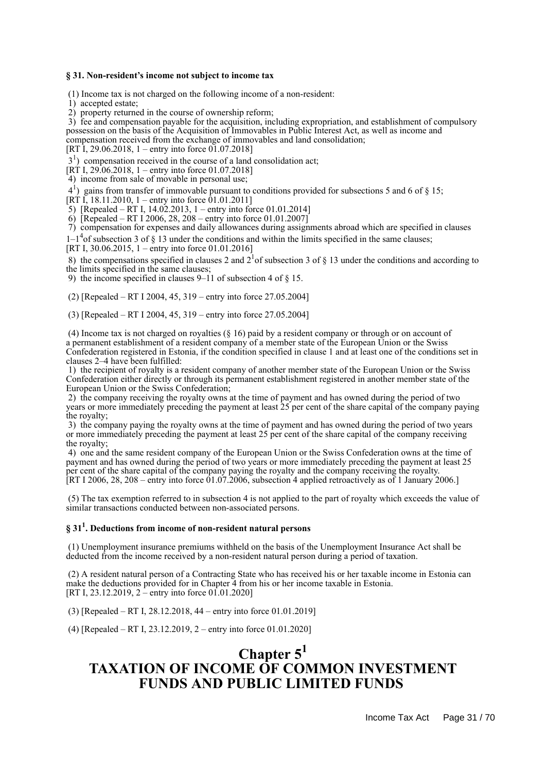#### **§ 31. Non-resident's income not subject to income tax**

(1) Income tax is not charged on the following income of a non-resident:

1) accepted estate;

2) property returned in the course of ownership reform;

 3) fee and compensation payable for the acquisition, including expropriation, and establishment of compulsory possession on the basis of the Acquisition of Immovables in Public Interest Act, as well as income and compensation received from the exchange of immovables and land consolidation;

[RT I, 29.06.2018, 1 – entry into force  $01.07.20181$ ]

3<sup>1</sup>) compensation received in the course of a land consolidation act;

[RT I, 29.06.2018, 1 – entry into force 01.07.2018]

4) income from sale of movable in personal use;

41 ) gains from transfer of immovable pursuant to conditions provided for subsections 5 and 6 of § 15;

[RT I, 18.11.2010, 1 – entry into force 01.01.2011]

5) [Repealed – RT I, 14.02.2013, 1 – entry into force 01.01.2014]

6) [Repealed – RT I 2006, 28, 208 – entry into force 01.01.2007]

7) compensation for expenses and daily allowances during assignments abroad which are specified in clauses

 $1-1<sup>4</sup>$ of subsection 3 of § 13 under the conditions and within the limits specified in the same clauses;

[RT I, 30.06.2015, 1 – entry into force 01.01.2016]

8) the compensations specified in clauses 2 and  $2^{1}$  of subsection 3 of § 13 under the conditions and according to

the limits specified in the same clauses;

9) the income specified in clauses  $9-11$  of subsection 4 of  $8\,15$ .

(2) [Repealed – RT I 2004, 45, 319 – entry into force 27.05.2004]

(3) [Repealed – RT I 2004, 45, 319 – entry into force 27.05.2004]

 (4) Income tax is not charged on royalties (§ 16) paid by a resident company or through or on account of a permanent establishment of a resident company of a member state of the European Union or the Swiss Confederation registered in Estonia, if the condition specified in clause 1 and at least one of the conditions set in clauses 2–4 have been fulfilled:

 1) the recipient of royalty is a resident company of another member state of the European Union or the Swiss Confederation either directly or through its permanent establishment registered in another member state of the European Union or the Swiss Confederation;

 2) the company receiving the royalty owns at the time of payment and has owned during the period of two years or more immediately preceding the payment at least 25 per cent of the share capital of the company paying the royalty;

 3) the company paying the royalty owns at the time of payment and has owned during the period of two years or more immediately preceding the payment at least 25 per cent of the share capital of the company receiving the royalty;

 4) one and the same resident company of the European Union or the Swiss Confederation owns at the time of payment and has owned during the period of two years or more immediately preceding the payment at least 25 per cent of the share capital of the company paying the royalty and the company receiving the royalty. [RT I 2006, 28, 208 – entry into force  $01.07.2006$ , subsection 4 applied retroactively as of 1 January 2006.]

 (5) The tax exemption referred to in subsection 4 is not applied to the part of royalty which exceeds the value of similar transactions conducted between non-associated persons.

## **§ 31<sup>1</sup> . Deductions from income of non-resident natural persons**

 (1) Unemployment insurance premiums withheld on the basis of the Unemployment Insurance Act shall be deducted from the income received by a non-resident natural person during a period of taxation.

 (2) A resident natural person of a Contracting State who has received his or her taxable income in Estonia can make the deductions provided for in Chapter 4 from his or her income taxable in Estonia. [RT I, 23.12.2019, 2 – entry into force 01.01.2020]

(3) [Repealed – RT I, 28.12.2018, 44 – entry into force 01.01.2019]

(4) [Repealed – RT I, 23.12.2019, 2 – entry into force 01.01.2020]

## **Chapter 5<sup>1</sup> TAXATION OF INCOME OF COMMON INVESTMENT FUNDS AND PUBLIC LIMITED FUNDS**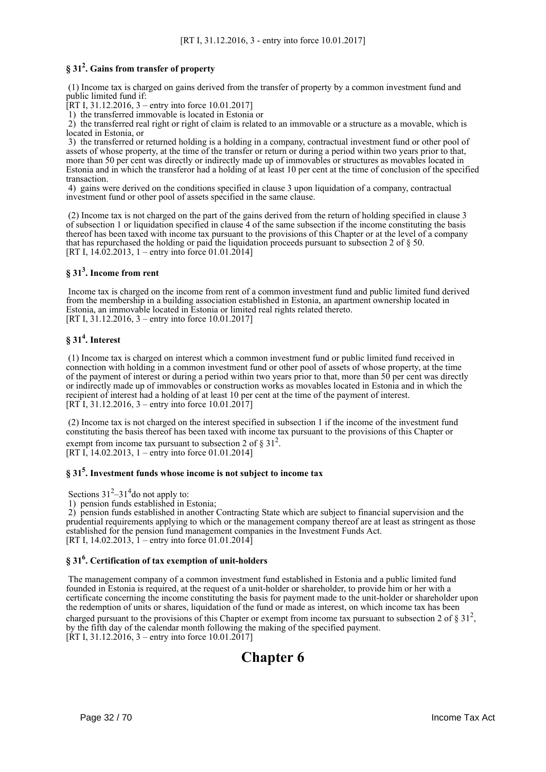## **§ 31<sup>2</sup> . Gains from transfer of property**

 (1) Income tax is charged on gains derived from the transfer of property by a common investment fund and public limited fund if:

[RT I, 31.12.2016, 3 – entry into force 10.01.2017]

1) the transferred immovable is located in Estonia or

 2) the transferred real right or right of claim is related to an immovable or a structure as a movable, which is located in Estonia, or

 3) the transferred or returned holding is a holding in a company, contractual investment fund or other pool of assets of whose property, at the time of the transfer or return or during a period within two years prior to that, more than 50 per cent was directly or indirectly made up of immovables or structures as movables located in Estonia and in which the transferor had a holding of at least 10 per cent at the time of conclusion of the specified transaction.

 4) gains were derived on the conditions specified in clause 3 upon liquidation of a company, contractual investment fund or other pool of assets specified in the same clause.

 (2) Income tax is not charged on the part of the gains derived from the return of holding specified in clause 3 of subsection 1 or liquidation specified in clause 4 of the same subsection if the income constituting the basis thereof has been taxed with income tax pursuant to the provisions of this Chapter or at the level of a company that has repurchased the holding or paid the liquidation proceeds pursuant to subsection 2 of § 50. [RT I,  $14.02.2013$ , 1 – entry into force 01.01.2014]

## **§ 31<sup>3</sup> . Income from rent**

 Income tax is charged on the income from rent of a common investment fund and public limited fund derived from the membership in a building association established in Estonia, an apartment ownership located in Estonia, an immovable located in Estonia or limited real rights related thereto. [RT I, 31.12.2016, 3 – entry into force 10.01.2017]

## **§ 31<sup>4</sup> . Interest**

 (1) Income tax is charged on interest which a common investment fund or public limited fund received in connection with holding in a common investment fund or other pool of assets of whose property, at the time of the payment of interest or during a period within two years prior to that, more than 50 per cent was directly or indirectly made up of immovables or construction works as movables located in Estonia and in which the recipient of interest had a holding of at least 10 per cent at the time of the payment of interest. [RT I, 31.12.2016, 3 – entry into force 10.01.2017]

 (2) Income tax is not charged on the interest specified in subsection 1 if the income of the investment fund constituting the basis thereof has been taxed with income tax pursuant to the provisions of this Chapter or exempt from income tax pursuant to subsection 2 of  $\S 31^2$ . [RT I, 14.02.2013, 1 – entry into force 01.01.2014]

**§ 31<sup>5</sup> . Investment funds whose income is not subject to income tax**

Sections  $31^2 - 31^4$  do not apply to:

1) pension funds established in Estonia;

 2) pension funds established in another Contracting State which are subject to financial supervision and the prudential requirements applying to which or the management company thereof are at least as stringent as those established for the pension fund management companies in the Investment Funds Act. [RT I, 14.02.2013,  $\bar{1}$  – entry into force 01.01.2014]

## **§ 31<sup>6</sup> . Certification of tax exemption of unit-holders**

 The management company of a common investment fund established in Estonia and a public limited fund founded in Estonia is required, at the request of a unit-holder or shareholder, to provide him or her with a certificate concerning the income constituting the basis for payment made to the unit-holder or shareholder upon the redemption of units or shares, liquidation of the fund or made as interest, on which income tax has been charged pursuant to the provisions of this Chapter or exempt from income tax pursuant to subsection 2 of  $\S 31^2$ , by the fifth day of the calendar month following the making of the specified payment.  $[\text{RT } I, 31.12.2016, 3 -$  entry into force 10.01.2017]

## **Chapter 6**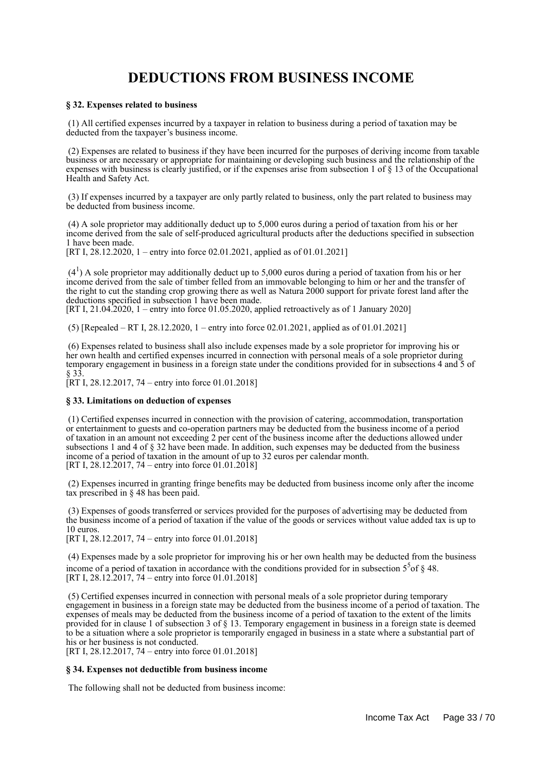## **DEDUCTIONS FROM BUSINESS INCOME**

#### **§ 32. Expenses related to business**

 (1) All certified expenses incurred by a taxpayer in relation to business during a period of taxation may be deducted from the taxpayer's business income.

 (2) Expenses are related to business if they have been incurred for the purposes of deriving income from taxable business or are necessary or appropriate for maintaining or developing such business and the relationship of the expenses with business is clearly justified, or if the expenses arise from subsection 1 of § 13 of the Occupational Health and Safety Act.

 (3) If expenses incurred by a taxpayer are only partly related to business, only the part related to business may be deducted from business income.

 (4) A sole proprietor may additionally deduct up to 5,000 euros during a period of taxation from his or her income derived from the sale of self-produced agricultural products after the deductions specified in subsection 1 have been made.

[RT I, 28.12.2020, 1 – entry into force 02.01.2021, applied as of 01.01.2021]

 $(4<sup>1</sup>)$  A sole proprietor may additionally deduct up to 5,000 euros during a period of taxation from his or her income derived from the sale of timber felled from an immovable belonging to him or her and the transfer of the right to cut the standing crop growing there as well as Natura 2000 support for private forest land after the deductions specified in subsection 1 have been made.

[RT I, 21.04.2020, 1 – entry into force 01.05.2020, applied retroactively as of 1 January 2020]

(5) [Repealed – RT I,  $28.12.2020$ , 1 – entry into force  $02.01.2021$ , applied as of  $01.01.2021$ ]

 (6) Expenses related to business shall also include expenses made by a sole proprietor for improving his or her own health and certified expenses incurred in connection with personal meals of a sole proprietor during temporary engagement in business in a foreign state under the conditions provided for in subsections 4 and 5 of § 33.

 $[RT I, 28.12.2017, 74 - entry into force 01.01.2018]$ 

#### **§ 33. Limitations on deduction of expenses**

 (1) Certified expenses incurred in connection with the provision of catering, accommodation, transportation or entertainment to guests and co-operation partners may be deducted from the business income of a period of taxation in an amount not exceeding 2 per cent of the business income after the deductions allowed under subsections 1 and 4 of § 32 have been made. In addition, such expenses may be deducted from the business income of a period of taxation in the amount of up to 32 euros per calendar month. [RT I, 28.12.2017, 74 – entry into force 01.01.2018]

 (2) Expenses incurred in granting fringe benefits may be deducted from business income only after the income tax prescribed in § 48 has been paid.

 (3) Expenses of goods transferred or services provided for the purposes of advertising may be deducted from the business income of a period of taxation if the value of the goods or services without value added tax is up to 10 euros.

[RT I, 28.12.2017, 74 – entry into force 01.01.2018]

 (4) Expenses made by a sole proprietor for improving his or her own health may be deducted from the business income of a period of taxation in accordance with the conditions provided for in subsection  $5<sup>5</sup>$  of § 48. [RT I, 28.12.2017, 74 – entry into force 01.01.2018]

 (5) Certified expenses incurred in connection with personal meals of a sole proprietor during temporary engagement in business in a foreign state may be deducted from the business income of a period of taxation. The expenses of meals may be deducted from the business income of a period of taxation to the extent of the limits provided for in clause 1 of subsection 3 of § 13. Temporary engagement in business in a foreign state is deemed to be a situation where a sole proprietor is temporarily engaged in business in a state where a substantial part of his or her business is not conducted.

[RT I, 28.12.2017, 74 – entry into force 01.01.2018]

#### **§ 34. Expenses not deductible from business income**

The following shall not be deducted from business income: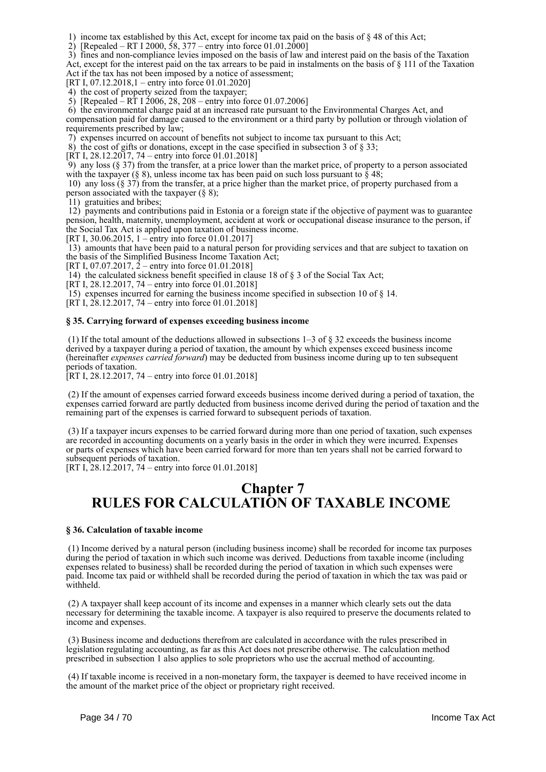1) income tax established by this Act, except for income tax paid on the basis of § 48 of this Act;

2) [Repealed – RT I 2000, 58, 377 – entry into force  $01.01.2000$ ]

 3) fines and non-compliance levies imposed on the basis of law and interest paid on the basis of the Taxation Act, except for the interest paid on the tax arrears to be paid in instalments on the basis of  $\S$  111 of the Taxation Act if the tax has not been imposed by a notice of assessment;

[RT I, 07.12.2018,1 – entry into force 01.01.2020]

4) the cost of property seized from the taxpayer;

5) [Repealed – RT I 2006, 28, 208 – entry into force 01.07.2006]

 6) the environmental charge paid at an increased rate pursuant to the Environmental Charges Act, and compensation paid for damage caused to the environment or a third party by pollution or through violation of requirements prescribed by law;

7) expenses incurred on account of benefits not subject to income tax pursuant to this Act;

8) the cost of gifts or donations, except in the case specified in subsection 3 of  $\S$  33;

[RT I,  $28.12.2017$ ,  $74$  – entry into force 01.01.2018]

9) any loss  $(\S 37)$  from the transfer, at a price lower than the market price, of property to a person associated with the taxpayer (§ 8), unless income tax has been paid on such loss pursuant to  $\hat{\S}$  48;

 10) any loss (§ 37) from the transfer, at a price higher than the market price, of property purchased from a person associated with the taxpayer  $(\S 8)$ ;

11) gratuities and bribes;

 12) payments and contributions paid in Estonia or a foreign state if the objective of payment was to guarantee pension, health, maternity, unemployment, accident at work or occupational disease insurance to the person, if the Social Tax Act is applied upon taxation of business income.

[RT I, 30.06.2015, 1 – entry into force 01.01.2017]

 13) amounts that have been paid to a natural person for providing services and that are subject to taxation on the basis of the Simplified Business Income Taxation Act;

[RT I, 07.07.2017,  $\dot{2}$  – entry into force 01.01.2018]

14) the calculated sickness benefit specified in clause 18 of § 3 of the Social Tax Act;

[RT I, 28.12.2017, 74 – entry into force 01.01.2018]

15) expenses incurred for earning the business income specified in subsection 10 of § 14.

 $[RT\ I, 28.12.2017, 74 - entry into force 01.01.2018]$ 

#### **§ 35. Carrying forward of expenses exceeding business income**

(1) If the total amount of the deductions allowed in subsections  $1-3$  of  $\S$  32 exceeds the business income derived by a taxpayer during a period of taxation, the amount by which expenses exceed business income (hereinafter *expenses carried forward*) may be deducted from business income during up to ten subsequent periods of taxation.

[RT I, 28.12.2017, 74 – entry into force 01.01.2018]

 (2) If the amount of expenses carried forward exceeds business income derived during a period of taxation, the expenses carried forward are partly deducted from business income derived during the period of taxation and the remaining part of the expenses is carried forward to subsequent periods of taxation.

 (3) If a taxpayer incurs expenses to be carried forward during more than one period of taxation, such expenses are recorded in accounting documents on a yearly basis in the order in which they were incurred. Expenses or parts of expenses which have been carried forward for more than ten years shall not be carried forward to subsequent periods of taxation.

[RT I, 28.12.2017, 74 – entry into force 01.01.2018]

## **Chapter 7 RULES FOR CALCULATION OF TAXABLE INCOME**

#### **§ 36. Calculation of taxable income**

 (1) Income derived by a natural person (including business income) shall be recorded for income tax purposes during the period of taxation in which such income was derived. Deductions from taxable income (including expenses related to business) shall be recorded during the period of taxation in which such expenses were paid. Income tax paid or withheld shall be recorded during the period of taxation in which the tax was paid or withheld.

 (2) A taxpayer shall keep account of its income and expenses in a manner which clearly sets out the data necessary for determining the taxable income. A taxpayer is also required to preserve the documents related to income and expenses.

 (3) Business income and deductions therefrom are calculated in accordance with the rules prescribed in legislation regulating accounting, as far as this Act does not prescribe otherwise. The calculation method prescribed in subsection 1 also applies to sole proprietors who use the accrual method of accounting.

 (4) If taxable income is received in a non-monetary form, the taxpayer is deemed to have received income in the amount of the market price of the object or proprietary right received.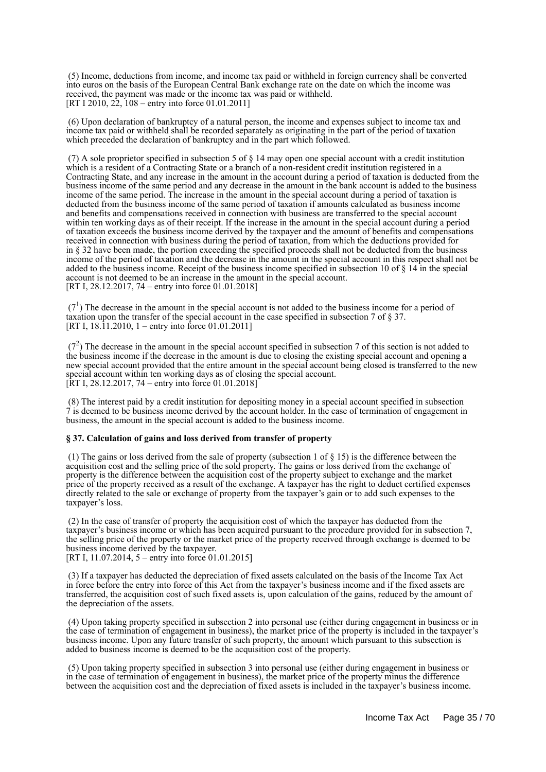(5) Income, deductions from income, and income tax paid or withheld in foreign currency shall be converted into euros on the basis of the European Central Bank exchange rate on the date on which the income was received, the payment was made or the income tax was paid or withheld. [RT I 2010, 22, 108 – entry into force 01.01.2011]

 (6) Upon declaration of bankruptcy of a natural person, the income and expenses subject to income tax and income tax paid or withheld shall be recorded separately as originating in the part of the period of taxation which preceded the declaration of bankruptcy and in the part which followed.

 (7) A sole proprietor specified in subsection 5 of § 14 may open one special account with a credit institution which is a resident of a Contracting State or a branch of a non-resident credit institution registered in a Contracting State, and any increase in the amount in the account during a period of taxation is deducted from the business income of the same period and any decrease in the amount in the bank account is added to the business income of the same period. The increase in the amount in the special account during a period of taxation is deducted from the business income of the same period of taxation if amounts calculated as business income and benefits and compensations received in connection with business are transferred to the special account within ten working days as of their receipt. If the increase in the amount in the special account during a period of taxation exceeds the business income derived by the taxpayer and the amount of benefits and compensations received in connection with business during the period of taxation, from which the deductions provided for in § 32 have been made, the portion exceeding the specified proceeds shall not be deducted from the business income of the period of taxation and the decrease in the amount in the special account in this respect shall not be added to the business income. Receipt of the business income specified in subsection 10 of § 14 in the special account is not deemed to be an increase in the amount in the special account. [RT I, 28, 12, 2017, 74 – entry into force 01, 01, 2018]

 $(7<sup>1</sup>)$  The decrease in the amount in the special account is not added to the business income for a period of taxation upon the transfer of the special account in the case specified in subsection 7 of § 37. [RT I,  $18.\overline{11.2010}$ , 1 – entry into force 01.01.2011]

 $(7<sup>2</sup>)$  The decrease in the amount in the special account specified in subsection 7 of this section is not added to the business income if the decrease in the amount is due to closing the existing special account and opening a new special account provided that the entire amount in the special account being closed is transferred to the new special account within ten working days as of closing the special account. [RT I, 28.12.2017, 74 – entry into force 01.01.2018]

 (8) The interest paid by a credit institution for depositing money in a special account specified in subsection 7 is deemed to be business income derived by the account holder. In the case of termination of engagement in business, the amount in the special account is added to the business income.

#### **§ 37. Calculation of gains and loss derived from transfer of property**

 (1) The gains or loss derived from the sale of property (subsection 1 of § 15) is the difference between the acquisition cost and the selling price of the sold property. The gains or loss derived from the exchange of property is the difference between the acquisition cost of the property subject to exchange and the market price of the property received as a result of the exchange. A taxpayer has the right to deduct certified expenses directly related to the sale or exchange of property from the taxpayer's gain or to add such expenses to the taxpayer's loss.

 (2) In the case of transfer of property the acquisition cost of which the taxpayer has deducted from the taxpayer's business income or which has been acquired pursuant to the procedure provided for in subsection 7, the selling price of the property or the market price of the property received through exchange is deemed to be business income derived by the taxpayer.

[RT I, 11.07.2014, 5 – entry into force 01.01.2015]

 (3) If a taxpayer has deducted the depreciation of fixed assets calculated on the basis of the Income Tax Act in force before the entry into force of this Act from the taxpayer's business income and if the fixed assets are transferred, the acquisition cost of such fixed assets is, upon calculation of the gains, reduced by the amount of the depreciation of the assets.

 (4) Upon taking property specified in subsection 2 into personal use (either during engagement in business or in the case of termination of engagement in business), the market price of the property is included in the taxpayer's business income. Upon any future transfer of such property, the amount which pursuant to this subsection is added to business income is deemed to be the acquisition cost of the property.

 (5) Upon taking property specified in subsection 3 into personal use (either during engagement in business or in the case of termination of engagement in business), the market price of the property minus the difference between the acquisition cost and the depreciation of fixed assets is included in the taxpayer's business income.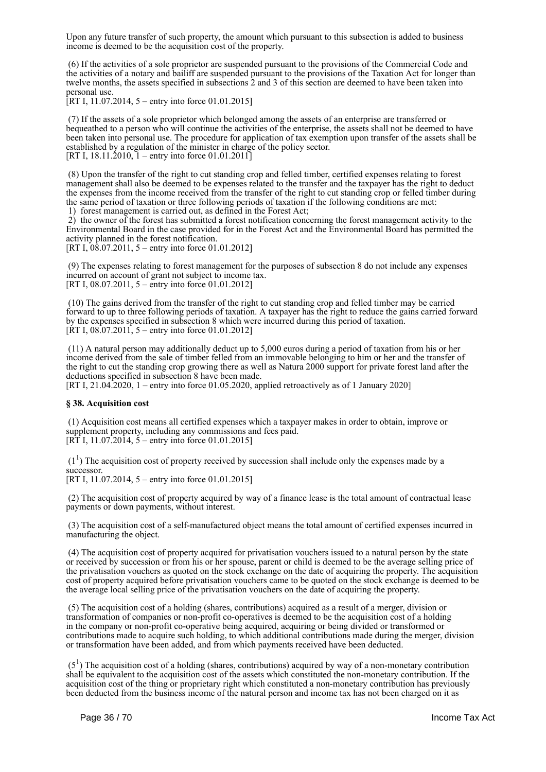Upon any future transfer of such property, the amount which pursuant to this subsection is added to business income is deemed to be the acquisition cost of the property.

 (6) If the activities of a sole proprietor are suspended pursuant to the provisions of the Commercial Code and the activities of a notary and bailiff are suspended pursuant to the provisions of the Taxation Act for longer than twelve months, the assets specified in subsections 2 and 3 of this section are deemed to have been taken into personal use.

 $[RT I, 11.07.2014, 5 -$  entry into force 01.01.2015]

 (7) If the assets of a sole proprietor which belonged among the assets of an enterprise are transferred or bequeathed to a person who will continue the activities of the enterprise, the assets shall not be deemed to have been taken into personal use. The procedure for application of tax exemption upon transfer of the assets shall be established by a regulation of the minister in charge of the policy sector. [RT I,  $18.11.\overline{2}010$ ,  $\overline{1}$  – entry into force 01.01.2011]

 (8) Upon the transfer of the right to cut standing crop and felled timber, certified expenses relating to forest management shall also be deemed to be expenses related to the transfer and the taxpayer has the right to deduct the expenses from the income received from the transfer of the right to cut standing crop or felled timber during the same period of taxation or three following periods of taxation if the following conditions are met: 1) forest management is carried out, as defined in the Forest Act;

 2) the owner of the forest has submitted a forest notification concerning the forest management activity to the Environmental Board in the case provided for in the Forest Act and the Environmental Board has permitted the activity planned in the forest notification.

[RT I, 08.07.2011, 5 – entry into force 01.01.2012]

 (9) The expenses relating to forest management for the purposes of subsection 8 do not include any expenses incurred on account of grant not subject to income tax. [RT I, 08.07.2011, 5 – entry into force 01.01.2012]

 (10) The gains derived from the transfer of the right to cut standing crop and felled timber may be carried forward to up to three following periods of taxation. A taxpayer has the right to reduce the gains carried forward by the expenses specified in subsection 8 which were incurred during this period of taxation. [ $\text{RT}$  I, 08.07.2011, 5 – entry into force 01.01.2012]

 (11) A natural person may additionally deduct up to 5,000 euros during a period of taxation from his or her income derived from the sale of timber felled from an immovable belonging to him or her and the transfer of the right to cut the standing crop growing there as well as Natura 2000 support for private forest land after the deductions specified in subsection 8 have been made.

[RT I, 21.04.2020, 1 – entry into force 01.05.2020, applied retroactively as of 1 January 2020]

#### **§ 38. Acquisition cost**

 (1) Acquisition cost means all certified expenses which a taxpayer makes in order to obtain, improve or supplement property, including any commissions and fees paid. [RT I, 11.07.2014,  $\frac{5}{2}$  – entry into force 01.01.2015]

 $(1<sup>1</sup>)$  The acquisition cost of property received by succession shall include only the expenses made by a successor.

[RT I, 11.07.2014, 5 – entry into force 01.01.2015]

 (2) The acquisition cost of property acquired by way of a finance lease is the total amount of contractual lease payments or down payments, without interest.

 (3) The acquisition cost of a self-manufactured object means the total amount of certified expenses incurred in manufacturing the object.

 (4) The acquisition cost of property acquired for privatisation vouchers issued to a natural person by the state or received by succession or from his or her spouse, parent or child is deemed to be the average selling price of the privatisation vouchers as quoted on the stock exchange on the date of acquiring the property. The acquisition cost of property acquired before privatisation vouchers came to be quoted on the stock exchange is deemed to be the average local selling price of the privatisation vouchers on the date of acquiring the property.

 (5) The acquisition cost of a holding (shares, contributions) acquired as a result of a merger, division or transformation of companies or non-profit co-operatives is deemed to be the acquisition cost of a holding in the company or non-profit co-operative being acquired, acquiring or being divided or transformed or contributions made to acquire such holding, to which additional contributions made during the merger, division or transformation have been added, and from which payments received have been deducted.

 $(5<sup>1</sup>)$  The acquisition cost of a holding (shares, contributions) acquired by way of a non-monetary contribution shall be equivalent to the acquisition cost of the assets which constituted the non-monetary contribution. If the acquisition cost of the thing or proprietary right which constituted a non-monetary contribution has previously been deducted from the business income of the natural person and income tax has not been charged on it as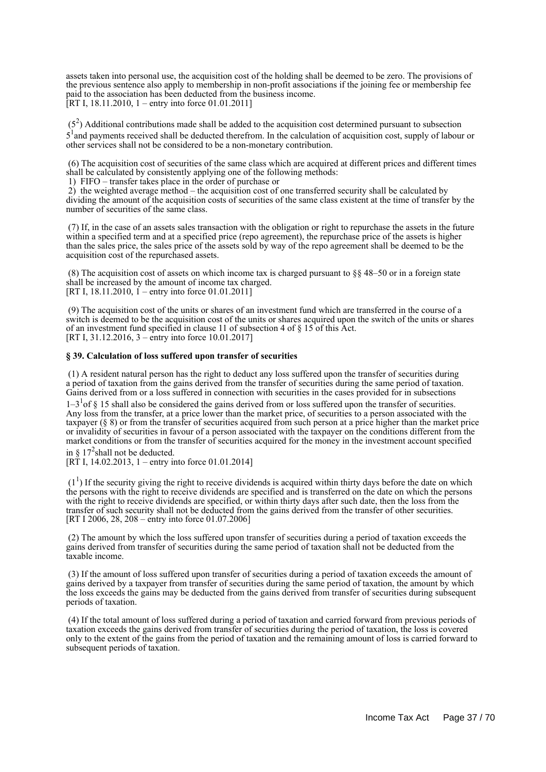assets taken into personal use, the acquisition cost of the holding shall be deemed to be zero. The provisions of the previous sentence also apply to membership in non-profit associations if the joining fee or membership fee paid to the association has been deducted from the business income. [RT I, 18.11.2010, 1 – entry into force 01.01.2011]

 $(5<sup>2</sup>)$  Additional contributions made shall be added to the acquisition cost determined pursuant to subsection 5<sup>1</sup> and payments received shall be deducted therefrom. In the calculation of acquisition cost, supply of labour or other services shall not be considered to be a non-monetary contribution.

 (6) The acquisition cost of securities of the same class which are acquired at different prices and different times shall be calculated by consistently applying one of the following methods:

1) FIFO – transfer takes place in the order of purchase or

 2) the weighted average method – the acquisition cost of one transferred security shall be calculated by dividing the amount of the acquisition costs of securities of the same class existent at the time of transfer by the number of securities of the same class.

 (7) If, in the case of an assets sales transaction with the obligation or right to repurchase the assets in the future within a specified term and at a specified price (repo agreement), the repurchase price of the assets is higher than the sales price, the sales price of the assets sold by way of the repo agreement shall be deemed to be the acquisition cost of the repurchased assets.

(8) The acquisition cost of assets on which income tax is charged pursuant to  $\S$ § 48–50 or in a foreign state shall be increased by the amount of income tax charged. [RT I, 18.11.2010,  $1$  – entry into force 01.01.2011]

 (9) The acquisition cost of the units or shares of an investment fund which are transferred in the course of a switch is deemed to be the acquisition cost of the units or shares acquired upon the switch of the units or shares of an investment fund specified in clause 11 of subsection 4 of § 15 of this Act. [RT I, 31.12.2016, 3 – entry into force 10.01.2017]

#### **§ 39. Calculation of loss suffered upon transfer of securities**

 (1) A resident natural person has the right to deduct any loss suffered upon the transfer of securities during a period of taxation from the gains derived from the transfer of securities during the same period of taxation. Gains derived from or a loss suffered in connection with securities in the cases provided for in subsections

 $1-3<sup>1</sup>$  of § 15 shall also be considered the gains derived from or loss suffered upon the transfer of securities. Any loss from the transfer, at a price lower than the market price, of securities to a person associated with the taxpayer (§ 8) or from the transfer of securities acquired from such person at a price higher than the market price or invalidity of securities in favour of a person associated with the taxpayer on the conditions different from the market conditions or from the transfer of securities acquired for the money in the investment account specified in §  $17<sup>2</sup>$ shall not be deducted.

[RT I, 14.02.2013, 1 – entry into force 01.01.2014]

 $(1<sup>1</sup>)$  If the security giving the right to receive dividends is acquired within thirty days before the date on which the persons with the right to receive dividends are specified and is transferred on the date on which the persons with the right to receive dividends are specified, or within thirty days after such date, then the loss from the transfer of such security shall not be deducted from the gains derived from the transfer of other securities. [RT I 2006, 28, 208 – entry into force 01.07.2006]

 (2) The amount by which the loss suffered upon transfer of securities during a period of taxation exceeds the gains derived from transfer of securities during the same period of taxation shall not be deducted from the taxable income.

 (3) If the amount of loss suffered upon transfer of securities during a period of taxation exceeds the amount of gains derived by a taxpayer from transfer of securities during the same period of taxation, the amount by which the loss exceeds the gains may be deducted from the gains derived from transfer of securities during subsequent periods of taxation.

 (4) If the total amount of loss suffered during a period of taxation and carried forward from previous periods of taxation exceeds the gains derived from transfer of securities during the period of taxation, the loss is covered only to the extent of the gains from the period of taxation and the remaining amount of loss is carried forward to subsequent periods of taxation.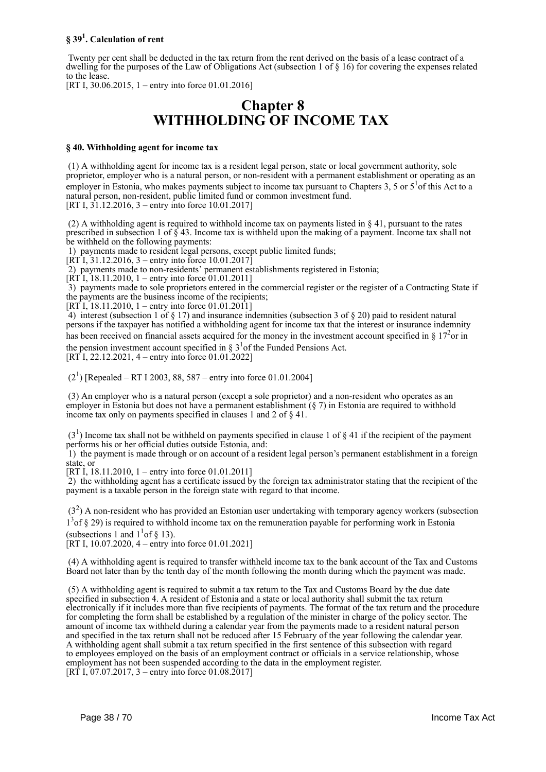## **§ 39<sup>1</sup> . Calculation of rent**

 Twenty per cent shall be deducted in the tax return from the rent derived on the basis of a lease contract of a dwelling for the purposes of the Law of Obligations Act (subsection 1 of § 16) for covering the expenses related to the lease.

[RT I, 30.06.2015, 1 – entry into force 01.01.2016]

## **Chapter 8 WITHHOLDING OF INCOME TAX**

#### **§ 40. Withholding agent for income tax**

 (1) A withholding agent for income tax is a resident legal person, state or local government authority, sole proprietor, employer who is a natural person, or non-resident with a permanent establishment or operating as an employer in Estonia, who makes payments subject to income tax pursuant to Chapters 3, 5 or  $5<sup>1</sup>$  of this Act to a natural person, non-resident, public limited fund or common investment fund. [RT I, 31.12.2016, 3 – entry into force 10.01.2017]

 (2) A withholding agent is required to withhold income tax on payments listed in § 41, pursuant to the rates prescribed in subsection 1 of  $\zeta$  43. Income tax is withheld upon the making of a payment. Income tax shall not be withheld on the following payments:

1) payments made to resident legal persons, except public limited funds;

 $[RT\overline{1}, 31.12.2016, 3 -$  entry into force 10.01.2017]

2) payments made to non-residents' permanent establishments registered in Estonia;

 $[RT\overline{1}, 18.11.2010, 1 - entry$  into force 01.01.2011]

 3) payments made to sole proprietors entered in the commercial register or the register of a Contracting State if the payments are the business income of the recipients;

[RT I, 18.11.2010, 1 – entry into force 01.01.2011]

4) interest (subsection 1 of  $\S$  17) and insurance indemnities (subsection 3 of  $\S$  20) paid to resident natural persons if the taxpayer has notified a withholding agent for income tax that the interest or insurance indemnity has been received on financial assets acquired for the money in the investment account specified in  $\S 17<sup>2</sup>$ or in the pension investment account specified in  $\S 3<sup>1</sup>$  of the Funded Pensions Act. [RT I, 22.12.2021, 4 – entry into force 01.01.2022]

 $(2<sup>1</sup>)$  [Repealed – RT I 2003, 88, 587 – entry into force 01.01.2004]

 (3) An employer who is a natural person (except a sole proprietor) and a non-resident who operates as an employer in Estonia but does not have a permanent establishment (§ 7) in Estonia are required to withhold income tax only on payments specified in clauses 1 and 2 of § 41.

 $(3<sup>1</sup>)$  Income tax shall not be withheld on payments specified in clause 1 of § 41 if the recipient of the payment performs his or her official duties outside Estonia, and:

 1) the payment is made through or on account of a resident legal person's permanent establishment in a foreign state, or

[RT I, 18.11.2010, 1 – entry into force 01.01.2011]

 2) the withholding agent has a certificate issued by the foreign tax administrator stating that the recipient of the payment is a taxable person in the foreign state with regard to that income.

 $(3<sup>2</sup>)$  A non-resident who has provided an Estonian user undertaking with temporary agency workers (subsection 1<sup>3</sup> of § 29) is required to withhold income tax on the remuneration payable for performing work in Estonia (subsections 1 and  $1<sup>1</sup>$  of § 13).

 $[RT I, 10.07.2020, 4 - entry into force 01.01.2021]$ 

 (4) A withholding agent is required to transfer withheld income tax to the bank account of the Tax and Customs Board not later than by the tenth day of the month following the month during which the payment was made.

 (5) A withholding agent is required to submit a tax return to the Tax and Customs Board by the due date specified in subsection 4. A resident of Estonia and a state or local authority shall submit the tax return electronically if it includes more than five recipients of payments. The format of the tax return and the procedure for completing the form shall be established by a regulation of the minister in charge of the policy sector. The amount of income tax withheld during a calendar year from the payments made to a resident natural person and specified in the tax return shall not be reduced after 15 February of the year following the calendar year. A withholding agent shall submit a tax return specified in the first sentence of this subsection with regard to employees employed on the basis of an employment contract or officials in a service relationship, whose employment has not been suspended according to the data in the employment register. [RT I, 07.07.2017, 3 – entry into force 01.08.2017]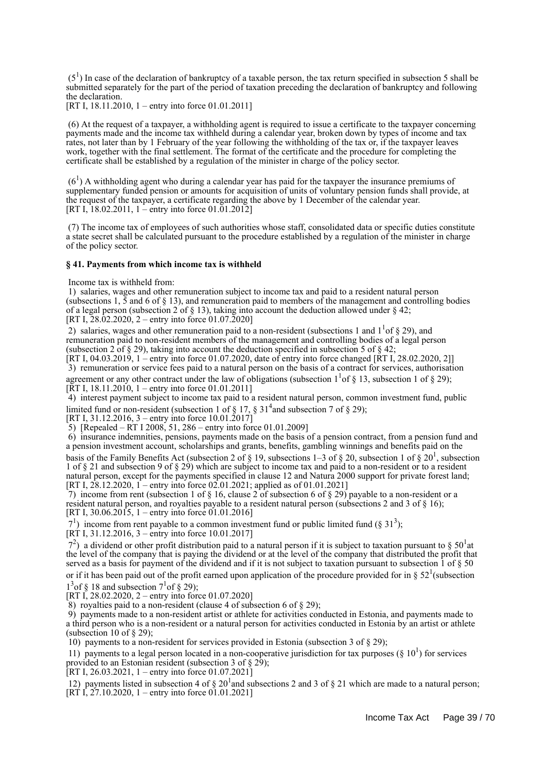$(5<sup>1</sup>)$  In case of the declaration of bankruptcy of a taxable person, the tax return specified in subsection 5 shall be submitted separately for the part of the period of taxation preceding the declaration of bankruptcy and following the declaration.

[RT I, 18.11.2010, 1 – entry into force 01.01.2011]

 (6) At the request of a taxpayer, a withholding agent is required to issue a certificate to the taxpayer concerning payments made and the income tax withheld during a calendar year, broken down by types of income and tax rates, not later than by 1 February of the year following the withholding of the tax or, if the taxpayer leaves work, together with the final settlement. The format of the certificate and the procedure for completing the certificate shall be established by a regulation of the minister in charge of the policy sector.

 $(6<sup>1</sup>)$  A withholding agent who during a calendar year has paid for the taxpayer the insurance premiums of supplementary funded pension or amounts for acquisition of units of voluntary pension funds shall provide, at the request of the taxpayer, a certificate regarding the above by 1 December of the calendar year. [RT I, 18.02.2011, 1 – entry into force  $01.01.2012$ ]

 (7) The income tax of employees of such authorities whose staff, consolidated data or specific duties constitute a state secret shall be calculated pursuant to the procedure established by a regulation of the minister in charge of the policy sector.

#### **§ 41. Payments from which income tax is withheld**

Income tax is withheld from:

 1) salaries, wages and other remuneration subject to income tax and paid to a resident natural person (subsections 1,  $\bar{5}$  and 6 of § 13), and remuneration paid to members of the management and controlling bodies of a legal person (subsection 2 of  $\S$  13), taking into account the deduction allowed under  $\S$  42; [RT I,  $28.02.2020$ , 2 – entry into force 01.07.2020]

2) salaries, wages and other remuneration paid to a non-resident (subsections 1 and  $1<sup>1</sup>$  of § 29), and remuneration paid to non-resident members of the management and controlling bodies of a legal person (subsection 2 of  $\S$  29), taking into account the deduction specified in subsection 5 of  $\S$  42;

[RT I, 04.03.2019, 1 – entry into force 01.07.2020, date of entry into force changed [RT I, 28.02.2020, 2]] 3) remuneration or service fees paid to a natural person on the basis of a contract for services, authorisation

agreement or any other contract under the law of obligations (subsection  $1<sup>1</sup>$  of § 13, subsection 1 of § 29); [ $\overline{RT}$  I, 18.11.2010, 1 – entry into force 01.01.2011]

 4) interest payment subject to income tax paid to a resident natural person, common investment fund, public limited fund or non-resident (subsection 1 of  $\S 17$ ,  $\S 31<sup>4</sup>$  and subsection 7 of  $\S 29$ );

[RT I, 31.12.2016, 3 – entry into force 10.01.2017]

5) [Repealed – RT I 2008, 51, 286 – entry into force 01.01.2009]

 6) insurance indemnities, pensions, payments made on the basis of a pension contract, from a pension fund and a pension investment account, scholarships and grants, benefits, gambling winnings and benefits paid on the basis of the Family Benefits Act (subsection 2 of § 19, subsections 1–3 of § 20, subsection 1 of § 20<sup>1</sup>, subsection 1 of § 21 and subsection 9 of § 29) which are subject to income tax and paid to a non-resident or to a resident natural person, except for the payments specified in clause 12 and Natura 2000 support for private forest land; [RT I,  $28.12.2020$ ,  $1$  – entry into force 02.01.2021; applied as of 01.01.2021]

7) income from rent (subsection 1 of  $\S$  16, clause 2 of subsection 6 of  $\S$  29) payable to a non-resident or a resident natural person, and royalties payable to a resident natural person (subsections 2 and 3 of § 16); [RT I, 30.06.2015, 1 – entry into force 01.01.2016]

 $7<sup>1</sup>$ ) income from rent payable to a common investment fund or public limited fund (§ 31<sup>3</sup>);

 $[R\hat{T}]$  I, 31.12.2016, 3 – entry into force 10.01.2017]

 $7<sup>2</sup>$ ) a dividend or other profit distribution paid to a natural person if it is subject to taxation pursuant to § 50<sup>1</sup> at the level of the company that is paying the dividend or at the level of the company that distributed the profit that served as a basis for payment of the dividend and if it is not subject to taxation pursuant to subsection 1 of § 50 or if it has been paid out of the profit earned upon application of the procedure provided for in §  $52^1$ (subsection  $1<sup>3</sup>$ of § 18 and subsection  $7<sup>1</sup>$ of § 29);

[RT I, 28.02.2020, 2 – entry into force 01.07.2020]

8) royalties paid to a non-resident (clause 4 of subsection 6 of  $\S$  29);

 9) payments made to a non-resident artist or athlete for activities conducted in Estonia, and payments made to a third person who is a non-resident or a natural person for activities conducted in Estonia by an artist or athlete (subsection 10 of  $\S$  29);

10) payments to a non-resident for services provided in Estonia (subsection 3 of § 29);

11) payments to a legal person located in a non-cooperative jurisdiction for tax purposes ( $\S$  10<sup>1</sup>) for services provided to an Estonian resident (subsection 3 of § 29);

[RT I, 26.03.2021, 1 – entry into force 01.07.2021]

12) payments listed in subsection 4 of  $\S 20<sup>1</sup>$  and subsections 2 and 3 of  $\S 21$  which are made to a natural person;  $[RT\ I, 27.10.2020, 1 - entry into force 01.01.2021]$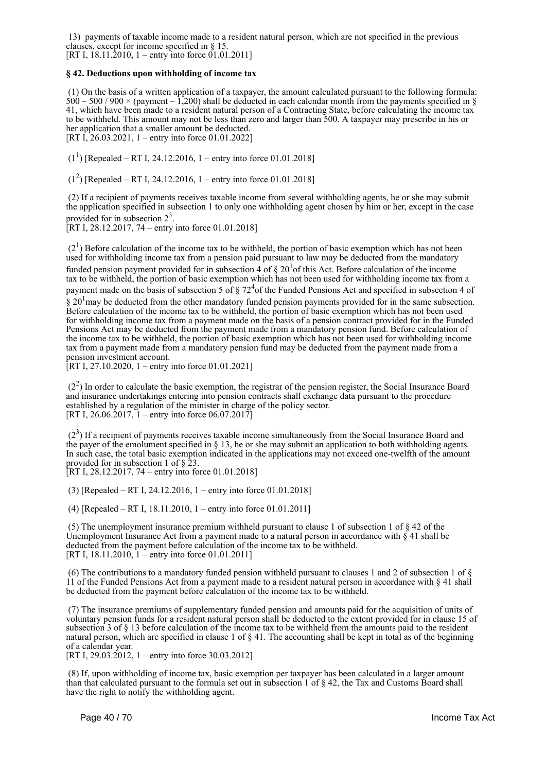13) payments of taxable income made to a resident natural person, which are not specified in the previous clauses, except for income specified in § 15. [RT I,  $18.11.\overline{2010}$ , 1 – entry into force  $01.01.2011$ ]

#### **§ 42. Deductions upon withholding of income tax**

 (1) On the basis of a written application of a taxpayer, the amount calculated pursuant to the following formula:  $500 - 500 / 900 \times$  (payment – 1,200) shall be deducted in each calendar month from the payments specified in § 41, which have been made to a resident natural person of a Contracting State, before calculating the income tax to be withheld. This amount may not be less than zero and larger than 500. A taxpayer may prescribe in his or her application that a smaller amount be deducted. [RT I, 26.03.2021, 1 – entry into force 01.01.2022]

 $(1^1)$  [Repealed – RT I, 24.12.2016, 1 – entry into force 01.01.2018]

 $(1^2)$  [Repealed – RT I, 24.12.2016, 1 – entry into force 01.01.2018]

 (2) If a recipient of payments receives taxable income from several withholding agents, he or she may submit the application specified in subsection 1 to only one withholding agent chosen by him or her, except in the case provided for in subsection  $2^3$ .

[RT I, 28.12.2017, 74 – entry into force 01.01.2018]

 $(2<sup>1</sup>)$  Before calculation of the income tax to be withheld, the portion of basic exemption which has not been used for withholding income tax from a pension paid pursuant to law may be deducted from the mandatory funded pension payment provided for in subsection 4 of  $\S 20<sup>1</sup>$  of this Act. Before calculation of the income tax to be withheld, the portion of basic exemption which has not been used for withholding income tax from a payment made on the basis of subsection 5 of  $\S 72<sup>4</sup>$  of the Funded Pensions Act and specified in subsection 4 of  $\S 20<sup>1</sup>$  may be deducted from the other mandatory funded pension payments provided for in the same subsection. Before calculation of the income tax to be withheld, the portion of basic exemption which has not been used for withholding income tax from a payment made on the basis of a pension contract provided for in the Funded Pensions Act may be deducted from the payment made from a mandatory pension fund. Before calculation of the income tax to be withheld, the portion of basic exemption which has not been used for withholding income tax from a payment made from a mandatory pension fund may be deducted from the payment made from a pension investment account.

[RT I, 27.10.2020, 1 – entry into force 01.01.2021]

 $(2<sup>2</sup>)$  In order to calculate the basic exemption, the registrar of the pension register, the Social Insurance Board and insurance undertakings entering into pension contracts shall exchange data pursuant to the procedure established by a regulation of the minister in charge of the policy sector. [RT I, 26.06.2017,  $\overline{1}$  – entry into force 06.07.2017]

 $(2<sup>3</sup>)$  If a recipient of payments receives taxable income simultaneously from the Social Insurance Board and the payer of the emolument specified in § 13, he or she may submit an application to both withholding agents. In such case, the total basic exemption indicated in the applications may not exceed one-twelfth of the amount provided for in subsection 1 of  $\S$  23.

[RT I, 28.12.2017, 74 – entry into force 01.01.2018]

(3) [Repealed – RT I, 24.12.2016, 1 – entry into force 01.01.2018]

(4) [Repealed – RT I, 18.11.2010, 1 – entry into force 01.01.2011]

 (5) The unemployment insurance premium withheld pursuant to clause 1 of subsection 1 of § 42 of the Unemployment Insurance Act from a payment made to a natural person in accordance with  $\frac{8}{3}$  41 shall be deducted from the payment before calculation of the income tax to be withheld. [RT I, 18.11.2010, 1 – entry into force 01.01.2011]

(6) The contributions to a mandatory funded pension withheld pursuant to clauses 1 and 2 of subsection 1 of  $\S$ 11 of the Funded Pensions Act from a payment made to a resident natural person in accordance with § 41 shall be deducted from the payment before calculation of the income tax to be withheld.

 (7) The insurance premiums of supplementary funded pension and amounts paid for the acquisition of units of voluntary pension funds for a resident natural person shall be deducted to the extent provided for in clause 15 of subsection 3 of § 13 before calculation of the income tax to be withheld from the amounts paid to the resident natural person, which are specified in clause 1 of § 41. The accounting shall be kept in total as of the beginning of a calendar year.

[RT I, 29.03.2012, 1 – entry into force 30.03.2012]

 (8) If, upon withholding of income tax, basic exemption per taxpayer has been calculated in a larger amount than that calculated pursuant to the formula set out in subsection 1 of § 42, the Tax and Customs Board shall have the right to notify the withholding agent.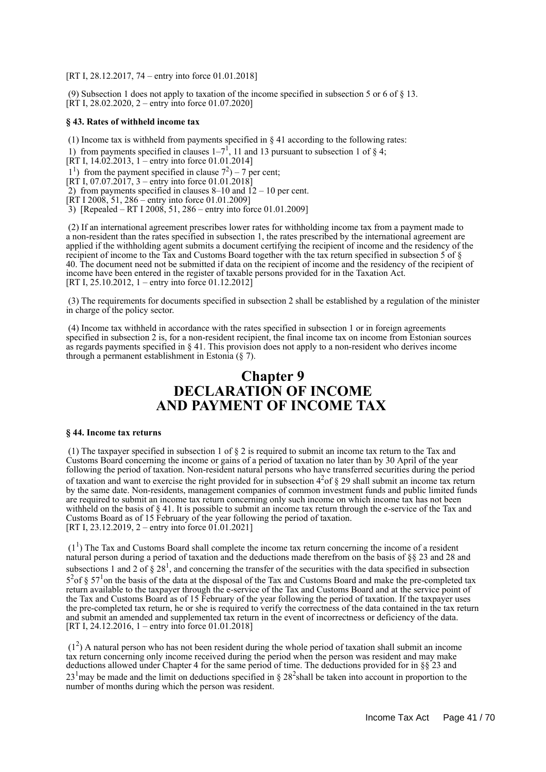[RT I, 28.12.2017, 74 – entry into force 01.01.2018]

 (9) Subsection 1 does not apply to taxation of the income specified in subsection 5 or 6 of § 13.  $[\hat{R}T]$  I, 28.02.2020, 2 – entry into force 01.07.2020]

#### **§ 43. Rates of withheld income tax**

(1) Income tax is withheld from payments specified in  $\S 41$  according to the following rates:

1) from payments specified in clauses  $1-7^1$ , 11 and 13 pursuant to subsection 1 of § 4;

[RT I, 14.02.2013, 1 – entry into force 01.01.2014]

 $1<sup>1</sup>$ ) from the payment specified in clause  $7<sup>2</sup>$ ) – 7 per cent;

[RT I, 07.07.2017, 3 – entry into force 01.01.2018]

2) from payments specified in clauses  $8-10$  and  $12-10$  per cent.

 $[\overline{RT} \, I \, 2008, 51, 286 -$  entry into force 01.01.2009]

3) [Repealed – RT I 2008, 51, 286 – entry into force 01.01.2009]

 (2) If an international agreement prescribes lower rates for withholding income tax from a payment made to a non-resident than the rates specified in subsection 1, the rates prescribed by the international agreement are applied if the withholding agent submits a document certifying the recipient of income and the residency of the recipient of income to the Tax and Customs Board together with the tax return specified in subsection 5 of § 40. The document need not be submitted if data on the recipient of income and the residency of the recipient of income have been entered in the register of taxable persons provided for in the Taxation Act. [RT I, 25.10.2012, 1 – entry into force 01.12.2012]

 (3) The requirements for documents specified in subsection 2 shall be established by a regulation of the minister in charge of the policy sector.

 (4) Income tax withheld in accordance with the rates specified in subsection 1 or in foreign agreements specified in subsection 2 is, for a non-resident recipient, the final income tax on income from Estonian sources as regards payments specified in § 41. This provision does not apply to a non-resident who derives income through a permanent establishment in Estonia (§ 7).

## **Chapter 9 DECLARATION OF INCOME AND PAYMENT OF INCOME TAX**

#### **§ 44. Income tax returns**

 (1) The taxpayer specified in subsection 1 of § 2 is required to submit an income tax return to the Tax and Customs Board concerning the income or gains of a period of taxation no later than by 30 April of the year following the period of taxation. Non-resident natural persons who have transferred securities during the period of taxation and want to exercise the right provided for in subsection  $4^{2}$  of § 29 shall submit an income tax return by the same date. Non-residents, management companies of common investment funds and public limited funds are required to submit an income tax return concerning only such income on which income tax has not been withheld on the basis of  $\S 41$ . It is possible to submit an income tax return through the e-service of the Tax and Customs Board as of 15 February of the year following the period of taxation. [RT I, 23.12.2019, 2 – entry into force  $01.01.2021$ ]

 $(1<sup>1</sup>)$  The Tax and Customs Board shall complete the income tax return concerning the income of a resident natural person during a period of taxation and the deductions made therefrom on the basis of §§ 23 and 28 and subsections 1 and 2 of  $\S 28<sup>1</sup>$ , and concerning the transfer of the securities with the data specified in subsection  $5<sup>2</sup>$ of §  $57<sup>1</sup>$ on the basis of the data at the disposal of the Tax and Customs Board and make the pre-completed tax return available to the taxpayer through the e-service of the Tax and Customs Board and at the service point of the Tax and Customs Board as of 15 February of the year following the period of taxation. If the taxpayer uses the pre-completed tax return, he or she is required to verify the correctness of the data contained in the tax return and submit an amended and supplemented tax return in the event of incorrectness or deficiency of the data. [RT I, 24.12.2016, 1 – entry into force 01.01.2018]

 $(1<sup>2</sup>)$  A natural person who has not been resident during the whole period of taxation shall submit an income tax return concerning only income received during the period when the person was resident and may make deductions allowed under Chapter 4 for the same period of time. The deductions provided for in §§ 23 and  $23<sup>1</sup>$  may be made and the limit on deductions specified in § 28<sup>2</sup> shall be taken into account in proportion to the number of months during which the person was resident.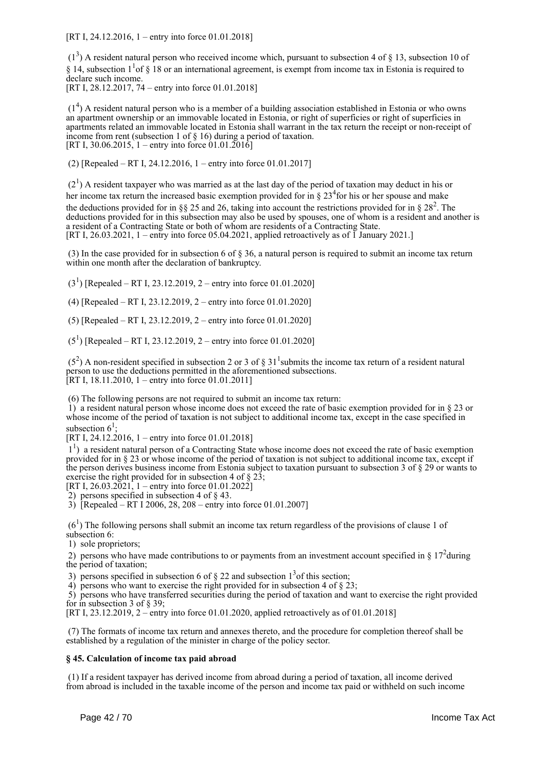[RT I, 24.12.2016, 1 – entry into force 01.01.2018]

 $(1<sup>3</sup>)$  A resident natural person who received income which, pursuant to subsection 4 of § 13, subsection 10 of § 14, subsection  $1<sup>1</sup>$  of § 18 or an international agreement, is exempt from income tax in Estonia is required to declare such income. [RT I, 28.12.2017, 74 – entry into force 01.01.2018]

 $(1<sup>4</sup>)$  A resident natural person who is a member of a building association established in Estonia or who owns an apartment ownership or an immovable located in Estonia, or right of superficies or right of superficies in apartments related an immovable located in Estonia shall warrant in the tax return the receipt or non-receipt of income from rent (subsection 1 of § 16) during a period of taxation. [RT I, 30.06.2015, 1 – entry into force  $(01.01.2016)$ ]

(2) [Repealed – RT I, 24.12.2016, 1 – entry into force 01.01.2017]

 $(2<sup>1</sup>)$  A resident taxpayer who was married as at the last day of the period of taxation may deduct in his or her income tax return the increased basic exemption provided for in  $\S 23<sup>4</sup>$  for his or her spouse and make the deductions provided for in §§ 25 and 26, taking into account the restrictions provided for in § 28<sup>2</sup>. The deductions provided for in this subsection may also be used by spouses, one of whom is a resident and another is a resident of a Contracting State or both of whom are residents of a Contracting State. [RT I, 26.03.2021, 1 – entry into force 05.04.2021, applied retroactively as of 1 January 2021.]

 (3) In the case provided for in subsection 6 of § 36, a natural person is required to submit an income tax return within one month after the declaration of bankruptcy.

 $(3<sup>1</sup>)$  [Repealed – RT I, 23.12.2019, 2 – entry into force 01.01.2020]

(4) [Repealed – RT I, 23.12.2019, 2 – entry into force 01.01.2020]

(5) [Repealed – RT I, 23.12.2019, 2 – entry into force 01.01.2020]

 $(5^1)$  [Repealed – RT I, 23.12.2019, 2 – entry into force 01.01.2020]

 $(5^2)$  A non-resident specified in subsection 2 or 3 of § 31<sup>1</sup> submits the income tax return of a resident natural person to use the deductions permitted in the aforementioned subsections. [RT I, 18.11.2010, 1 – entry into force 01.01.2011]

(6) The following persons are not required to submit an income tax return:

 1) a resident natural person whose income does not exceed the rate of basic exemption provided for in § 23 or whose income of the period of taxation is not subject to additional income tax, except in the case specified in subsection  $6^1$ ;

[RT I, 24.12.2016, 1 – entry into force 01.01.2018]

 11 ) a resident natural person of a Contracting State whose income does not exceed the rate of basic exemption provided for in § 23 or whose income of the period of taxation is not subject to additional income tax, except if the person derives business income from Estonia subject to taxation pursuant to subsection 3 of § 29 or wants to exercise the right provided for in subsection 4 of  $\S 23$ ;

[RT I, 26.03.2021, 1 – entry into force 01.01.2022]

2) persons specified in subsection 4 of § 43.

3) [Repealed – RT I 2006, 28, 208 – entry into force 01.01.2007]

 $(6<sup>1</sup>)$  The following persons shall submit an income tax return regardless of the provisions of clause 1 of subsection 6:

1) sole proprietors;

2) persons who have made contributions to or payments from an investment account specified in  $\S 17^2$  during the period of taxation;

3) persons specified in subsection 6 of  $\S$  22 and subsection 1<sup>3</sup> of this section;

4) persons who want to exercise the right provided for in subsection 4 of § 23;

 5) persons who have transferred securities during the period of taxation and want to exercise the right provided for in subsection 3 of § 39;

[RT I, 23.12.2019, 2 – entry into force 01.01.2020, applied retroactively as of 01.01.2018]

 (7) The formats of income tax return and annexes thereto, and the procedure for completion thereof shall be established by a regulation of the minister in charge of the policy sector.

#### **§ 45. Calculation of income tax paid abroad**

 (1) If a resident taxpayer has derived income from abroad during a period of taxation, all income derived from abroad is included in the taxable income of the person and income tax paid or withheld on such income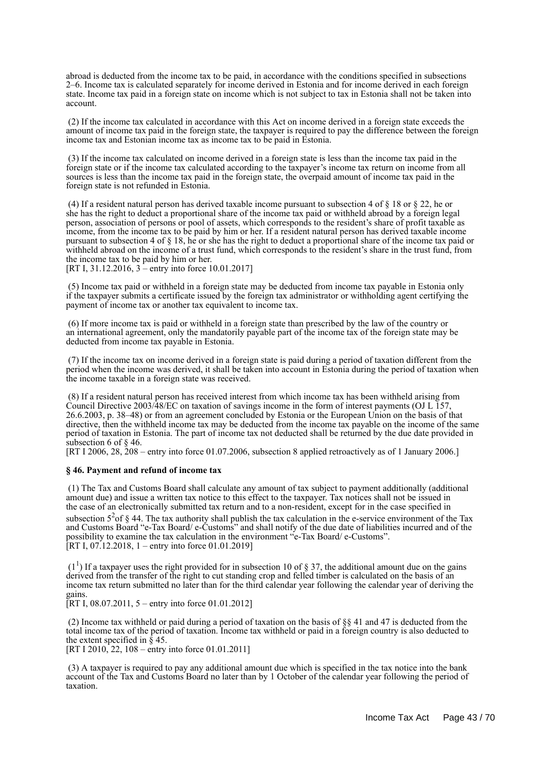abroad is deducted from the income tax to be paid, in accordance with the conditions specified in subsections 2–6. Income tax is calculated separately for income derived in Estonia and for income derived in each foreign state. Income tax paid in a foreign state on income which is not subject to tax in Estonia shall not be taken into account.

 (2) If the income tax calculated in accordance with this Act on income derived in a foreign state exceeds the amount of income tax paid in the foreign state, the taxpayer is required to pay the difference between the foreign income tax and Estonian income tax as income tax to be paid in Estonia.

 (3) If the income tax calculated on income derived in a foreign state is less than the income tax paid in the foreign state or if the income tax calculated according to the taxpayer's income tax return on income from all sources is less than the income tax paid in the foreign state, the overpaid amount of income tax paid in the foreign state is not refunded in Estonia.

(4) If a resident natural person has derived taxable income pursuant to subsection 4 of  $\S$  18 or  $\S$  22, he or she has the right to deduct a proportional share of the income tax paid or withheld abroad by a foreign legal person, association of persons or pool of assets, which corresponds to the resident's share of profit taxable as income, from the income tax to be paid by him or her. If a resident natural person has derived taxable income pursuant to subsection 4 of § 18, he or she has the right to deduct a proportional share of the income tax paid or withheld abroad on the income of a trust fund, which corresponds to the resident's share in the trust fund, from the income tax to be paid by him or her.

[RT I, 31.12.2016, 3 – entry into force 10.01.2017]

 (5) Income tax paid or withheld in a foreign state may be deducted from income tax payable in Estonia only if the taxpayer submits a certificate issued by the foreign tax administrator or withholding agent certifying the payment of income tax or another tax equivalent to income tax.

 (6) If more income tax is paid or withheld in a foreign state than prescribed by the law of the country or an international agreement, only the mandatorily payable part of the income tax of the foreign state may be deducted from income tax payable in Estonia.

 (7) If the income tax on income derived in a foreign state is paid during a period of taxation different from the period when the income was derived, it shall be taken into account in Estonia during the period of taxation when the income taxable in a foreign state was received.

 (8) If a resident natural person has received interest from which income tax has been withheld arising from Council Directive 2003/48/EC on taxation of savings income in the form of interest payments (OJ L 157, 26.6.2003, p. 38–48) or from an agreement concluded by Estonia or the European Union on the basis of that directive, then the withheld income tax may be deducted from the income tax payable on the income of the same period of taxation in Estonia. The part of income tax not deducted shall be returned by the due date provided in subsection 6 of § 46.

[RT I 2006, 28, 208 – entry into force 01.07.2006, subsection 8 applied retroactively as of 1 January 2006.]

#### **§ 46. Payment and refund of income tax**

 (1) The Tax and Customs Board shall calculate any amount of tax subject to payment additionally (additional amount due) and issue a written tax notice to this effect to the taxpayer. Tax notices shall not be issued in the case of an electronically submitted tax return and to a non-resident, except for in the case specified in subsection  $5<sup>2</sup>$  of § 44. The tax authority shall publish the tax calculation in the e-service environment of the Tax and Customs Board "e-Tax Board/ e-Customs" and shall notify of the due date of liabilities incurred and of the possibility to examine the tax calculation in the environment "e-Tax Board/ e-Customs". [RT I, 07.12.2018, 1 – entry into force 01.01.2019]

 $(1<sup>1</sup>)$  If a taxpayer uses the right provided for in subsection 10 of § 37, the additional amount due on the gains derived from the transfer of the right to cut standing crop and felled timber is calculated on the basis of an income tax return submitted no later than for the third calendar year following the calendar year of deriving the gains.

[RT I, 08.07.2011, 5 – entry into force 01.01.2012]

 (2) Income tax withheld or paid during a period of taxation on the basis of §§ 41 and 47 is deducted from the total income tax of the period of taxation. Income tax withheld or paid in a foreign country is also deducted to the extent specified in  $\bar{\S}$  45.

[RT I 2010, 22, 108 – entry into force 01.01.2011]

 (3) A taxpayer is required to pay any additional amount due which is specified in the tax notice into the bank account of the Tax and Customs Board no later than by 1 October of the calendar year following the period of taxation.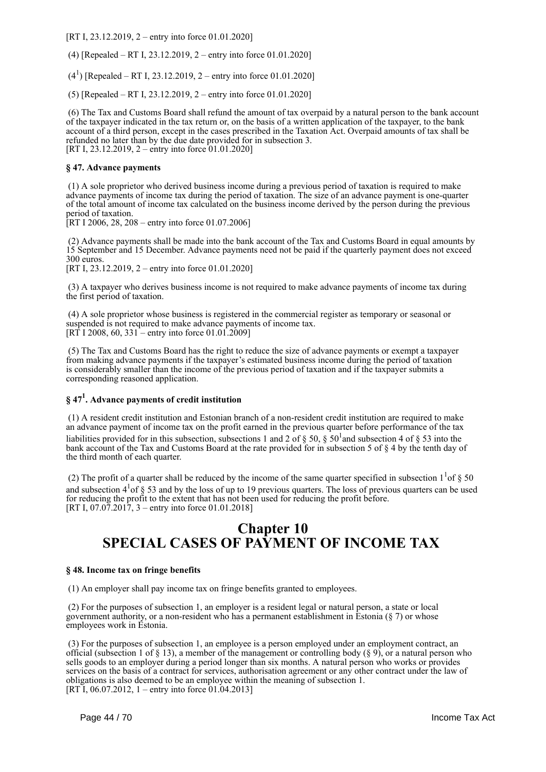[RT I, 23.12.2019, 2 – entry into force 01.01.2020]

(4) [Repealed – RT I, 23.12.2019, 2 – entry into force 01.01.2020]

 $(4<sup>1</sup>)$  [Repealed – RT I, 23.12.2019, 2 – entry into force 01.01.2020]

(5) [Repealed – RT I, 23.12.2019, 2 – entry into force 01.01.2020]

 (6) The Tax and Customs Board shall refund the amount of tax overpaid by a natural person to the bank account of the taxpayer indicated in the tax return or, on the basis of a written application of the taxpayer, to the bank account of a third person, except in the cases prescribed in the Taxation Act. Overpaid amounts of tax shall be refunded no later than by the due date provided for in subsection 3. [RT I, 23.12.2019, 2 – entry into force 01.01.2020]

#### **§ 47. Advance payments**

 (1) A sole proprietor who derived business income during a previous period of taxation is required to make advance payments of income tax during the period of taxation. The size of an advance payment is one-quarter of the total amount of income tax calculated on the business income derived by the person during the previous period of taxation.

[RT I 2006, 28, 208 – entry into force 01.07.2006]

 (2) Advance payments shall be made into the bank account of the Tax and Customs Board in equal amounts by 15 September and 15 December. Advance payments need not be paid if the quarterly payment does not exceed 300 euros.

[RT I, 23.12.2019, 2 – entry into force 01.01.2020]

 (3) A taxpayer who derives business income is not required to make advance payments of income tax during the first period of taxation.

 (4) A sole proprietor whose business is registered in the commercial register as temporary or seasonal or suspended is not required to make advance payments of income tax.  $[RT\ 1\ 2008\ 60\ 331 -$  entry into force 01.01.2009]

 (5) The Tax and Customs Board has the right to reduce the size of advance payments or exempt a taxpayer from making advance payments if the taxpayer's estimated business income during the period of taxation is considerably smaller than the income of the previous period of taxation and if the taxpayer submits a corresponding reasoned application.

## **§ 47<sup>1</sup> . Advance payments of credit institution**

 (1) A resident credit institution and Estonian branch of a non-resident credit institution are required to make an advance payment of income tax on the profit earned in the previous quarter before performance of the tax liabilities provided for in this subsection, subsections 1 and 2 of  $\S 50$ ,  $\S 50<sup>1</sup>$  and subsection 4 of  $\S 53$  into the bank account of the Tax and Customs Board at the rate provided for in subsection 5 of § 4 by the tenth day of the third month of each quarter.

(2) The profit of a quarter shall be reduced by the income of the same quarter specified in subsection  $1<sup>1</sup>$  of § 50 and subsection  $4^{1}$  of § 53 and by the loss of up to 19 previous quarters. The loss of previous quarters can be used for reducing the profit to the extent that has not been used for reducing the profit before. [RT I, 07.07.2017, 3 – entry into force 01.01.2018]

## **Chapter 10 SPECIAL CASES OF PAYMENT OF INCOME TAX**

#### **§ 48. Income tax on fringe benefits**

(1) An employer shall pay income tax on fringe benefits granted to employees.

 (2) For the purposes of subsection 1, an employer is a resident legal or natural person, a state or local government authority, or a non-resident who has a permanent establishment in Estonia (§ 7) or whose employees work in Estonia.

 (3) For the purposes of subsection 1, an employee is a person employed under an employment contract, an official (subsection 1 of § 13), a member of the management or controlling body (§ 9), or a natural person who sells goods to an employer during a period longer than six months. A natural person who works or provides services on the basis of a contract for services, authorisation agreement or any other contract under the law of obligations is also deemed to be an employee within the meaning of subsection 1. [RT I, 06.07.2012, 1 – entry into force  $01.04.2013$ ]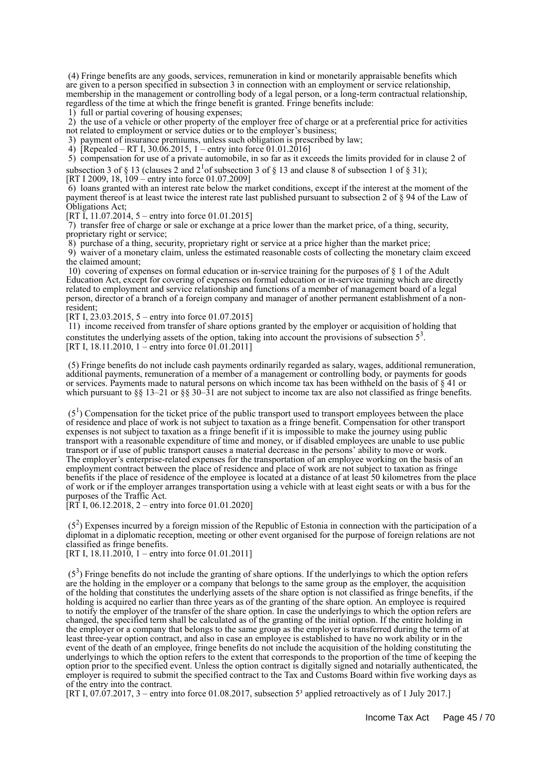(4) Fringe benefits are any goods, services, remuneration in kind or monetarily appraisable benefits which are given to a person specified in subsection 3 in connection with an employment or service relationship, membership in the management or controlling body of a legal person, or a long-term contractual relationship, regardless of the time at which the fringe benefit is granted. Fringe benefits include:

1) full or partial covering of housing expenses;

 2) the use of a vehicle or other property of the employer free of charge or at a preferential price for activities not related to employment or service duties or to the employer's business;

3) payment of insurance premiums, unless such obligation is prescribed by law;

4) [Repealed – RT I, 30.06.2015, 1 – entry into force 01.01.2016]

 5) compensation for use of a private automobile, in so far as it exceeds the limits provided for in clause 2 of subsection 3 of § 13 (clauses 2 and  $2^1$  of subsection 3 of § 13 and clause 8 of subsection 1 of § 31);

[RT I 2009, 18, 109 – entry into force 01.07.2009]

 6) loans granted with an interest rate below the market conditions, except if the interest at the moment of the payment thereof is at least twice the interest rate last published pursuant to subsection 2 of § 94 of the Law of Obligations Act;

[RT I, 11.07.2014, 5 – entry into force 01.01.2015]

 7) transfer free of charge or sale or exchange at a price lower than the market price, of a thing, security, proprietary right or service;

8) purchase of a thing, security, proprietary right or service at a price higher than the market price;

 9) waiver of a monetary claim, unless the estimated reasonable costs of collecting the monetary claim exceed the claimed amount;

 10) covering of expenses on formal education or in-service training for the purposes of § 1 of the Adult Education Act, except for covering of expenses on formal education or in-service training which are directly related to employment and service relationship and functions of a member of management board of a legal person, director of a branch of a foreign company and manager of another permanent establishment of a nonresident;

[RT I, 23.03.2015, 5 – entry into force 01.07.2015]

 11) income received from transfer of share options granted by the employer or acquisition of holding that constitutes the underlying assets of the option, taking into account the provisions of subsection  $5<sup>3</sup>$ . [RT I, 18.11.2010, 1 – entry into force 01.01.2011]

 (5) Fringe benefits do not include cash payments ordinarily regarded as salary, wages, additional remuneration, additional payments, remuneration of a member of a management or controlling body, or payments for goods or services. Payments made to natural persons on which income tax has been withheld on the basis of § 41 or which pursuant to  $\S$  13–21 or  $\S$  30–31 are not subject to income tax are also not classified as fringe benefits.

 $(5<sup>1</sup>)$  Compensation for the ticket price of the public transport used to transport employees between the place of residence and place of work is not subject to taxation as a fringe benefit. Compensation for other transport expenses is not subject to taxation as a fringe benefit if it is impossible to make the journey using public transport with a reasonable expenditure of time and money, or if disabled employees are unable to use public transport or if use of public transport causes a material decrease in the persons' ability to move or work. The employer's enterprise-related expenses for the transportation of an employee working on the basis of an employment contract between the place of residence and place of work are not subject to taxation as fringe benefits if the place of residence of the employee is located at a distance of at least 50 kilometres from the place of work or if the employer arranges transportation using a vehicle with at least eight seats or with a bus for the purposes of the Traffic Act.

 $[RT\ I, 06.12.2018, 2 - entry into force 01.01.2020]$ 

 $(5<sup>2</sup>)$  Expenses incurred by a foreign mission of the Republic of Estonia in connection with the participation of a diplomat in a diplomatic reception, meeting or other event organised for the purpose of foreign relations are not classified as fringe benefits.

[RT I,  $18.11.2010$ , 1 – entry into force 01.01.2011]

 $(5<sup>3</sup>)$  Fringe benefits do not include the granting of share options. If the underlyings to which the option refers are the holding in the employer or a company that belongs to the same group as the employer, the acquisition of the holding that constitutes the underlying assets of the share option is not classified as fringe benefits, if the holding is acquired no earlier than three years as of the granting of the share option. An employee is required to notify the employer of the transfer of the share option. In case the underlyings to which the option refers are changed, the specified term shall be calculated as of the granting of the initial option. If the entire holding in the employer or a company that belongs to the same group as the employer is transferred during the term of at least three-year option contract, and also in case an employee is established to have no work ability or in the event of the death of an employee, fringe benefits do not include the acquisition of the holding constituting the underlyings to which the option refers to the extent that corresponds to the proportion of the time of keeping the option prior to the specified event. Unless the option contract is digitally signed and notarially authenticated, the employer is required to submit the specified contract to the Tax and Customs Board within five working days as of the entry into the contract.

[RT I, 07.07.2017, 3 – entry into force 01.08.2017, subsection  $5<sup>3</sup>$  applied retroactively as of 1 July 2017.]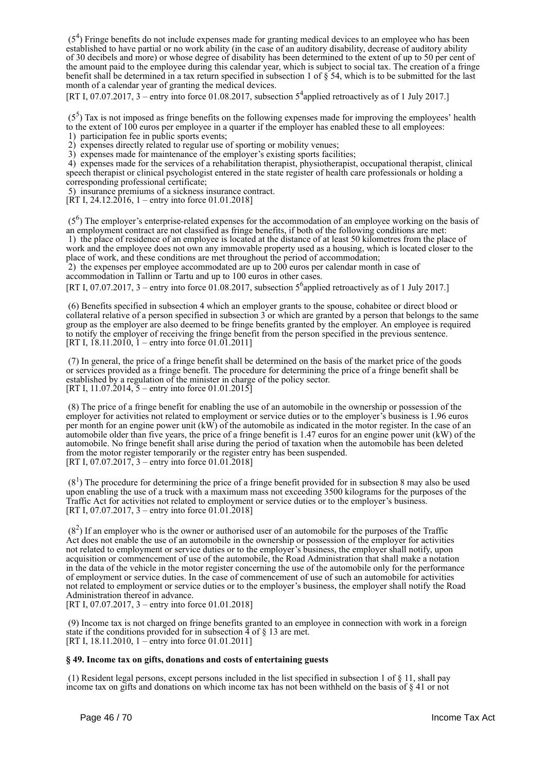$(5<sup>4</sup>)$  Fringe benefits do not include expenses made for granting medical devices to an employee who has been established to have partial or no work ability (in the case of an auditory disability, decrease of auditory ability of 30 decibels and more) or whose degree of disability has been determined to the extent of up to 50 per cent of the amount paid to the employee during this calendar year, which is subject to social tax. The creation of a fringe benefit shall be determined in a tax return specified in subsection 1 of § 54, which is to be submitted for the last month of a calendar year of granting the medical devices.

[RT I, 07.07.2017, 3 – entry into force 01.08.2017, subsection  $5<sup>4</sup>$  applied retroactively as of 1 July 2017.]

 $(5<sup>5</sup>)$  Tax is not imposed as fringe benefits on the following expenses made for improving the employees' health to the extent of 100 euros per employee in a quarter if the employer has enabled these to all employees:

1) participation fee in public sports events;

2) expenses directly related to regular use of sporting or mobility venues;

3) expenses made for maintenance of the employer's existing sports facilities;

 4) expenses made for the services of a rehabilitation therapist, physiotherapist, occupational therapist, clinical speech therapist or clinical psychologist entered in the state register of health care professionals or holding a corresponding professional certificate;

5) insurance premiums of a sickness insurance contract.

[RT I, 24.12.2016, 1 – entry into force 01.01.2018]

 (5<sup>6</sup> ) The employer's enterprise-related expenses for the accommodation of an employee working on the basis of an employment contract are not classified as fringe benefits, if both of the following conditions are met: 1) the place of residence of an employee is located at the distance of at least 50 kilometres from the place of work and the employee does not own any immovable property used as a housing, which is located closer to the place of work, and these conditions are met throughout the period of accommodation;

 2) the expenses per employee accommodated are up to 200 euros per calendar month in case of accommodation in Tallinn or Tartu and up to 100 euros in other cases.

[RT I, 07.07.2017, 3 – entry into force 01.08.2017, subsection  $5^6$  applied retroactively as of 1 July 2017.]

 (6) Benefits specified in subsection 4 which an employer grants to the spouse, cohabitee or direct blood or collateral relative of a person specified in subsection 3 or which are granted by a person that belongs to the same group as the employer are also deemed to be fringe benefits granted by the employer. An employee is required to notify the employer of receiving the fringe benefit from the person specified in the previous sentence. [RT I,  $18.11.2010$ ,  $1 -$ entry into force 01.01.2011]

 (7) In general, the price of a fringe benefit shall be determined on the basis of the market price of the goods or services provided as a fringe benefit. The procedure for determining the price of a fringe benefit shall be established by a regulation of the minister in charge of the policy sector. [RT I, 11.07.2014,  $5$  – entry into force 01.01.2015]

 (8) The price of a fringe benefit for enabling the use of an automobile in the ownership or possession of the employer for activities not related to employment or service duties or to the employer's business is 1.96 euros per month for an engine power unit  $(kW)$  of the automobile as indicated in the motor register. In the case of an automobile older than five years, the price of a fringe benefit is 1.47 euros for an engine power unit (kW) of the automobile. No fringe benefit shall arise during the period of taxation when the automobile has been deleted from the motor register temporarily or the register entry has been suspended. [RT I, 07.07.2017,  $3 -$  entry into force 01.01.2018]

 $(8<sup>1</sup>)$  The procedure for determining the price of a fringe benefit provided for in subsection 8 may also be used upon enabling the use of a truck with a maximum mass not exceeding 3500 kilograms for the purposes of the Traffic Act for activities not related to employment or service duties or to the employer's business. [RT I, 07.07.2017, 3 – entry into force 01.01.2018]

 $(8<sup>2</sup>)$  If an employer who is the owner or authorised user of an automobile for the purposes of the Traffic Act does not enable the use of an automobile in the ownership or possession of the employer for activities not related to employment or service duties or to the employer's business, the employer shall notify, upon acquisition or commencement of use of the automobile, the Road Administration that shall make a notation in the data of the vehicle in the motor register concerning the use of the automobile only for the performance of employment or service duties. In the case of commencement of use of such an automobile for activities not related to employment or service duties or to the employer's business, the employer shall notify the Road Administration thereof in advance.

[RT I, 07.07.2017, 3 – entry into force 01.01.2018]

 (9) Income tax is not charged on fringe benefits granted to an employee in connection with work in a foreign state if the conditions provided for in subsection  $\overline{4}$  of  $\S$  13 are met. [RT I, 18.11.2010, 1 – entry into force 01.01.2011]

#### **§ 49. Income tax on gifts, donations and costs of entertaining guests**

 (1) Resident legal persons, except persons included in the list specified in subsection 1 of § 11, shall pay income tax on gifts and donations on which income tax has not been withheld on the basis of § 41 or not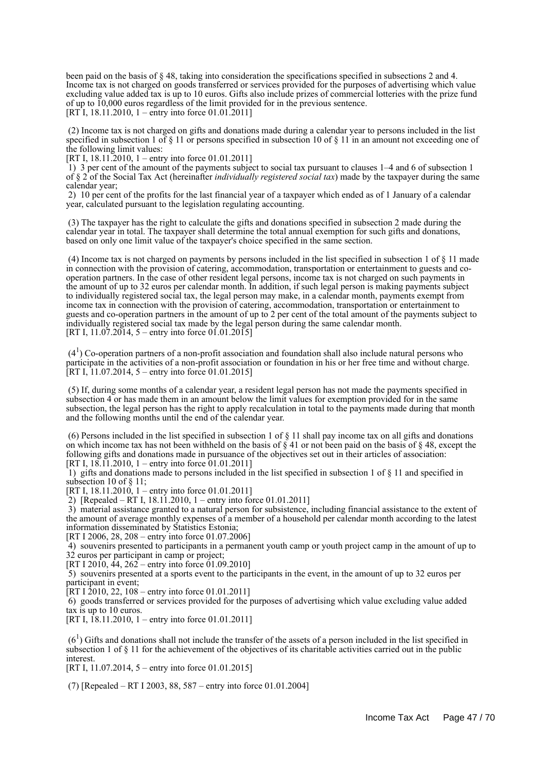been paid on the basis of § 48, taking into consideration the specifications specified in subsections 2 and 4. Income tax is not charged on goods transferred or services provided for the purposes of advertising which value excluding value added tax is up to 10 euros. Gifts also include prizes of commercial lotteries with the prize fund of up to 10,000 euros regardless of the limit provided for in the previous sentence. [RT I, 18.11.2010, 1 – entry into force 01.01.2011]

 (2) Income tax is not charged on gifts and donations made during a calendar year to persons included in the list specified in subsection 1 of § 11 or persons specified in subsection 10 of § 11 in an amount not exceeding one of the following limit values:

[RT I, 18.11.2010, 1 – entry into force 01.01.2011]

 1) 3 per cent of the amount of the payments subject to social tax pursuant to clauses 1–4 and 6 of subsection 1 of § 2 of the Social Tax Act (hereinafter *individually registered social tax*) made by the taxpayer during the same calendar year;

 2) 10 per cent of the profits for the last financial year of a taxpayer which ended as of 1 January of a calendar year, calculated pursuant to the legislation regulating accounting.

 (3) The taxpayer has the right to calculate the gifts and donations specified in subsection 2 made during the calendar year in total. The taxpayer shall determine the total annual exemption for such gifts and donations, based on only one limit value of the taxpayer's choice specified in the same section.

(4) Income tax is not charged on payments by persons included in the list specified in subsection 1 of  $\S$  11 made in connection with the provision of catering, accommodation, transportation or entertainment to guests and cooperation partners. In the case of other resident legal persons, income tax is not charged on such payments in the amount of up to 32 euros per calendar month. In addition, if such legal person is making payments subject to individually registered social tax, the legal person may make, in a calendar month, payments exempt from income tax in connection with the provision of catering, accommodation, transportation or entertainment to guests and co-operation partners in the amount of up to 2 per cent of the total amount of the payments subject to individually registered social tax made by the legal person during the same calendar month. [RT I,  $11.07.2014$ , 5 – entry into force  $01.01.2015$ ]

 $(4<sup>1</sup>)$  Co-operation partners of a non-profit association and foundation shall also include natural persons who participate in the activities of a non-profit association or foundation in his or her free time and without charge. [RT I, 11.07.2014, 5 – entry into force 01.01.2015]

 (5) If, during some months of a calendar year, a resident legal person has not made the payments specified in subsection 4 or has made them in an amount below the limit values for exemption provided for in the same subsection, the legal person has the right to apply recalculation in total to the payments made during that month and the following months until the end of the calendar year.

(6) Persons included in the list specified in subsection 1 of  $\S$  11 shall pay income tax on all gifts and donations on which income tax has not been withheld on the basis of  $\S 41$  or not been paid on the basis of  $\S 48$ , except the following gifts and donations made in pursuance of the objectives set out in their articles of association: [RT I,  $18.11.2010$ , 1 – entry into force 01.01.2011]

 1) gifts and donations made to persons included in the list specified in subsection 1 of § 11 and specified in subsection 10 of § 11;

[RT I, 18.11.2010, 1 – entry into force 01.01.2011]

2) [Repealed – RT I, 18.11.2010, 1 – entry into force 01.01.2011]

 3) material assistance granted to a natural person for subsistence, including financial assistance to the extent of the amount of average monthly expenses of a member of a household per calendar month according to the latest information disseminated by Statistics Estonia;

[RT I 2006, 28, 208 – entry into force 01.07.2006]

 4) souvenirs presented to participants in a permanent youth camp or youth project camp in the amount of up to 32 euros per participant in camp or project;

[RT I 2010,  $\frac{44}{262}$  – entry into force 01.09.2010]

 5) souvenirs presented at a sports event to the participants in the event, in the amount of up to 32 euros per participant in event;

 $[RT I \overline{2010}, 22, 108 -$  entry into force 01.01.2011]

 6) goods transferred or services provided for the purposes of advertising which value excluding value added tax is up to 10 euros.

[RT I,  $18.11.2010$ , 1 – entry into force 01.01.2011]

 $(6<sup>1</sup>)$  Gifts and donations shall not include the transfer of the assets of a person included in the list specified in subsection 1 of § 11 for the achievement of the objectives of its charitable activities carried out in the public interest.

[RT I, 11.07.2014, 5 – entry into force 01.01.2015]

(7) [Repealed – RT I 2003, 88, 587 – entry into force 01.01.2004]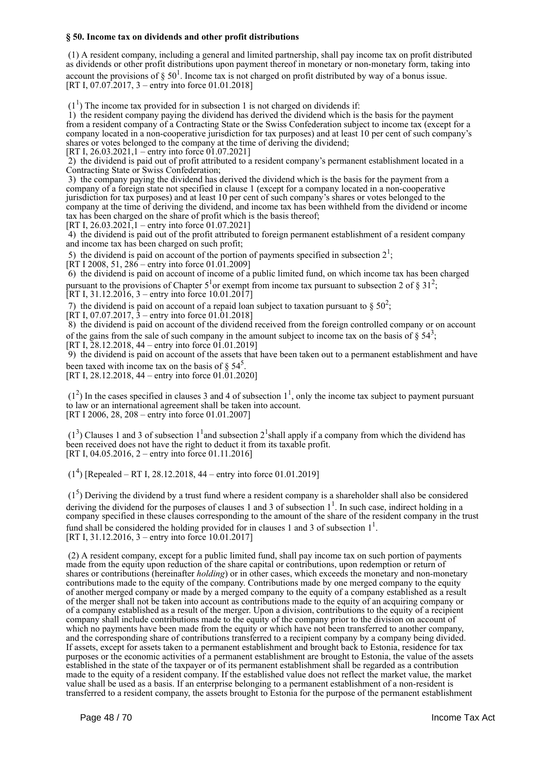#### **§ 50. Income tax on dividends and other profit distributions**

 (1) A resident company, including a general and limited partnership, shall pay income tax on profit distributed as dividends or other profit distributions upon payment thereof in monetary or non-monetary form, taking into account the provisions of  $\S 50<sup>1</sup>$ . Income tax is not charged on profit distributed by way of a bonus issue. [RT I, 07.07.2017, 3 – entry into force 01.01.2018]

 $(1<sup>1</sup>)$  The income tax provided for in subsection 1 is not charged on dividends if:

 1) the resident company paying the dividend has derived the dividend which is the basis for the payment from a resident company of a Contracting State or the Swiss Confederation subject to income tax (except for a company located in a non-cooperative jurisdiction for tax purposes) and at least 10 per cent of such company's shares or votes belonged to the company at the time of deriving the dividend;

[RT I, 26.03.2021,1 – entry into force 01.07.2021]

 2) the dividend is paid out of profit attributed to a resident company's permanent establishment located in a Contracting State or Swiss Confederation;

 3) the company paying the dividend has derived the dividend which is the basis for the payment from a company of a foreign state not specified in clause 1 (except for a company located in a non-cooperative jurisdiction for tax purposes) and at least 10 per cent of such company's shares or votes belonged to the company at the time of deriving the dividend, and income tax has been withheld from the dividend or income tax has been charged on the share of profit which is the basis thereof;

[RT I, 26.03.2021], 1 – entry into force 01.07.2021]

 4) the dividend is paid out of the profit attributed to foreign permanent establishment of a resident company and income tax has been charged on such profit;

5) the dividend is paid on account of the portion of payments specified in subsection  $2^1$ ;

[RT I 2008, 51, 286 – entry into force 01.01.2009]

 6) the dividend is paid on account of income of a public limited fund, on which income tax has been charged pursuant to the provisions of Chapter  $5^1$ or exempt from income tax pursuant to subsection 2 of § 31<sup>2</sup>; [RT I, 31.12.2016, 3 – entry into force 10.01.2017]

7) the dividend is paid on account of a repaid loan subject to taxation pursuant to  $\S 50^2$ ;

[RT I, 07.07.2017,  $\bar{3}$  – entry into force 01.01.2018]

 8) the dividend is paid on account of the dividend received from the foreign controlled company or on account of the gains from the sale of such company in the amount subject to income tax on the basis of  $\S 54^3$ ; [RT I, 28.12.2018, 44 – entry into force 01.01.2019]

 9) the dividend is paid on account of the assets that have been taken out to a permanent establishment and have been taxed with income tax on the basis of  $\S 54^5$ .

[RT I, 28.12.2018, 44 – entry into force 01.01.2020]

 $(1<sup>2</sup>)$  In the cases specified in clauses 3 and 4 of subsection  $1<sup>1</sup>$ , only the income tax subject to payment pursuant to law or an international agreement shall be taken into account. [RT I 2006, 28, 208 – entry into force 01.01.2007]

 $(1^3)$  Clauses 1 and 3 of subsection 1<sup>1</sup> and subsection 2<sup>1</sup> shall apply if a company from which the dividend has been received does not have the right to deduct it from its taxable profit. [RT I, 04.05.2016, 2 – entry into force 01.11.2016]

 $(1<sup>4</sup>)$  [Repealed – RT I, 28.12.2018, 44 – entry into force 01.01.2019]

 $(1<sup>5</sup>)$  Deriving the dividend by a trust fund where a resident company is a shareholder shall also be considered deriving the dividend for the purposes of clauses 1 and 3 of subsection  $1<sup>1</sup>$ . In such case, indirect holding in a company specified in these clauses corresponding to the amount of the share of the resident company in the trust fund shall be considered the holding provided for in clauses 1 and 3 of subsection  $1^1$ . [RT I, 31.12.2016, 3 – entry into force 10.01.2017]

 (2) A resident company, except for a public limited fund, shall pay income tax on such portion of payments made from the equity upon reduction of the share capital or contributions, upon redemption or return of shares or contributions (hereinafter *holding*) or in other cases, which exceeds the monetary and non-monetary contributions made to the equity of the company. Contributions made by one merged company to the equity of another merged company or made by a merged company to the equity of a company established as a result of the merger shall not be taken into account as contributions made to the equity of an acquiring company or of a company established as a result of the merger. Upon a division, contributions to the equity of a recipient company shall include contributions made to the equity of the company prior to the division on account of which no payments have been made from the equity or which have not been transferred to another company, and the corresponding share of contributions transferred to a recipient company by a company being divided. If assets, except for assets taken to a permanent establishment and brought back to Estonia, residence for tax purposes or the economic activities of a permanent establishment are brought to Estonia, the value of the assets established in the state of the taxpayer or of its permanent establishment shall be regarded as a contribution made to the equity of a resident company. If the established value does not reflect the market value, the market value shall be used as a basis. If an enterprise belonging to a permanent establishment of a non-resident is transferred to a resident company, the assets brought to Estonia for the purpose of the permanent establishment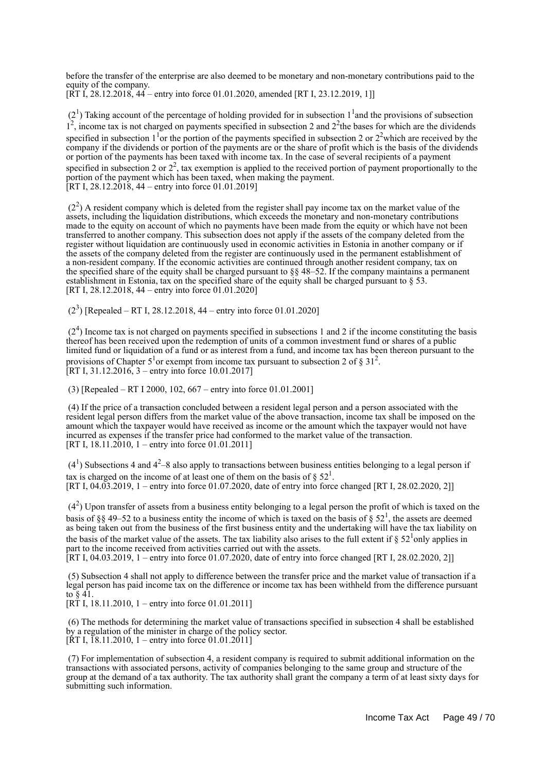before the transfer of the enterprise are also deemed to be monetary and non-monetary contributions paid to the equity of the company. [RT I, 28.12.2018, 44 – entry into force 01.01.2020, amended [RT I, 23.12.2019, 1]]

 $(2<sup>1</sup>)$  Taking account of the percentage of holding provided for in subsection  $1<sup>1</sup>$  and the provisions of subsection  $1<sup>2</sup>$ , income tax is not charged on payments specified in subsection 2 and  $2<sup>2</sup>$ the bases for which are the dividends specified in subsection  $1<sup>1</sup>$  or the portion of the payments specified in subsection 2 or  $2<sup>2</sup>$  which are received by the company if the dividends or portion of the payments are or the share of profit which is the basis of the dividends or portion of the payments has been taxed with income tax. In the case of several recipients of a payment specified in subsection 2 or  $2<sup>2</sup>$ , tax exemption is applied to the received portion of payment proportionally to the portion of the payment which has been taxed, when making the payment. [RT I, 28.12.2018, 44 – entry into force 01.01.2019]

 $(2<sup>2</sup>)$  A resident company which is deleted from the register shall pay income tax on the market value of the assets, including the liquidation distributions, which exceeds the monetary and non-monetary contributions made to the equity on account of which no payments have been made from the equity or which have not been transferred to another company. This subsection does not apply if the assets of the company deleted from the register without liquidation are continuously used in economic activities in Estonia in another company or if the assets of the company deleted from the register are continuously used in the permanent establishment of a non-resident company. If the economic activities are continued through another resident company, tax on the specified share of the equity shall be charged pursuant to §§ 48–52. If the company maintains a permanent establishment in Estonia, tax on the specified share of the equity shall be charged pursuant to § 53. [RT I, 28.12.2018, 44 – entry into force 01.01.2020]

 $(2^3)$  [Repealed – RT I, 28.12.2018, 44 – entry into force 01.01.2020]

 $(2<sup>4</sup>)$  Income tax is not charged on payments specified in subsections 1 and 2 if the income constituting the basis thereof has been received upon the redemption of units of a common investment fund or shares of a public limited fund or liquidation of a fund or as interest from a fund, and income tax has been thereon pursuant to the provisions of Chapter  $5^1$ or exempt from income tax pursuant to subsection 2 of § 31<sup>2</sup>. [RT I,  $31.12.2016$ ,  $3$  – entry into force 10.01.2017]

(3) [Repealed – RT I 2000, 102, 667 – entry into force 01.01.2001]

 (4) If the price of a transaction concluded between a resident legal person and a person associated with the resident legal person differs from the market value of the above transaction, income tax shall be imposed on the amount which the taxpayer would have received as income or the amount which the taxpayer would not have incurred as expenses if the transfer price had conformed to the market value of the transaction. [RT I, 18.11.2010, 1 – entry into force 01.01.2011]

 $(4<sup>1</sup>)$  Subsections 4 and  $4<sup>2</sup>$ –8 also apply to transactions between business entities belonging to a legal person if tax is charged on the income of at least one of them on the basis of  $\S 52<sup>1</sup>$ . [RT I, 04.03.2019, 1 – entry into force 01.07.2020, date of entry into force changed [RT I, 28.02.2020, 2]]

 $(4<sup>2</sup>)$  Upon transfer of assets from a business entity belonging to a legal person the profit of which is taxed on the basis of §§ 49–52 to a business entity the income of which is taxed on the basis of §  $52^1$ , the assets are deemed as being taken out from the business of the first business entity and the undertaking will have the tax liability on the basis of the market value of the assets. The tax liability also arises to the full extent if  $\S 52^1$  only applies in part to the income received from activities carried out with the assets.

[RT I, 04.03.2019, 1 – entry into force 01.07.2020, date of entry into force changed [RT I, 28.02.2020, 2]]

 (5) Subsection 4 shall not apply to difference between the transfer price and the market value of transaction if a legal person has paid income tax on the difference or income tax has been withheld from the difference pursuant to § 41.

 $[R\ddot{T} I, 18.11.2010, 1 -$  entry into force 01.01.2011]

 (6) The methods for determining the market value of transactions specified in subsection 4 shall be established by a regulation of the minister in charge of the policy sector. [ $\text{RT}$  I, 18.11.2010, 1 – entry into force 01.01.2011]

 (7) For implementation of subsection 4, a resident company is required to submit additional information on the transactions with associated persons, activity of companies belonging to the same group and structure of the group at the demand of a tax authority. The tax authority shall grant the company a term of at least sixty days for submitting such information.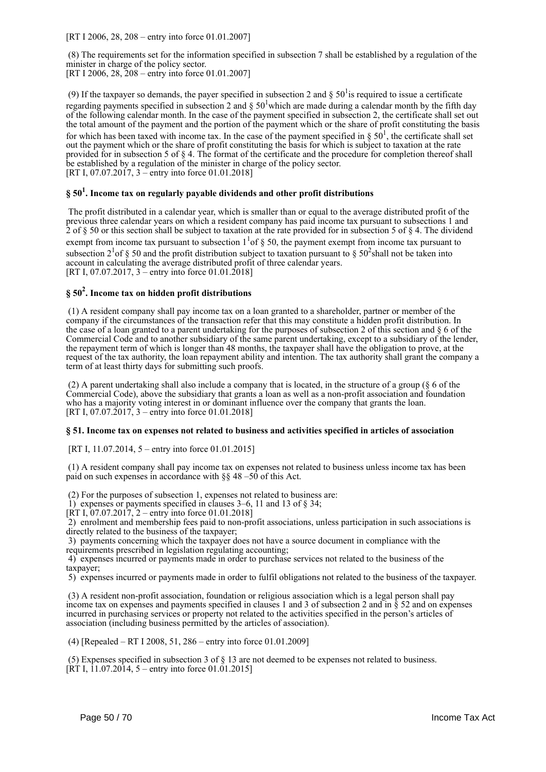[RT I 2006, 28, 208 – entry into force 01.01.2007]

 (8) The requirements set for the information specified in subsection 7 shall be established by a regulation of the minister in charge of the policy sector. [RT I 2006, 28, 208 – entry into force 01.01.2007]

(9) If the taxpayer so demands, the payer specified in subsection 2 and  $\S 50<sup>1</sup>$  is required to issue a certificate regarding payments specified in subsection 2 and  $\S 50^1$  which are made during a calendar month by the fifth day of the following calendar month. In the case of the payment specified in subsection 2, the certificate shall set out the total amount of the payment and the portion of the payment which or the share of profit constituting the basis for which has been taxed with income tax. In the case of the payment specified in  $\S 50<sup>1</sup>$ , the certificate shall set out the payment which or the share of profit constituting the basis for which is subject to taxation at the rate provided for in subsection 5 of § 4. The format of the certificate and the procedure for completion thereof shall

be established by a regulation of the minister in charge of the policy sector. [RT I, 07.07.2017, 3 – entry into force 01.01.2018]

## **§ 50<sup>1</sup> . Income tax on regularly payable dividends and other profit distributions**

 The profit distributed in a calendar year, which is smaller than or equal to the average distributed profit of the previous three calendar years on which a resident company has paid income tax pursuant to subsections 1 and 2 of § 50 or this section shall be subject to taxation at the rate provided for in subsection 5 of § 4. The dividend exempt from income tax pursuant to subsection  $1<sup>1</sup>$  of § 50, the payment exempt from income tax pursuant to subsection  $2^1$  of § 50 and the profit distribution subject to taxation pursuant to § 50<sup>2</sup> shall not be taken into account in calculating the average distributed profit of three calendar years. [RT I, 07.07.2017, 3 – entry into force 01.01.2018]

## **§ 50<sup>2</sup> . Income tax on hidden profit distributions**

 (1) A resident company shall pay income tax on a loan granted to a shareholder, partner or member of the company if the circumstances of the transaction refer that this may constitute a hidden profit distribution. In the case of a loan granted to a parent undertaking for the purposes of subsection 2 of this section and § 6 of the Commercial Code and to another subsidiary of the same parent undertaking, except to a subsidiary of the lender, the repayment term of which is longer than 48 months, the taxpayer shall have the obligation to prove, at the request of the tax authority, the loan repayment ability and intention. The tax authority shall grant the company a term of at least thirty days for submitting such proofs.

 (2) A parent undertaking shall also include a company that is located, in the structure of a group (§ 6 of the Commercial Code), above the subsidiary that grants a loan as well as a non-profit association and foundation who has a majority voting interest in or dominant influence over the company that grants the loan. [RT I, 07.07.2017, 3 – entry into force 01.01.2018]

#### **§ 51. Income tax on expenses not related to business and activities specified in articles of association**

[RT I, 11.07.2014, 5 – entry into force 01.01.2015]

 (1) A resident company shall pay income tax on expenses not related to business unless income tax has been paid on such expenses in accordance with §§ 48 –50 of this Act.

(2) For the purposes of subsection 1, expenses not related to business are:

1) expenses or payments specified in clauses 3–6, 11 and 13 of § 34;

 $[RT I, 07.07.2017, 2 - entry into force 01.01.2018]$ 

 2) enrolment and membership fees paid to non-profit associations, unless participation in such associations is directly related to the business of the taxpayer;

 3) payments concerning which the taxpayer does not have a source document in compliance with the requirements prescribed in legislation regulating accounting;

 4) expenses incurred or payments made in order to purchase services not related to the business of the taxpayer;

5) expenses incurred or payments made in order to fulfil obligations not related to the business of the taxpayer.

 (3) A resident non-profit association, foundation or religious association which is a legal person shall pay income tax on expenses and payments specified in clauses 1 and 3 of subsection 2 and in § 52 and on expenses incurred in purchasing services or property not related to the activities specified in the person's articles of association (including business permitted by the articles of association).

(4) [Repealed – RT I 2008, 51, 286 – entry into force 01.01.2009]

 (5) Expenses specified in subsection 3 of § 13 are not deemed to be expenses not related to business.  $\tilde{R}$ T I, 11.07.2014, 5 – entry into force 01.01.2015]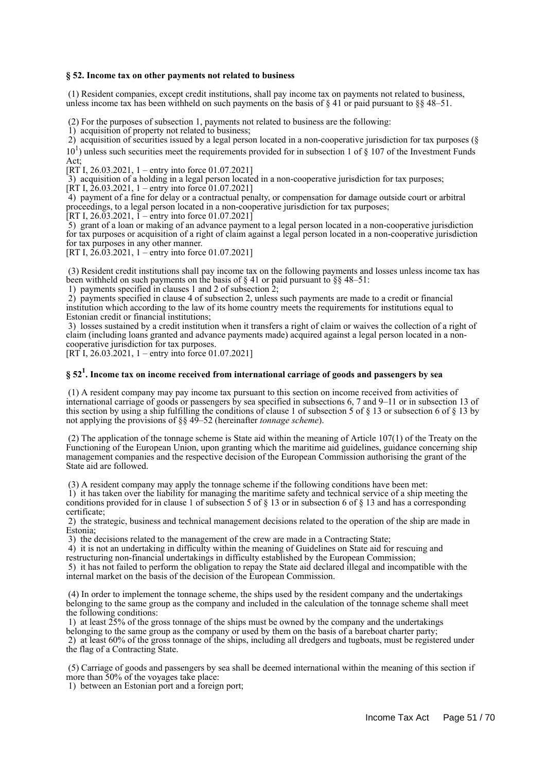#### **§ 52. Income tax on other payments not related to business**

 (1) Resident companies, except credit institutions, shall pay income tax on payments not related to business, unless income tax has been withheld on such payments on the basis of  $\S 41$  or paid pursuant to  $\S 48-51$ .

(2) For the purposes of subsection 1, payments not related to business are the following:

1) acquisition of property not related to business;

 2) acquisition of securities issued by a legal person located in a non-cooperative jurisdiction for tax purposes (§  $10<sup>1</sup>$ ) unless such securities meet the requirements provided for in subsection 1 of § 107 of the Investment Funds Act<sup>-</sup>

[RT I, 26.03.2021, 1 – entry into force 01.07.2021]

3) acquisition of a holding in a legal person located in a non-cooperative jurisdiction for tax purposes;

[RT I,  $26.03.2021$ , 1 – entry into force 01.07.2021]

 4) payment of a fine for delay or a contractual penalty, or compensation for damage outside court or arbitral proceedings, to a legal person located in a non-cooperative jurisdiction for tax purposes;

[RT I, 26.03.2021,  $\bar{1}$  – entry into force 01.07.2021]

 5) grant of a loan or making of an advance payment to a legal person located in a non-cooperative jurisdiction for tax purposes or acquisition of a right of claim against a legal person located in a non-cooperative jurisdiction for tax purposes in any other manner.

[RT I,  $26.03.2021$ , 1 – entry into force 01.07.2021]

 (3) Resident credit institutions shall pay income tax on the following payments and losses unless income tax has been withheld on such payments on the basis of § 41 or paid pursuant to §§ 48–51:

1) payments specified in clauses 1 and 2 of subsection 2;

 2) payments specified in clause 4 of subsection 2, unless such payments are made to a credit or financial institution which according to the law of its home country meets the requirements for institutions equal to Estonian credit or financial institutions;

 3) losses sustained by a credit institution when it transfers a right of claim or waives the collection of a right of claim (including loans granted and advance payments made) acquired against a legal person located in a noncooperative jurisdiction for tax purposes.

 $[RT<sup>†</sup> I, 26.03.2021, 1 - entry into force 01.07.2021]$ 

## **§ 52<sup>1</sup> . Income tax on income received from international carriage of goods and passengers by sea**

 (1) A resident company may pay income tax pursuant to this section on income received from activities of international carriage of goods or passengers by sea specified in subsections 6, 7 and 9–11 or in subsection 13 of this section by using a ship fulfilling the conditions of clause 1 of subsection 5 of  $\S$  13 or subsection 6 of  $\S$  13 by not applying the provisions of §§ 49–52 (hereinafter *tonnage scheme*).

 (2) The application of the tonnage scheme is State aid within the meaning of Article 107(1) of the Treaty on the Functioning of the European Union, upon granting which the maritime aid guidelines, guidance concerning ship management companies and the respective decision of the European Commission authorising the grant of the State aid are followed.

(3) A resident company may apply the tonnage scheme if the following conditions have been met:

 1) it has taken over the liability for managing the maritime safety and technical service of a ship meeting the conditions provided for in clause 1 of subsection 5 of § 13 or in subsection 6 of § 13 and has a corresponding certificate;

 2) the strategic, business and technical management decisions related to the operation of the ship are made in Estonia;

3) the decisions related to the management of the crew are made in a Contracting State;

4) it is not an undertaking in difficulty within the meaning of Guidelines on State aid for rescuing and

restructuring non-financial undertakings in difficulty established by the European Commission;

 5) it has not failed to perform the obligation to repay the State aid declared illegal and incompatible with the internal market on the basis of the decision of the European Commission.

 (4) In order to implement the tonnage scheme, the ships used by the resident company and the undertakings belonging to the same group as the company and included in the calculation of the tonnage scheme shall meet the following conditions:

 1) at least 25% of the gross tonnage of the ships must be owned by the company and the undertakings belonging to the same group as the company or used by them on the basis of a bareboat charter party;

 2) at least 60% of the gross tonnage of the ships, including all dredgers and tugboats, must be registered under the flag of a Contracting State.

 (5) Carriage of goods and passengers by sea shall be deemed international within the meaning of this section if more than 50% of the voyages take place:

1) between an Estonian port and a foreign port;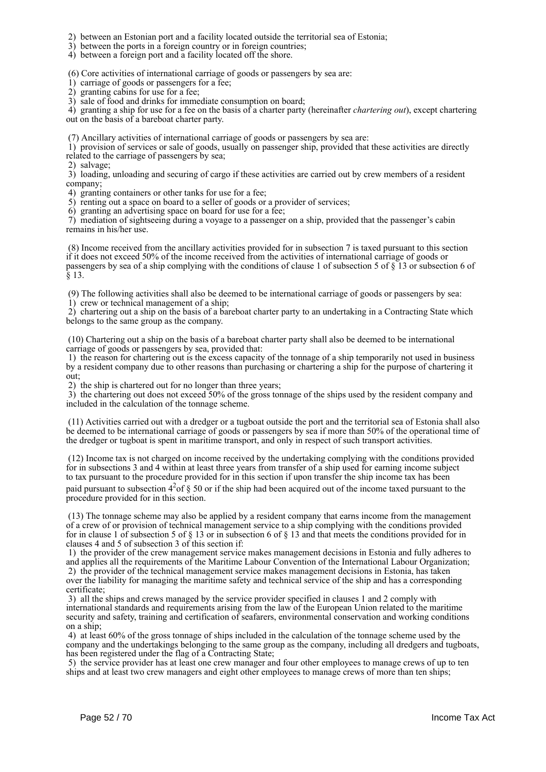2) between an Estonian port and a facility located outside the territorial sea of Estonia;

3) between the ports in a foreign country or in foreign countries;

4) between a foreign port and a facility located off the shore.

(6) Core activities of international carriage of goods or passengers by sea are:

1) carriage of goods or passengers for a fee;

2) granting cabins for use for a fee;

3) sale of food and drinks for immediate consumption on board;

 4) granting a ship for use for a fee on the basis of a charter party (hereinafter *chartering out*), except chartering out on the basis of a bareboat charter party.

(7) Ancillary activities of international carriage of goods or passengers by sea are:

 1) provision of services or sale of goods, usually on passenger ship, provided that these activities are directly related to the carriage of passengers by sea;

2) salvage;

 3) loading, unloading and securing of cargo if these activities are carried out by crew members of a resident company;

4) granting containers or other tanks for use for a fee;

5) renting out a space on board to a seller of goods or a provider of services;

6) granting an advertising space on board for use for a fee;

 7) mediation of sightseeing during a voyage to a passenger on a ship, provided that the passenger's cabin remains in his/her use.

 (8) Income received from the ancillary activities provided for in subsection 7 is taxed pursuant to this section if it does not exceed 50% of the income received from the activities of international carriage of goods or passengers by sea of a ship complying with the conditions of clause 1 of subsection 5 of § 13 or subsection 6 of  $§ 13.$ 

 (9) The following activities shall also be deemed to be international carriage of goods or passengers by sea: 1) crew or technical management of a ship;

 2) chartering out a ship on the basis of a bareboat charter party to an undertaking in a Contracting State which belongs to the same group as the company.

 (10) Chartering out a ship on the basis of a bareboat charter party shall also be deemed to be international carriage of goods or passengers by sea, provided that:

 1) the reason for chartering out is the excess capacity of the tonnage of a ship temporarily not used in business by a resident company due to other reasons than purchasing or chartering a ship for the purpose of chartering it out;

2) the ship is chartered out for no longer than three years;

 3) the chartering out does not exceed 50% of the gross tonnage of the ships used by the resident company and included in the calculation of the tonnage scheme.

 (11) Activities carried out with a dredger or a tugboat outside the port and the territorial sea of Estonia shall also be deemed to be international carriage of goods or passengers by sea if more than 50% of the operational time of the dredger or tugboat is spent in maritime transport, and only in respect of such transport activities.

 (12) Income tax is not charged on income received by the undertaking complying with the conditions provided for in subsections 3 and 4 within at least three years from transfer of a ship used for earning income subject to tax pursuant to the procedure provided for in this section if upon transfer the ship income tax has been paid pursuant to subsection  $4^{2}$  of § 50 or if the ship had been acquired out of the income taxed pursuant to the procedure provided for in this section.

 (13) The tonnage scheme may also be applied by a resident company that earns income from the management of a crew of or provision of technical management service to a ship complying with the conditions provided for in clause 1 of subsection 5 of § 13 or in subsection 6 of § 13 and that meets the conditions provided for in clauses 4 and 5 of subsection 3 of this section if:

 1) the provider of the crew management service makes management decisions in Estonia and fully adheres to and applies all the requirements of the Maritime Labour Convention of the International Labour Organization; 2) the provider of the technical management service makes management decisions in Estonia, has taken

over the liability for managing the maritime safety and technical service of the ship and has a corresponding certificate;

 3) all the ships and crews managed by the service provider specified in clauses 1 and 2 comply with international standards and requirements arising from the law of the European Union related to the maritime security and safety, training and certification of seafarers, environmental conservation and working conditions on a ship;

 4) at least 60% of the gross tonnage of ships included in the calculation of the tonnage scheme used by the company and the undertakings belonging to the same group as the company, including all dredgers and tugboats, has been registered under the flag of a Contracting State;

 5) the service provider has at least one crew manager and four other employees to manage crews of up to ten ships and at least two crew managers and eight other employees to manage crews of more than ten ships;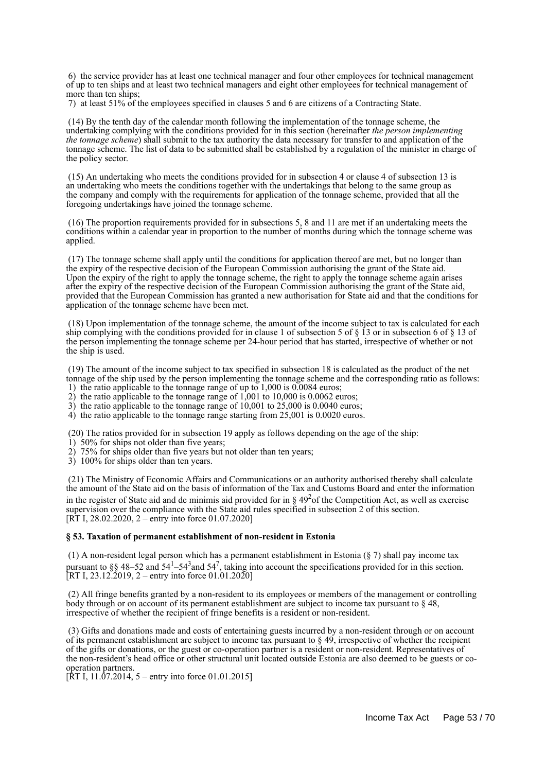6) the service provider has at least one technical manager and four other employees for technical management of up to ten ships and at least two technical managers and eight other employees for technical management of more than ten ships;

7) at least 51% of the employees specified in clauses 5 and 6 are citizens of a Contracting State.

 (14) By the tenth day of the calendar month following the implementation of the tonnage scheme, the undertaking complying with the conditions provided for in this section (hereinafter *the person implementing the tonnage scheme*) shall submit to the tax authority the data necessary for transfer to and application of the tonnage scheme. The list of data to be submitted shall be established by a regulation of the minister in charge of the policy sector.

 (15) An undertaking who meets the conditions provided for in subsection 4 or clause 4 of subsection 13 is an undertaking who meets the conditions together with the undertakings that belong to the same group as the company and comply with the requirements for application of the tonnage scheme, provided that all the foregoing undertakings have joined the tonnage scheme.

 (16) The proportion requirements provided for in subsections 5, 8 and 11 are met if an undertaking meets the conditions within a calendar year in proportion to the number of months during which the tonnage scheme was applied.

 (17) The tonnage scheme shall apply until the conditions for application thereof are met, but no longer than the expiry of the respective decision of the European Commission authorising the grant of the State aid. Upon the expiry of the right to apply the tonnage scheme, the right to apply the tonnage scheme again arises after the expiry of the respective decision of the European Commission authorising the grant of the State aid, provided that the European Commission has granted a new authorisation for State aid and that the conditions for application of the tonnage scheme have been met.

 (18) Upon implementation of the tonnage scheme, the amount of the income subject to tax is calculated for each ship complying with the conditions provided for in clause 1 of subsection 5 of § 13 or in subsection 6 of § 13 of the person implementing the tonnage scheme per 24-hour period that has started, irrespective of whether or not the ship is used.

 (19) The amount of the income subject to tax specified in subsection 18 is calculated as the product of the net tonnage of the ship used by the person implementing the tonnage scheme and the corresponding ratio as follows:

1) the ratio applicable to the tonnage range of up to 1,000 is 0.0084 euros;

- 2) the ratio applicable to the tonnage range of  $1,001$  to  $10,000$  is  $0.0062$  euros;
- 3) the ratio applicable to the tonnage range of 10,001 to 25,000 is 0.0040 euros;
- 4) the ratio applicable to the tonnage range starting from 25,001 is 0.0020 euros.

(20) The ratios provided for in subsection 19 apply as follows depending on the age of the ship:

- 1) 50% for ships not older than five years;
- 2) 75% for ships older than five years but not older than ten years;
- 3) 100% for ships older than ten years.

 (21) The Ministry of Economic Affairs and Communications or an authority authorised thereby shall calculate the amount of the State aid on the basis of information of the Tax and Customs Board and enter the information in the register of State aid and de minimis aid provided for in  $\S 49<sup>2</sup>$  of the Competition Act, as well as exercise supervision over the compliance with the State aid rules specified in subsection 2 of this section. [RT I, 28.02.2020, 2 – entry into force 01.07.2020]

#### **§ 53. Taxation of permanent establishment of non-resident in Estonia**

 (1) A non-resident legal person which has a permanent establishment in Estonia (§ 7) shall pay income tax pursuant to §§ 48–52 and 54<sup>1</sup>–54<sup>3</sup> and 54<sup>7</sup>, taking into account the specifications provided for in this section. [RT I, 23.12.2019, 2 – entry into force 01.01.2020]

 (2) All fringe benefits granted by a non-resident to its employees or members of the management or controlling body through or on account of its permanent establishment are subject to income tax pursuant to § 48, irrespective of whether the recipient of fringe benefits is a resident or non-resident.

 (3) Gifts and donations made and costs of entertaining guests incurred by a non-resident through or on account of its permanent establishment are subject to income tax pursuant to  $\S 49$ , irrespective of whether the recipient of the gifts or donations, or the guest or co-operation partner is a resident or non-resident. Representatives of the non-resident's head office or other structural unit located outside Estonia are also deemed to be guests or cooperation partners.

 $[\hat{R}T I, 11.07.2014, 5 -$  entry into force 01.01.2015]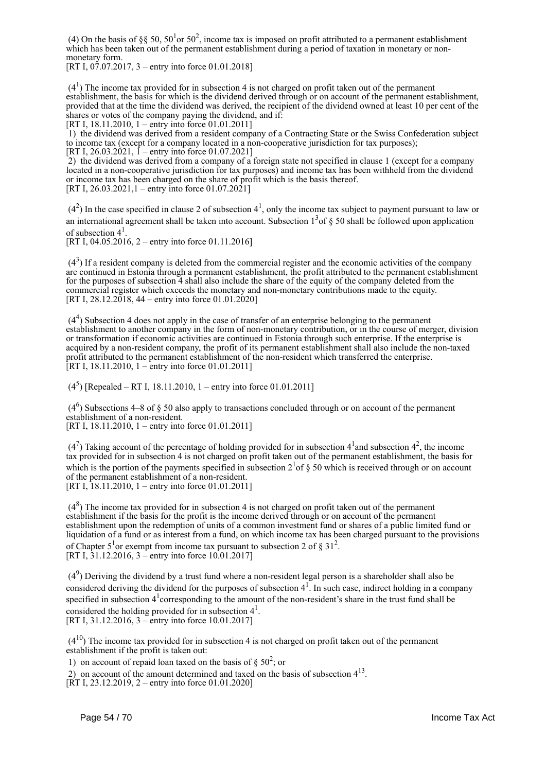(4) On the basis of §§ 50,  $50<sup>1</sup>$  or  $50<sup>2</sup>$ , income tax is imposed on profit attributed to a permanent establishment which has been taken out of the permanent establishment during a period of taxation in monetary or nonmonetary form.

[RT I,  $07.07.2017$ , 3 – entry into force 01.01.2018]

 $(4<sup>1</sup>)$  The income tax provided for in subsection 4 is not charged on profit taken out of the permanent establishment, the basis for which is the dividend derived through or on account of the permanent establishment, provided that at the time the dividend was derived, the recipient of the dividend owned at least 10 per cent of the shares or votes of the company paying the dividend, and if: [RT I, 18.11.2010, 1 – entry into force 01.01.2011]

 1) the dividend was derived from a resident company of a Contracting State or the Swiss Confederation subject to income tax (except for a company located in a non-cooperative jurisdiction for tax purposes); [RT I,  $26.03.2021$ ,  $1$  – entry into force 01.07.2021]

 2) the dividend was derived from a company of a foreign state not specified in clause 1 (except for a company located in a non-cooperative jurisdiction for tax purposes) and income tax has been withheld from the dividend or income tax has been charged on the share of profit which is the basis thereof. [RT I,  $26.03.2021$ , 1 – entry into force  $01.07.2021$ ]

 $(4<sup>2</sup>)$  In the case specified in clause 2 of subsection 4<sup>1</sup>, only the income tax subject to payment pursuant to law or an international agreement shall be taken into account. Subsection  $1<sup>3</sup>$  of § 50 shall be followed upon application of subsection  $4^1$ .

[RT I, 04.05.2016, 2 – entry into force 01.11.2016]

 $(4<sup>3</sup>)$  If a resident company is deleted from the commercial register and the economic activities of the company are continued in Estonia through a permanent establishment, the profit attributed to the permanent establishment for the purposes of subsection 4 shall also include the share of the equity of the company deleted from the commercial register which exceeds the monetary and non-monetary contributions made to the equity. [RT I, 28.12.2018, 44 – entry into force 01.01.2020]

 $(4<sup>4</sup>)$  Subsection 4 does not apply in the case of transfer of an enterprise belonging to the permanent establishment to another company in the form of non-monetary contribution, or in the course of merger, division or transformation if economic activities are continued in Estonia through such enterprise. If the enterprise is acquired by a non-resident company, the profit of its permanent establishment shall also include the non-taxed profit attributed to the permanent establishment of the non-resident which transferred the enterprise. [RT I, 18.11.2010, 1 – entry into force 01.01.2011]

 $(4<sup>5</sup>)$  [Repealed – RT I, 18.11.2010, 1 – entry into force 01.01.2011]

 $(4<sup>6</sup>)$  Subsections 4–8 of § 50 also apply to transactions concluded through or on account of the permanent establishment of a non-resident.

[RT I, 18.11.2010, 1 – entry into force 01.01.2011]

 $(4<sup>7</sup>)$  Taking account of the percentage of holding provided for in subsection  $4<sup>1</sup>$  and subsection  $4<sup>2</sup>$ , the income tax provided for in subsection 4 is not charged on profit taken out of the permanent establishment, the basis for which is the portion of the payments specified in subsection  $2<sup>1</sup>$  of § 50 which is received through or on account of the permanent establishment of a non-resident. [RT I, 18.11.2010, 1 – entry into force 01.01.2011]

 $(4<sup>8</sup>)$  The income tax provided for in subsection 4 is not charged on profit taken out of the permanent establishment if the basis for the profit is the income derived through or on account of the permanent establishment upon the redemption of units of a common investment fund or shares of a public limited fund or liquidation of a fund or as interest from a fund, on which income tax has been charged pursuant to the provisions of Chapter  $5^1$ or exempt from income tax pursuant to subsection 2 of § 31<sup>2</sup>. [RT I, 31.12.2016, 3 – entry into force 10.01.2017]

 $(4<sup>9</sup>)$  Deriving the dividend by a trust fund where a non-resident legal person is a shareholder shall also be considered deriving the dividend for the purposes of subsection  $4<sup>1</sup>$ . In such case, indirect holding in a company specified in subsection  $4<sup>1</sup>$  corresponding to the amount of the non-resident's share in the trust fund shall be considered the holding provided for in subsection  $4<sup>1</sup>$ . [RT I, 31.12.2016, 3 – entry into force 10.01.2017]

 $(4^{10})$  The income tax provided for in subsection 4 is not charged on profit taken out of the permanent establishment if the profit is taken out:

1) on account of repaid loan taxed on the basis of  $\S 50^2$ ; or

2) on account of the amount determined and taxed on the basis of subsection  $4<sup>13</sup>$ .

[RT I, 23.12.2019, 2 – entry into force 01.01.2020]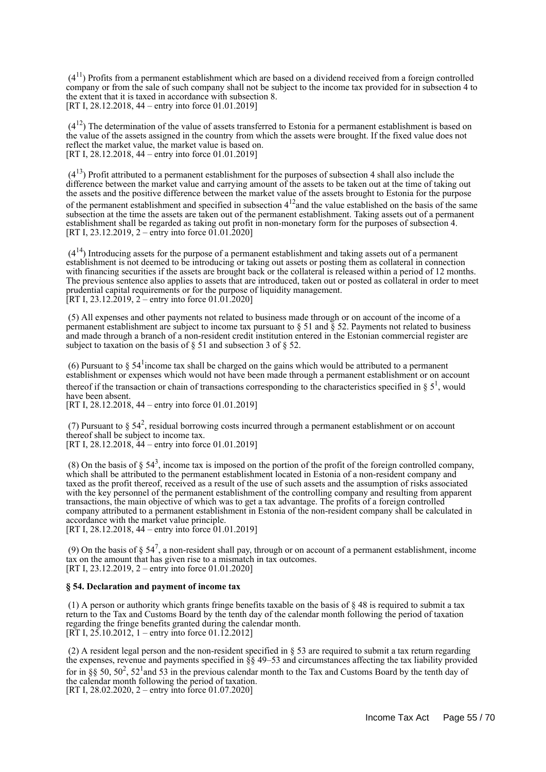$(4<sup>11</sup>)$  Profits from a permanent establishment which are based on a dividend received from a foreign controlled company or from the sale of such company shall not be subject to the income tax provided for in subsection 4 to the extent that it is taxed in accordance with subsection 8. [RT I, 28.12.2018, 44 – entry into force 01.01.2019]

 $(4^{12})$  The determination of the value of assets transferred to Estonia for a permanent establishment is based on the value of the assets assigned in the country from which the assets were brought. If the fixed value does not reflect the market value, the market value is based on. [RT I, 28.12.2018, 44 – entry into force 01.01.2019]

 $(4^{13})$  Profit attributed to a permanent establishment for the purposes of subsection 4 shall also include the difference between the market value and carrying amount of the assets to be taken out at the time of taking out the assets and the positive difference between the market value of the assets brought to Estonia for the purpose of the permanent establishment and specified in subsection  $4^{12}$  and the value established on the basis of the same subsection at the time the assets are taken out of the permanent establishment. Taking assets out of a permanent establishment shall be regarded as taking out profit in non-monetary form for the purposes of subsection 4. [RT I, 23.12.2019, 2 – entry into force  $01.01.2020$ ]

 $(4^{14})$  Introducing assets for the purpose of a permanent establishment and taking assets out of a permanent establishment is not deemed to be introducing or taking out assets or posting them as collateral in connection with financing securities if the assets are brought back or the collateral is released within a period of 12 months. The previous sentence also applies to assets that are introduced, taken out or posted as collateral in order to meet prudential capital requirements or for the purpose of liquidity management. [RT I, 23.12.2019, 2 – entry into force 01.01.2020]

 (5) All expenses and other payments not related to business made through or on account of the income of a permanent establishment are subject to income tax pursuant to  $\S 51$  and  $\S 52$ . Payments not related to business and made through a branch of a non-resident credit institution entered in the Estonian commercial register are subject to taxation on the basis of  $\S$  51 and subsection 3 of  $\S$  52.

(6) Pursuant to  $\S 54^1$  income tax shall be charged on the gains which would be attributed to a permanent establishment or expenses which would not have been made through a permanent establishment or on account thereof if the transaction or chain of transactions corresponding to the characteristics specified in  $\S 5^1$ , would have been absent.

[RT I, 28.12.2018, 44 – entry into force 01.01.2019]

(7) Pursuant to  $\S 54^2$ , residual borrowing costs incurred through a permanent establishment or on account thereof shall be subject to income tax. [RT I, 28.12.2018, 44 – entry into force 01.01.2019]

(8) On the basis of  $\S$  54<sup>3</sup>, income tax is imposed on the portion of the profit of the foreign controlled company, which shall be attributed to the permanent establishment located in Estonia of a non-resident company and taxed as the profit thereof, received as a result of the use of such assets and the assumption of risks associated with the key personnel of the permanent establishment of the controlling company and resulting from apparent transactions, the main objective of which was to get a tax advantage. The profits of a foreign controlled company attributed to a permanent establishment in Estonia of the non-resident company shall be calculated in accordance with the market value principle.

[RT I, 28.12.2018, 44 – entry into force 01.01.2019]

(9) On the basis of  $\S 54^7$ , a non-resident shall pay, through or on account of a permanent establishment, income tax on the amount that has given rise to a mismatch in tax outcomes. [RT I, 23.12.2019, 2 – entry into force 01.01.2020]

#### **§ 54. Declaration and payment of income tax**

 (1) A person or authority which grants fringe benefits taxable on the basis of § 48 is required to submit a tax return to the Tax and Customs Board by the tenth day of the calendar month following the period of taxation regarding the fringe benefits granted during the calendar month. [RT I,  $25.10.2012$ , 1 – entry into force 01.12.2012]

 (2) A resident legal person and the non-resident specified in § 53 are required to submit a tax return regarding the expenses, revenue and payments specified in  $\S$ § 49–53 and circumstances affecting the tax liability provided for in §§ 50,  $50^2$ ,  $52^1$  and 53 in the previous calendar month to the Tax and Customs Board by the tenth day of the calendar month following the period of taxation. [RT I, 28.02.2020, 2 – entry into force 01.07.2020]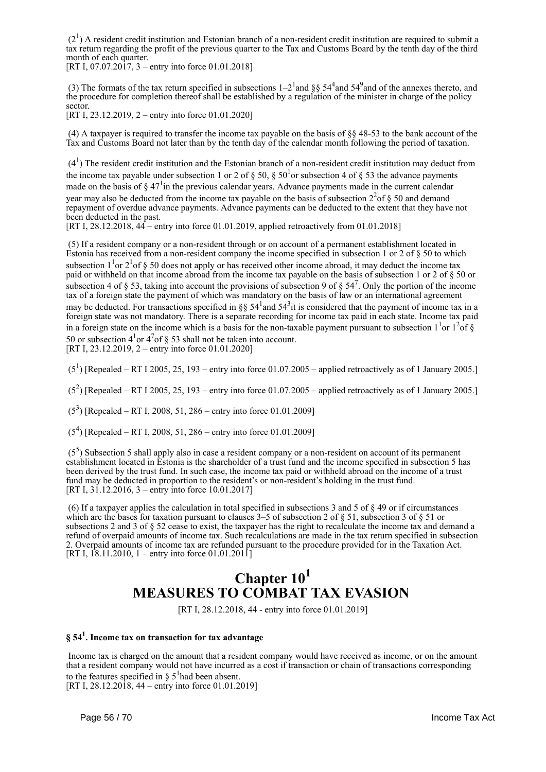$(2<sup>1</sup>)$  A resident credit institution and Estonian branch of a non-resident credit institution are required to submit a tax return regarding the profit of the previous quarter to the Tax and Customs Board by the tenth day of the third month of each quarter.

[RT I, 07.07.2017, 3 – entry into force 01.01.2018]

(3) The formats of the tax return specified in subsections  $1-2^1$  and  $\S$ §  $54^4$  and  $54^9$  and of the annexes thereto, and the procedure for completion thereof shall be established by a regulation of the minister in charge of the policy sector.

[RT I, 23.12.2019, 2 – entry into force 01.01.2020]

 (4) A taxpayer is required to transfer the income tax payable on the basis of §§ 48-53 to the bank account of the Tax and Customs Board not later than by the tenth day of the calendar month following the period of taxation.

 $(4<sup>1</sup>)$  The resident credit institution and the Estonian branch of a non-resident credit institution may deduct from the income tax payable under subsection 1 or 2 of  $\S 50$ ,  $\S 50<sup>1</sup>$ or subsection 4 of  $\S 53$  the advance payments made on the basis of  $\S 47<sup>1</sup>$  in the previous calendar years. Advance payments made in the current calendar year may also be deducted from the income tax payable on the basis of subsection  $2^{2}$  of § 50 and demand repayment of overdue advance payments. Advance payments can be deducted to the extent that they have not been deducted in the past.

[RT I, 28.12.2018, 44 – entry into force 01.01.2019, applied retroactively from 01.01.2018]

 (5) If a resident company or a non-resident through or on account of a permanent establishment located in Estonia has received from a non-resident company the income specified in subsection 1 or 2 of § 50 to which subsection  $1<sup>1</sup>$  or  $2<sup>1</sup>$  of § 50 does not apply or has received other income abroad, it may deduct the income tax paid or withheld on that income abroad from the income tax payable on the basis of subsection 1 or 2 of § 50 or subsection 4 of § 53, taking into account the provisions of subsection 9 of §  $54^7$ . Only the portion of the income tax of a foreign state the payment of which was mandatory on the basis of law or an international agreement may be deducted. For transactions specified in §§  $54<sup>1</sup>$  and  $54<sup>3</sup>$  it is considered that the payment of income tax in a foreign state was not mandatory. There is a separate recording for income tax paid in each state. Income tax paid in a foreign state on the income which is a basis for the non-taxable payment pursuant to subsection  $1<sup>1</sup>$  or  $1<sup>2</sup>$  of § 50 or subsection  $4^{1}$  or  $4^{7}$  of § 53 shall not be taken into account. [RT I, 23.12.2019, 2 – entry into force 01.01.2020]

 $(5^1)$  [Repealed – RT I 2005, 25, 193 – entry into force 01.07.2005 – applied retroactively as of 1 January 2005.]

 $(5^2)$  [Repealed – RT I 2005, 25, 193 – entry into force 01.07.2005 – applied retroactively as of 1 January 2005.]

 $(5^3)$  [Repealed – RT I, 2008, 51, 286 – entry into force 01.01.2009]

(5<sup>4</sup> ) [Repealed – RT I, 2008, 51, 286 – entry into force 01.01.2009]

 (5<sup>5</sup> ) Subsection 5 shall apply also in case a resident company or a non-resident on account of its permanent establishment located in Estonia is the shareholder of a trust fund and the income specified in subsection 5 has been derived by the trust fund. In such case, the income tax paid or withheld abroad on the income of a trust fund may be deducted in proportion to the resident's or non-resident's holding in the trust fund. [RT I, 31.12.2016, 3 – entry into force 10.01.2017]

 (6) If a taxpayer applies the calculation in total specified in subsections 3 and 5 of § 49 or if circumstances which are the bases for taxation pursuant to clauses  $3-5$  of subsection 2 of  $\S 51$ , subsection 3 of  $\S 51$  or subsections 2 and 3 of § 52 cease to exist, the taxpayer has the right to recalculate the income tax and demand a refund of overpaid amounts of income tax. Such recalculations are made in the tax return specified in subsection 2. Overpaid amounts of income tax are refunded pursuant to the procedure provided for in the Taxation Act. [RT I, 18.11.2010, 1 – entry into force 01.01.2011]

## **Chapter 10<sup>1</sup> MEASURES TO COMBAT TAX EVASION**

[RT I, 28.12.2018, 44 - entry into force 01.01.2019]

## **§ 54<sup>1</sup> . Income tax on transaction for tax advantage**

 Income tax is charged on the amount that a resident company would have received as income, or on the amount that a resident company would not have incurred as a cost if transaction or chain of transactions corresponding to the features specified in  $\S 5^1$  had been absent. [RT I, 28.12.2018, 44 – entry into force 01.01.2019]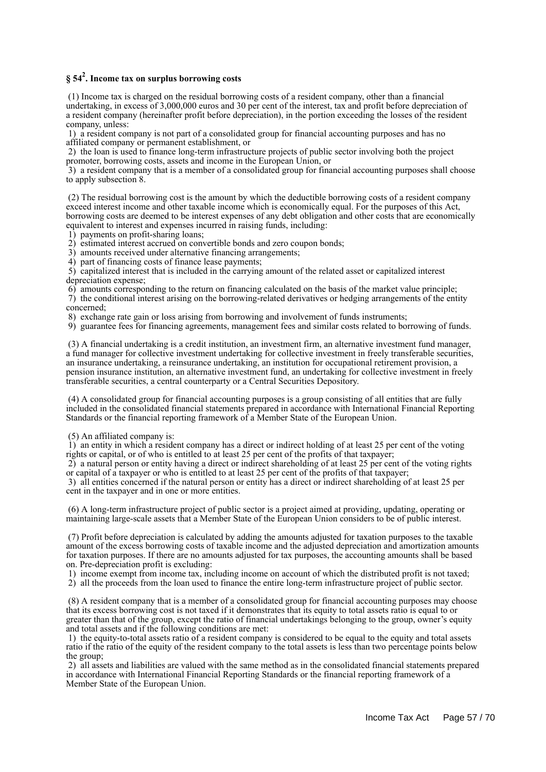## **§ 54<sup>2</sup> . Income tax on surplus borrowing costs**

 (1) Income tax is charged on the residual borrowing costs of a resident company, other than a financial undertaking, in excess of 3,000,000 euros and 30 per cent of the interest, tax and profit before depreciation of a resident company (hereinafter profit before depreciation), in the portion exceeding the losses of the resident company, unless:

 1) a resident company is not part of a consolidated group for financial accounting purposes and has no affiliated company or permanent establishment, or

 2) the loan is used to finance long-term infrastructure projects of public sector involving both the project promoter, borrowing costs, assets and income in the European Union, or

 3) a resident company that is a member of a consolidated group for financial accounting purposes shall choose to apply subsection 8.

 (2) The residual borrowing cost is the amount by which the deductible borrowing costs of a resident company exceed interest income and other taxable income which is economically equal. For the purposes of this Act, borrowing costs are deemed to be interest expenses of any debt obligation and other costs that are economically equivalent to interest and expenses incurred in raising funds, including:

1) payments on profit-sharing loans;

2) estimated interest accrued on convertible bonds and zero coupon bonds;

3) amounts received under alternative financing arrangements;

4) part of financing costs of finance lease payments;

 5) capitalized interest that is included in the carrying amount of the related asset or capitalized interest depreciation expense;

 6) amounts corresponding to the return on financing calculated on the basis of the market value principle; 7) the conditional interest arising on the borrowing-related derivatives or hedging arrangements of the entity concerned;

8) exchange rate gain or loss arising from borrowing and involvement of funds instruments;

9) guarantee fees for financing agreements, management fees and similar costs related to borrowing of funds.

 (3) A financial undertaking is a credit institution, an investment firm, an alternative investment fund manager, a fund manager for collective investment undertaking for collective investment in freely transferable securities, an insurance undertaking, a reinsurance undertaking, an institution for occupational retirement provision, a pension insurance institution, an alternative investment fund, an undertaking for collective investment in freely transferable securities, a central counterparty or a Central Securities Depository.

 (4) A consolidated group for financial accounting purposes is a group consisting of all entities that are fully included in the consolidated financial statements prepared in accordance with International Financial Reporting Standards or the financial reporting framework of a Member State of the European Union.

(5) An affiliated company is:

 1) an entity in which a resident company has a direct or indirect holding of at least 25 per cent of the voting rights or capital, or of who is entitled to at least 25 per cent of the profits of that taxpayer;

 2) a natural person or entity having a direct or indirect shareholding of at least 25 per cent of the voting rights or capital of a taxpayer or who is entitled to at least 25 per cent of the profits of that taxpayer;

 3) all entities concerned if the natural person or entity has a direct or indirect shareholding of at least 25 per cent in the taxpayer and in one or more entities.

 (6) A long-term infrastructure project of public sector is a project aimed at providing, updating, operating or maintaining large-scale assets that a Member State of the European Union considers to be of public interest.

 (7) Profit before depreciation is calculated by adding the amounts adjusted for taxation purposes to the taxable amount of the excess borrowing costs of taxable income and the adjusted depreciation and amortization amounts for taxation purposes. If there are no amounts adjusted for tax purposes, the accounting amounts shall be based on. Pre-depreciation profit is excluding:

1) income exempt from income tax, including income on account of which the distributed profit is not taxed;

2) all the proceeds from the loan used to finance the entire long-term infrastructure project of public sector.

 (8) A resident company that is a member of a consolidated group for financial accounting purposes may choose that its excess borrowing cost is not taxed if it demonstrates that its equity to total assets ratio is equal to or greater than that of the group, except the ratio of financial undertakings belonging to the group, owner's equity and total assets and if the following conditions are met:

 1) the equity-to-total assets ratio of a resident company is considered to be equal to the equity and total assets ratio if the ratio of the equity of the resident company to the total assets is less than two percentage points below the group;

 2) all assets and liabilities are valued with the same method as in the consolidated financial statements prepared in accordance with International Financial Reporting Standards or the financial reporting framework of a Member State of the European Union.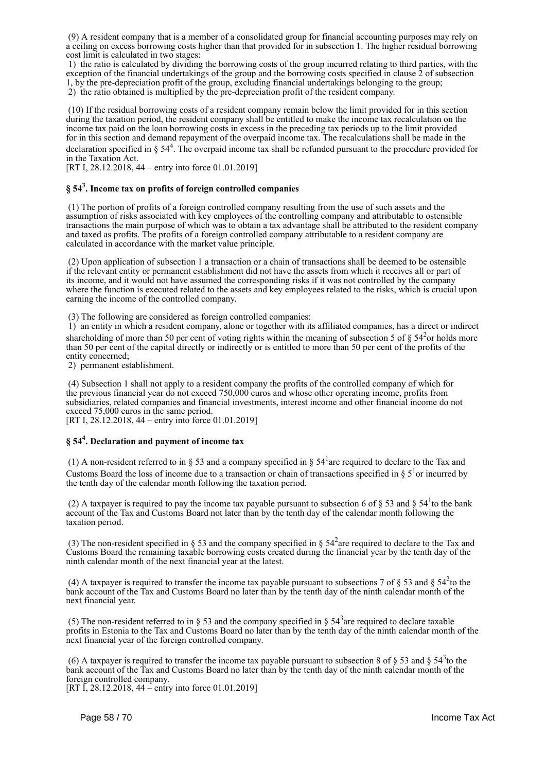(9) A resident company that is a member of a consolidated group for financial accounting purposes may rely on a ceiling on excess borrowing costs higher than that provided for in subsection 1. The higher residual borrowing cost limit is calculated in two stages:

 1) the ratio is calculated by dividing the borrowing costs of the group incurred relating to third parties, with the exception of the financial undertakings of the group and the borrowing costs specified in clause 2 of subsection 1, by the pre-depreciation profit of the group, excluding financial undertakings belonging to the group; 2) the ratio obtained is multiplied by the pre-depreciation profit of the resident company.

 (10) If the residual borrowing costs of a resident company remain below the limit provided for in this section during the taxation period, the resident company shall be entitled to make the income tax recalculation on the income tax paid on the loan borrowing costs in excess in the preceding tax periods up to the limit provided for in this section and demand repayment of the overpaid income tax. The recalculations shall be made in the

declaration specified in  $\S 54<sup>4</sup>$ . The overpaid income tax shall be refunded pursuant to the procedure provided for in the Taxation Act.

[RT I, 28.12.2018, 44 – entry into force 01.01.2019]

## **§ 54<sup>3</sup> . Income tax on profits of foreign controlled companies**

 (1) The portion of profits of a foreign controlled company resulting from the use of such assets and the assumption of risks associated with key employees of the controlling company and attributable to ostensible transactions the main purpose of which was to obtain a tax advantage shall be attributed to the resident company and taxed as profits. The profits of a foreign controlled company attributable to a resident company are calculated in accordance with the market value principle.

 (2) Upon application of subsection 1 a transaction or a chain of transactions shall be deemed to be ostensible if the relevant entity or permanent establishment did not have the assets from which it receives all or part of its income, and it would not have assumed the corresponding risks if it was not controlled by the company where the function is executed related to the assets and key employees related to the risks, which is crucial upon earning the income of the controlled company.

(3) The following are considered as foreign controlled companies:

 1) an entity in which a resident company, alone or together with its affiliated companies, has a direct or indirect shareholding of more than 50 per cent of voting rights within the meaning of subsection 5 of  $\S 54<sup>2</sup>$ or holds more than 50 per cent of the capital directly or indirectly or is entitled to more than 50 per cent of the profits of the entity concerned;

2) permanent establishment.

 (4) Subsection 1 shall not apply to a resident company the profits of the controlled company of which for the previous financial year do not exceed 750,000 euros and whose other operating income, profits from subsidiaries, related companies and financial investments, interest income and other financial income do not exceed 75,000 euros in the same period.

[RT I, 28.12.2018, 44 – entry into force 01.01.2019]

## **§ 54<sup>4</sup> . Declaration and payment of income tax**

(1) A non-resident referred to in § 53 and a company specified in §  $54<sup>1</sup>$  are required to declare to the Tax and Customs Board the loss of income due to a transaction or chain of transactions specified in §  $5<sup>1</sup>$ or incurred by the tenth day of the calendar month following the taxation period.

(2) A taxpayer is required to pay the income tax payable pursuant to subsection 6 of  $\S$  53 and  $\S$  54<sup>1</sup>to the bank account of the Tax and Customs Board not later than by the tenth day of the calendar month following the taxation period.

(3) The non-resident specified in § 53 and the company specified in §  $54<sup>2</sup>$  are required to declare to the Tax and Customs Board the remaining taxable borrowing costs created during the financial year by the tenth day of the ninth calendar month of the next financial year at the latest.

(4) A taxpayer is required to transfer the income tax payable pursuant to subsections 7 of  $\S 53$  and  $\S 54<sup>2</sup>$ to the bank account of the Tax and Customs Board no later than by the tenth day of the ninth calendar month of the next financial year.

(5) The non-resident referred to in § 53 and the company specified in §  $54<sup>3</sup>$  are required to declare taxable profits in Estonia to the Tax and Customs Board no later than by the tenth day of the ninth calendar month of the next financial year of the foreign controlled company.

(6) A taxpayer is required to transfer the income tax payable pursuant to subsection 8 of  $\S 53$  and  $\S 54<sup>3</sup>$ to the bank account of the Tax and Customs Board no later than by the tenth day of the ninth calendar month of the foreign controlled company.

[RT I, 28.12.2018, 44 – entry into force 01.01.2019]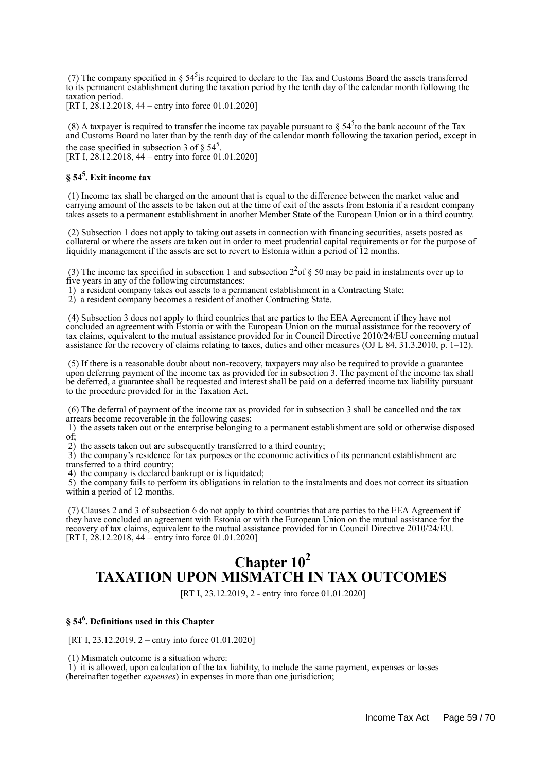(7) The company specified in  $\S 54<sup>5</sup>$  is required to declare to the Tax and Customs Board the assets transferred to its permanent establishment during the taxation period by the tenth day of the calendar month following the taxation period.

[RT I, 28.12.2018, 44 – entry into force 01.01.2020]

(8) A taxpayer is required to transfer the income tax payable pursuant to  $\S 54<sup>5</sup>$  to the bank account of the Tax and Customs Board no later than by the tenth day of the calendar month following the taxation period, except in the case specified in subsection 3 of  $\S 54^5$ .

[RT I, 28.12.2018, 44 – entry into force 01.01.2020]

## **§ 54<sup>5</sup> . Exit income tax**

 (1) Income tax shall be charged on the amount that is equal to the difference between the market value and carrying amount of the assets to be taken out at the time of exit of the assets from Estonia if a resident company takes assets to a permanent establishment in another Member State of the European Union or in a third country.

 (2) Subsection 1 does not apply to taking out assets in connection with financing securities, assets posted as collateral or where the assets are taken out in order to meet prudential capital requirements or for the purpose of liquidity management if the assets are set to revert to Estonia within a period of 12 months.

(3) The income tax specified in subsection 1 and subsection  $2^{2}$  of § 50 may be paid in instalments over up to five years in any of the following circumstances:

1) a resident company takes out assets to a permanent establishment in a Contracting State;

2) a resident company becomes a resident of another Contracting State.

 (4) Subsection 3 does not apply to third countries that are parties to the EEA Agreement if they have not concluded an agreement with Estonia or with the European Union on the mutual assistance for the recovery of tax claims, equivalent to the mutual assistance provided for in Council Directive 2010/24/EU concerning mutual assistance for the recovery of claims relating to taxes, duties and other measures (OJ L 84, 31.3.2010, p. 1–12).

 (5) If there is a reasonable doubt about non-recovery, taxpayers may also be required to provide a guarantee upon deferring payment of the income tax as provided for in subsection 3. The payment of the income tax shall be deferred, a guarantee shall be requested and interest shall be paid on a deferred income tax liability pursuant to the procedure provided for in the Taxation Act.

 (6) The deferral of payment of the income tax as provided for in subsection 3 shall be cancelled and the tax arrears become recoverable in the following cases:

 1) the assets taken out or the enterprise belonging to a permanent establishment are sold or otherwise disposed of;

2) the assets taken out are subsequently transferred to a third country;

 3) the company's residence for tax purposes or the economic activities of its permanent establishment are transferred to a third country;

4) the company is declared bankrupt or is liquidated;

 5) the company fails to perform its obligations in relation to the instalments and does not correct its situation within a period of 12 months.

 (7) Clauses 2 and 3 of subsection 6 do not apply to third countries that are parties to the EEA Agreement if they have concluded an agreement with Estonia or with the European Union on the mutual assistance for the recovery of tax claims, equivalent to the mutual assistance provided for in Council Directive 2010/24/EU. [RT I, 28.12.2018, 44 – entry into force 01.01.2020]

## **Chapter 10<sup>2</sup> TAXATION UPON MISMATCH IN TAX OUTCOMES**

[RT I, 23.12.2019, 2 - entry into force 01.01.2020]

## **§ 54<sup>6</sup> . Definitions used in this Chapter**

[RT I, 23.12.2019, 2 – entry into force 01.01.2020]

(1) Mismatch outcome is a situation where:

 1) it is allowed, upon calculation of the tax liability, to include the same payment, expenses or losses (hereinafter together *expenses*) in expenses in more than one jurisdiction;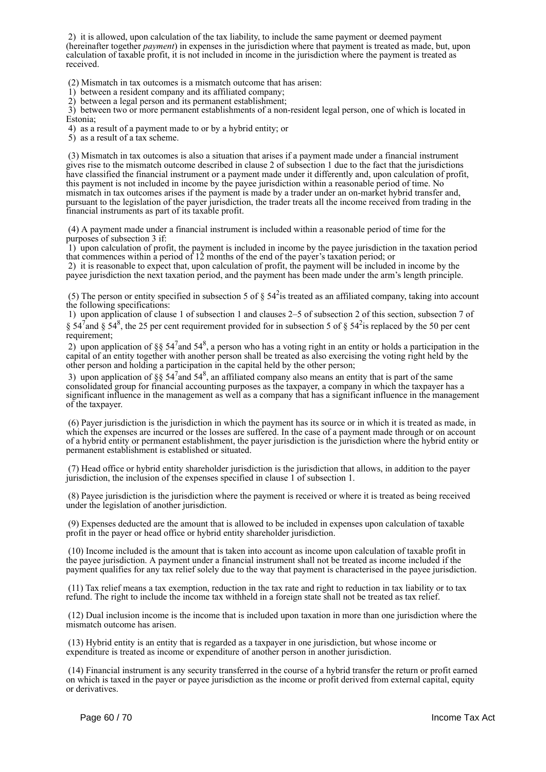2) it is allowed, upon calculation of the tax liability, to include the same payment or deemed payment (hereinafter together *payment*) in expenses in the jurisdiction where that payment is treated as made, but, upon calculation of taxable profit, it is not included in income in the jurisdiction where the payment is treated as received.

(2) Mismatch in tax outcomes is a mismatch outcome that has arisen:

1) between a resident company and its affiliated company;

2) between a legal person and its permanent establishment;

 3) between two or more permanent establishments of a non-resident legal person, one of which is located in Estonia;

4) as a result of a payment made to or by a hybrid entity; or

5) as a result of a tax scheme.

 (3) Mismatch in tax outcomes is also a situation that arises if a payment made under a financial instrument gives rise to the mismatch outcome described in clause 2 of subsection 1 due to the fact that the jurisdictions have classified the financial instrument or a payment made under it differently and, upon calculation of profit, this payment is not included in income by the payee jurisdiction within a reasonable period of time. No mismatch in tax outcomes arises if the payment is made by a trader under an on-market hybrid transfer and, pursuant to the legislation of the payer jurisdiction, the trader treats all the income received from trading in the financial instruments as part of its taxable profit.

 (4) A payment made under a financial instrument is included within a reasonable period of time for the purposes of subsection 3 if:

 1) upon calculation of profit, the payment is included in income by the payee jurisdiction in the taxation period that commences within a period of 12 months of the end of the payer's taxation period; or

 2) it is reasonable to expect that, upon calculation of profit, the payment will be included in income by the payee jurisdiction the next taxation period, and the payment has been made under the arm's length principle.

(5) The person or entity specified in subsection 5 of  $\S 54^2$  is treated as an affiliated company, taking into account the following specifications:

 1) upon application of clause 1 of subsection 1 and clauses 2–5 of subsection 2 of this section, subsection 7 of § 54<sup>7</sup> and § 54<sup>8</sup>, the 25 per cent requirement provided for in subsection 5 of § 54<sup>2</sup> is replaced by the 50 per cent requirement;

2) upon application of §§  $54^7$  and  $54^8$ , a person who has a voting right in an entity or holds a participation in the capital of an entity together with another person shall be treated as also exercising the voting right held by the other person and holding a participation in the capital held by the other person;

3) upon application of §§  $54^7$  and  $54^8$ , an affiliated company also means an entity that is part of the same consolidated group for financial accounting purposes as the taxpayer, a company in which the taxpayer has a significant influence in the management as well as a company that has a significant influence in the management of the taxpayer.

 (6) Payer jurisdiction is the jurisdiction in which the payment has its source or in which it is treated as made, in which the expenses are incurred or the losses are suffered. In the case of a payment made through or on account of a hybrid entity or permanent establishment, the payer jurisdiction is the jurisdiction where the hybrid entity or permanent establishment is established or situated.

 (7) Head office or hybrid entity shareholder jurisdiction is the jurisdiction that allows, in addition to the payer jurisdiction, the inclusion of the expenses specified in clause 1 of subsection 1.

 (8) Payee jurisdiction is the jurisdiction where the payment is received or where it is treated as being received under the legislation of another jurisdiction.

 (9) Expenses deducted are the amount that is allowed to be included in expenses upon calculation of taxable profit in the payer or head office or hybrid entity shareholder jurisdiction.

 (10) Income included is the amount that is taken into account as income upon calculation of taxable profit in the payee jurisdiction. A payment under a financial instrument shall not be treated as income included if the payment qualifies for any tax relief solely due to the way that payment is characterised in the payee jurisdiction.

 (11) Tax relief means a tax exemption, reduction in the tax rate and right to reduction in tax liability or to tax refund. The right to include the income tax withheld in a foreign state shall not be treated as tax relief.

 (12) Dual inclusion income is the income that is included upon taxation in more than one jurisdiction where the mismatch outcome has arisen.

 (13) Hybrid entity is an entity that is regarded as a taxpayer in one jurisdiction, but whose income or expenditure is treated as income or expenditure of another person in another jurisdiction.

 (14) Financial instrument is any security transferred in the course of a hybrid transfer the return or profit earned on which is taxed in the payer or payee jurisdiction as the income or profit derived from external capital, equity or derivatives.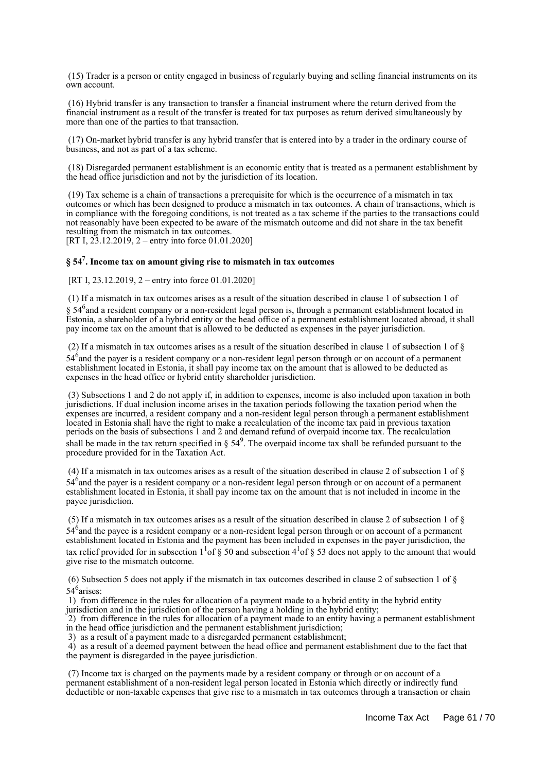(15) Trader is a person or entity engaged in business of regularly buying and selling financial instruments on its own account.

 (16) Hybrid transfer is any transaction to transfer a financial instrument where the return derived from the financial instrument as a result of the transfer is treated for tax purposes as return derived simultaneously by more than one of the parties to that transaction.

 (17) On-market hybrid transfer is any hybrid transfer that is entered into by a trader in the ordinary course of business, and not as part of a tax scheme.

 (18) Disregarded permanent establishment is an economic entity that is treated as a permanent establishment by the head office jurisdiction and not by the jurisdiction of its location.

 (19) Tax scheme is a chain of transactions a prerequisite for which is the occurrence of a mismatch in tax outcomes or which has been designed to produce a mismatch in tax outcomes. A chain of transactions, which is in compliance with the foregoing conditions, is not treated as a tax scheme if the parties to the transactions could not reasonably have been expected to be aware of the mismatch outcome and did not share in the tax benefit resulting from the mismatch in tax outcomes.

[RT I, 23.12.2019, 2 – entry into force 01.01.2020]

## **§ 54<sup>7</sup> . Income tax on amount giving rise to mismatch in tax outcomes**

[RT I, 23.12.2019, 2 – entry into force 01.01.2020]

 (1) If a mismatch in tax outcomes arises as a result of the situation described in clause 1 of subsection 1 of § 54<sup>6</sup> and a resident company or a non-resident legal person is, through a permanent establishment located in Estonia, a shareholder of a hybrid entity or the head office of a permanent establishment located abroad, it shall pay income tax on the amount that is allowed to be deducted as expenses in the payer jurisdiction.

 (2) If a mismatch in tax outcomes arises as a result of the situation described in clause 1 of subsection 1 of § 54<sup>6</sup> and the payer is a resident company or a non-resident legal person through or on account of a permanent establishment located in Estonia, it shall pay income tax on the amount that is allowed to be deducted as expenses in the head office or hybrid entity shareholder jurisdiction.

 (3) Subsections 1 and 2 do not apply if, in addition to expenses, income is also included upon taxation in both jurisdictions. If dual inclusion income arises in the taxation periods following the taxation period when the expenses are incurred, a resident company and a non-resident legal person through a permanent establishment located in Estonia shall have the right to make a recalculation of the income tax paid in previous taxation periods on the basis of subsections 1 and 2 and demand refund of overpaid income tax. The recalculation shall be made in the tax return specified in  $\S 54^9$ . The overpaid income tax shall be refunded pursuant to the procedure provided for in the Taxation Act.

 (4) If a mismatch in tax outcomes arises as a result of the situation described in clause 2 of subsection 1 of § 54<sup>6</sup> and the payer is a resident company or a non-resident legal person through or on account of a permanent establishment located in Estonia, it shall pay income tax on the amount that is not included in income in the payee jurisdiction.

 (5) If a mismatch in tax outcomes arises as a result of the situation described in clause 2 of subsection 1 of § 54<sup>6</sup> and the payee is a resident company or a non-resident legal person through or on account of a permanent establishment located in Estonia and the payment has been included in expenses in the payer jurisdiction, the tax relief provided for in subsection  $1^1$  of § 50 and subsection  $4^1$  of § 53 does not apply to the amount that would give rise to the mismatch outcome.

 (6) Subsection 5 does not apply if the mismatch in tax outcomes described in clause 2 of subsection 1 of § 54<sup>6</sup> arises:

 1) from difference in the rules for allocation of a payment made to a hybrid entity in the hybrid entity jurisdiction and in the jurisdiction of the person having a holding in the hybrid entity;

2) from difference in the rules for allocation of a payment made to an entity having a permanent establishment in the head office jurisdiction and the permanent establishment jurisdiction;

3) as a result of a payment made to a disregarded permanent establishment;

 4) as a result of a deemed payment between the head office and permanent establishment due to the fact that the payment is disregarded in the payee jurisdiction.

 (7) Income tax is charged on the payments made by a resident company or through or on account of a permanent establishment of a non-resident legal person located in Estonia which directly or indirectly fund deductible or non-taxable expenses that give rise to a mismatch in tax outcomes through a transaction or chain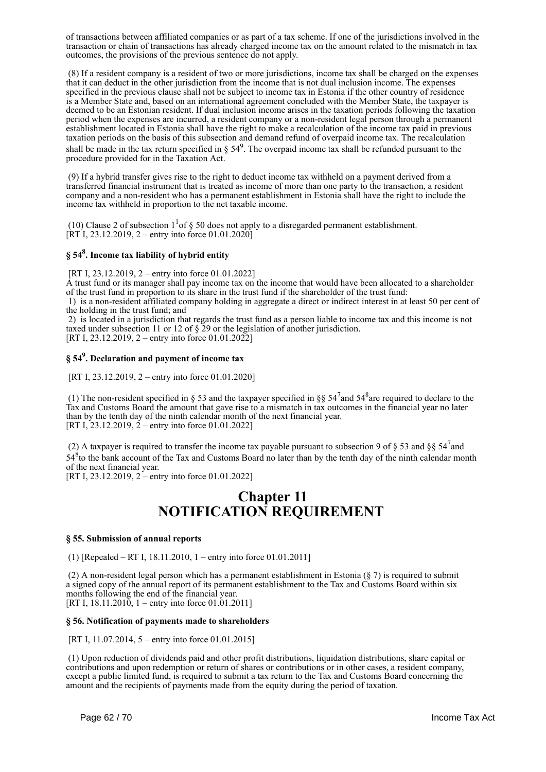of transactions between affiliated companies or as part of a tax scheme. If one of the jurisdictions involved in the transaction or chain of transactions has already charged income tax on the amount related to the mismatch in tax outcomes, the provisions of the previous sentence do not apply.

 (8) If a resident company is a resident of two or more jurisdictions, income tax shall be charged on the expenses that it can deduct in the other jurisdiction from the income that is not dual inclusion income. The expenses specified in the previous clause shall not be subject to income tax in Estonia if the other country of residence is a Member State and, based on an international agreement concluded with the Member State, the taxpayer is deemed to be an Estonian resident. If dual inclusion income arises in the taxation periods following the taxation period when the expenses are incurred, a resident company or a non-resident legal person through a permanent establishment located in Estonia shall have the right to make a recalculation of the income tax paid in previous taxation periods on the basis of this subsection and demand refund of overpaid income tax. The recalculation shall be made in the tax return specified in  $\S 54^9$ . The overpaid income tax shall be refunded pursuant to the procedure provided for in the Taxation Act.

 (9) If a hybrid transfer gives rise to the right to deduct income tax withheld on a payment derived from a transferred financial instrument that is treated as income of more than one party to the transaction, a resident company and a non-resident who has a permanent establishment in Estonia shall have the right to include the income tax withheld in proportion to the net taxable income.

(10) Clause 2 of subsection  $1<sup>1</sup>$  of  $\S$  50 does not apply to a disregarded permanent establishment. [RT I, 23.12.2019, 2 – entry into force  $01.01.2020$ ]

## **§ 54<sup>8</sup> . Income tax liability of hybrid entity**

[RT I, 23.12.2019, 2 – entry into force 01.01.2022]

A trust fund or its manager shall pay income tax on the income that would have been allocated to a shareholder of the trust fund in proportion to its share in the trust fund if the shareholder of the trust fund:

 1) is a non-resident affiliated company holding in aggregate a direct or indirect interest in at least 50 per cent of the holding in the trust fund; and

 2) is located in a jurisdiction that regards the trust fund as a person liable to income tax and this income is not taxed under subsection 11 or 12 of § 29 or the legislation of another jurisdiction. [RT I, 23.12.2019, 2 – entry into force 01.01.2022]

## **§ 54<sup>9</sup> . Declaration and payment of income tax**

[RT I, 23.12.2019, 2 – entry into force 01.01.2020]

(1) The non-resident specified in § 53 and the taxpayer specified in §§  $54^7$  and  $54^8$  are required to declare to the Tax and Customs Board the amount that gave rise to a mismatch in tax outcomes in the financial year no later than by the tenth day of the ninth calendar month of the next financial year. [RT I, 23.12.2019,  $2$  – entry into force 01.01.2022]

(2) A taxpayer is required to transfer the income tax payable pursuant to subsection 9 of § 53 and §§  $54<sup>7</sup>$  and 54<sup>8</sup> to the bank account of the Tax and Customs Board no later than by the tenth day of the ninth calendar month of the next financial year.

[RT I, 23.12.2019, 2 – entry into force 01.01.2022]

## **Chapter 11 NOTIFICATION REQUIREMENT**

#### **§ 55. Submission of annual reports**

(1) [Repealed – RT I, 18.11.2010, 1 – entry into force 01.01.2011]

 (2) A non-resident legal person which has a permanent establishment in Estonia (§ 7) is required to submit a signed copy of the annual report of its permanent establishment to the Tax and Customs Board within six months following the end of the financial year. [RT I,  $18.11.2010$ , 1 – entry into force 01.01.2011]

#### **§ 56. Notification of payments made to shareholders**

[RT I, 11.07.2014, 5 – entry into force 01.01.2015]

 (1) Upon reduction of dividends paid and other profit distributions, liquidation distributions, share capital or contributions and upon redemption or return of shares or contributions or in other cases, a resident company, except a public limited fund, is required to submit a tax return to the Tax and Customs Board concerning the amount and the recipients of payments made from the equity during the period of taxation.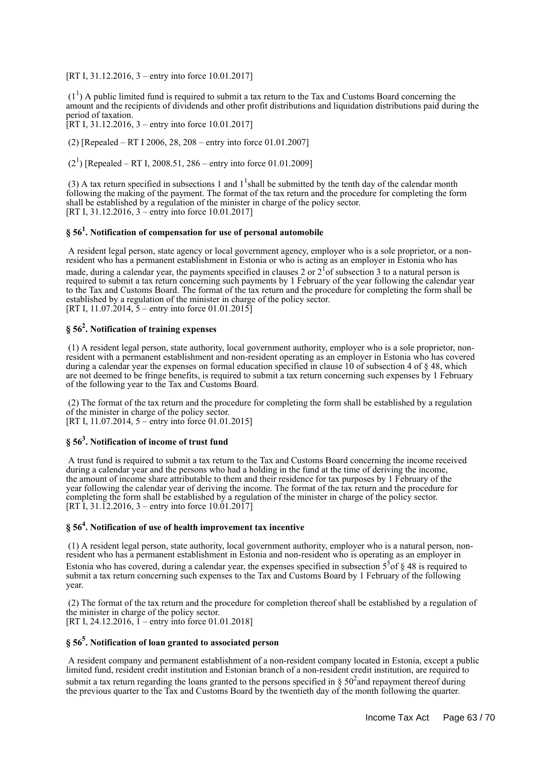[RT I, 31.12.2016, 3 – entry into force 10.01.2017]

 $(1<sup>1</sup>)$  A public limited fund is required to submit a tax return to the Tax and Customs Board concerning the amount and the recipients of dividends and other profit distributions and liquidation distributions paid during the period of taxation.

[RT I, 31.12.2016, 3 – entry into force 10.01.2017]

(2) [Repealed – RT I 2006, 28, 208 – entry into force 01.01.2007]

 $(2<sup>1</sup>)$  [Repealed – RT I, 2008.51, 286 – entry into force 01.01.2009]

(3) A tax return specified in subsections 1 and  $1^1$ shall be submitted by the tenth day of the calendar month following the making of the payment. The format of the tax return and the procedure for completing the form shall be established by a regulation of the minister in charge of the policy sector. [RT I, 31.12.2016, 3 – entry into force 10.01.2017]

## **§ 56<sup>1</sup> . Notification of compensation for use of personal automobile**

 A resident legal person, state agency or local government agency, employer who is a sole proprietor, or a nonresident who has a permanent establishment in Estonia or who is acting as an employer in Estonia who has made, during a calendar year, the payments specified in clauses 2 or  $2<sup>1</sup>$  of subsection 3 to a natural person is required to submit a tax return concerning such payments by 1 February of the year following the calendar year to the Tax and Customs Board. The format of the tax return and the procedure for completing the form shall be established by a regulation of the minister in charge of the policy sector. [RT I, 11.07.2014, 5 – entry into force 01.01.2015]

## **§ 56<sup>2</sup> . Notification of training expenses**

 (1) A resident legal person, state authority, local government authority, employer who is a sole proprietor, nonresident with a permanent establishment and non-resident operating as an employer in Estonia who has covered during a calendar year the expenses on formal education specified in clause 10 of subsection 4 of § 48, which are not deemed to be fringe benefits, is required to submit a tax return concerning such expenses by 1 February of the following year to the Tax and Customs Board.

 (2) The format of the tax return and the procedure for completing the form shall be established by a regulation of the minister in charge of the policy sector. [RT I, 11.07.2014, 5 – entry into force 01.01.2015]

## **§ 56<sup>3</sup> . Notification of income of trust fund**

 A trust fund is required to submit a tax return to the Tax and Customs Board concerning the income received during a calendar year and the persons who had a holding in the fund at the time of deriving the income, the amount of income share attributable to them and their residence for tax purposes by 1 February of the year following the calendar year of deriving the income. The format of the tax return and the procedure for completing the form shall be established by a regulation of the minister in charge of the policy sector. [RT I, 31.12.2016, 3 – entry into force 10.01.2017]

## **§ 56<sup>4</sup> . Notification of use of health improvement tax incentive**

 (1) A resident legal person, state authority, local government authority, employer who is a natural person, nonresident who has a permanent establishment in Estonia and non-resident who is operating as an employer in Estonia who has covered, during a calendar year, the expenses specified in subsection  $5<sup>5</sup>$  of § 48 is required to submit a tax return concerning such expenses to the Tax and Customs Board by 1 February of the following year.

 (2) The format of the tax return and the procedure for completion thereof shall be established by a regulation of the minister in charge of the policy sector. [RT I, 24.12.2016,  $\tilde{1}$  – entry into force 01.01.2018]

## **§ 56<sup>5</sup> . Notification of loan granted to associated person**

 A resident company and permanent establishment of a non-resident company located in Estonia, except a public limited fund, resident credit institution and Estonian branch of a non-resident credit institution, are required to submit a tax return regarding the loans granted to the persons specified in  $\S 50^2$  and repayment thereof during the previous quarter to the Tax and Customs Board by the twentieth day of the month following the quarter.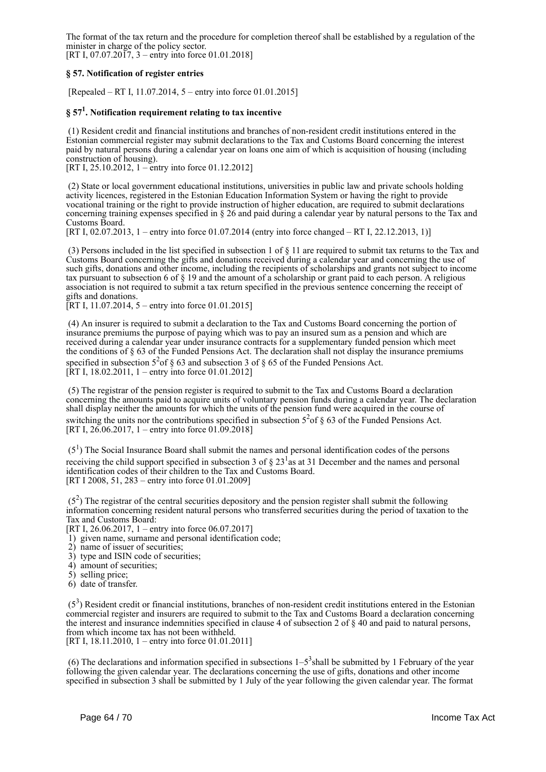The format of the tax return and the procedure for completion thereof shall be established by a regulation of the minister in charge of the policy sector. [RT I, 07.07.2017, 3 – entry into force 01.01.2018]

**§ 57. Notification of register entries**

[Repealed – RT I, 11.07.2014, 5 – entry into force 01.01.2015]

## **§ 57<sup>1</sup> . Notification requirement relating to tax incentive**

 (1) Resident credit and financial institutions and branches of non-resident credit institutions entered in the Estonian commercial register may submit declarations to the Tax and Customs Board concerning the interest paid by natural persons during a calendar year on loans one aim of which is acquisition of housing (including construction of housing).

[RT I, 25.10.2012, 1 – entry into force 01.12.2012]

 (2) State or local government educational institutions, universities in public law and private schools holding activity licences, registered in the Estonian Education Information System or having the right to provide vocational training or the right to provide instruction of higher education, are required to submit declarations concerning training expenses specified in § 26 and paid during a calendar year by natural persons to the Tax and Customs Board.

[RT I, 02.07.2013, 1 – entry into force 01.07.2014 (entry into force changed – RT I, 22.12.2013, 1)]

 (3) Persons included in the list specified in subsection 1 of § 11 are required to submit tax returns to the Tax and Customs Board concerning the gifts and donations received during a calendar year and concerning the use of such gifts, donations and other income, including the recipients of scholarships and grants not subject to income tax pursuant to subsection 6 of § 19 and the amount of a scholarship or grant paid to each person. A religious association is not required to submit a tax return specified in the previous sentence concerning the receipt of gifts and donations.

[RT I, 11.07.2014, 5 – entry into force 01.01.2015]

 (4) An insurer is required to submit a declaration to the Tax and Customs Board concerning the portion of insurance premiums the purpose of paying which was to pay an insured sum as a pension and which are received during a calendar year under insurance contracts for a supplementary funded pension which meet the conditions of § 63 of the Funded Pensions Act. The declaration shall not display the insurance premiums specified in subsection  $5^2$  of § 63 and subsection 3 of § 65 of the Funded Pensions Act. [RT I, 18.02.2011, 1 – entry into force 01.01.2012]

 (5) The registrar of the pension register is required to submit to the Tax and Customs Board a declaration concerning the amounts paid to acquire units of voluntary pension funds during a calendar year. The declaration shall display neither the amounts for which the units of the pension fund were acquired in the course of switching the units nor the contributions specified in subsection  $5^{2}$  of § 63 of the Funded Pensions Act. [RT I,  $26.06.2017$ , 1 – entry into force 01.09.2018]

 $(5<sup>1</sup>)$  The Social Insurance Board shall submit the names and personal identification codes of the persons receiving the child support specified in subsection 3 of  $\S 23<sup>1</sup>$  as at 31 December and the names and personal identification codes of their children to the Tax and Customs Board. [RT I 2008, 51, 283 – entry into force 01.01.2009]

 $(5<sup>2</sup>)$  The registrar of the central securities depository and the pension register shall submit the following information concerning resident natural persons who transferred securities during the period of taxation to the Tax and Customs Board:

[RT I, 26.06.2017, 1 – entry into force 06.07.2017]

- 1) given name, surname and personal identification code;
- 2) name of issuer of securities;
- 3) type and ISIN code of securities;
- 4) amount of securities;
- 5) selling price;
- 6) date of transfer.

 $(5<sup>3</sup>)$  Resident credit or financial institutions, branches of non-resident credit institutions entered in the Estonian commercial register and insurers are required to submit to the Tax and Customs Board a declaration concerning the interest and insurance indemnities specified in clause 4 of subsection 2 of § 40 and paid to natural persons, from which income tax has not been withheld. [RT I, 18,11,2010, 1 – entry into force 01,01,2011]

(6) The declarations and information specified in subsections  $1-5<sup>3</sup>$  shall be submitted by 1 February of the year following the given calendar year. The declarations concerning the use of gifts, donations and other income specified in subsection 3 shall be submitted by 1 July of the year following the given calendar year. The format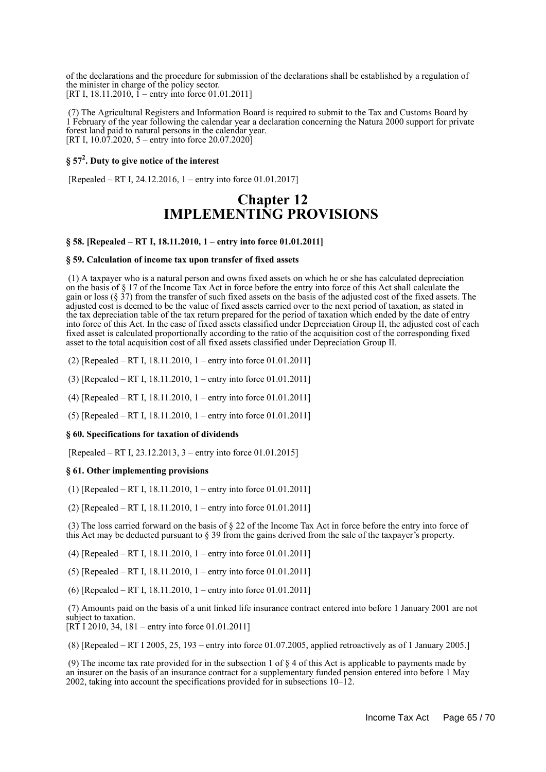of the declarations and the procedure for submission of the declarations shall be established by a regulation of the minister in charge of the policy sector. [RT I, 18.11.2010,  $\tilde{I}$  – entry into force 01.01.2011]

 (7) The Agricultural Registers and Information Board is required to submit to the Tax and Customs Board by 1 February of the year following the calendar year a declaration concerning the Natura 2000 support for private forest land paid to natural persons in the calendar year. [RT I,  $10.07.2020$ , 5 – entry into force  $20.07.2020$ ]

## **§ 57<sup>2</sup> . Duty to give notice of the interest**

[Repealed – RT I, 24.12.2016, 1 – entry into force 01.01.2017]

## **Chapter 12 IMPLEMENTING PROVISIONS**

#### **§ 58. [Repealed – RT I, 18.11.2010, 1 – entry into force 01.01.2011]**

#### **§ 59. Calculation of income tax upon transfer of fixed assets**

 (1) A taxpayer who is a natural person and owns fixed assets on which he or she has calculated depreciation on the basis of § 17 of the Income Tax Act in force before the entry into force of this Act shall calculate the gain or loss (§ 37) from the transfer of such fixed assets on the basis of the adjusted cost of the fixed assets. The adjusted cost is deemed to be the value of fixed assets carried over to the next period of taxation, as stated in the tax depreciation table of the tax return prepared for the period of taxation which ended by the date of entry into force of this Act. In the case of fixed assets classified under Depreciation Group II, the adjusted cost of each fixed asset is calculated proportionally according to the ratio of the acquisition cost of the corresponding fixed asset to the total acquisition cost of all fixed assets classified under Depreciation Group II.

(2) [Repealed – RT I, 18.11.2010, 1 – entry into force 01.01.2011]

(3) [Repealed – RT I, 18.11.2010, 1 – entry into force 01.01.2011]

(4) [Repealed – RT I, 18.11.2010, 1 – entry into force 01.01.2011]

(5) [Repealed – RT I, 18.11.2010, 1 – entry into force 01.01.2011]

#### **§ 60. Specifications for taxation of dividends**

[Repealed – RT I, 23.12.2013, 3 – entry into force 01.01.2015]

#### **§ 61. Other implementing provisions**

(1) [Repealed – RT I, 18.11.2010, 1 – entry into force 01.01.2011]

(2) [Repealed – RT I, 18.11.2010, 1 – entry into force 01.01.2011]

 (3) The loss carried forward on the basis of § 22 of the Income Tax Act in force before the entry into force of this Act may be deducted pursuant to § 39 from the gains derived from the sale of the taxpayer's property.

(4) [Repealed – RT I, 18.11.2010, 1 – entry into force 01.01.2011]

(5) [Repealed – RT I, 18.11.2010, 1 – entry into force 01.01.2011]

(6) [Repealed – RT I, 18.11.2010, 1 – entry into force 01.01.2011]

 (7) Amounts paid on the basis of a unit linked life insurance contract entered into before 1 January 2001 are not subject to taxation.

 $[RT^2]$  I 2010, 34, 181 – entry into force 01.01.2011]

(8) [Repealed – RT I 2005, 25, 193 – entry into force 01.07.2005, applied retroactively as of 1 January 2005.]

 (9) The income tax rate provided for in the subsection 1 of § 4 of this Act is applicable to payments made by an insurer on the basis of an insurance contract for a supplementary funded pension entered into before 1 May 2002, taking into account the specifications provided for in subsections 10–12.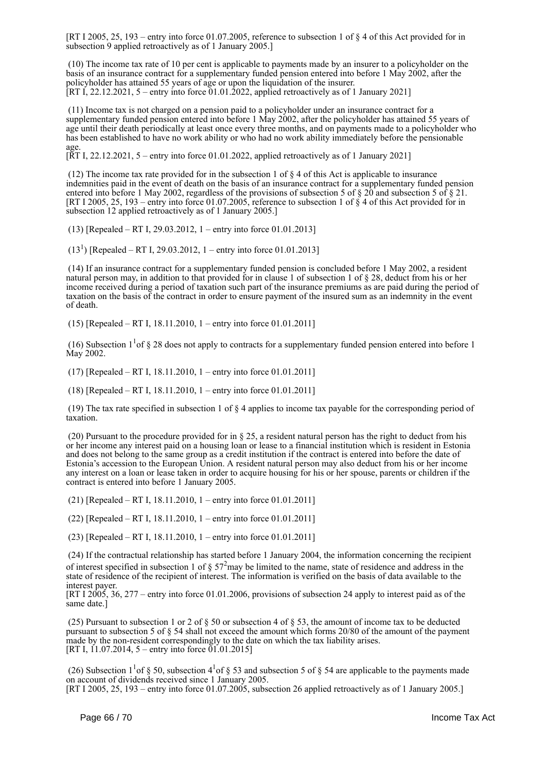[RT I 2005, 25, 193 – entry into force 01.07.2005, reference to subsection 1 of § 4 of this Act provided for in subsection 9 applied retroactively as of 1 January 2005.]

 (10) The income tax rate of 10 per cent is applicable to payments made by an insurer to a policyholder on the basis of an insurance contract for a supplementary funded pension entered into before 1 May 2002, after the policyholder has attained 55 years of age or upon the liquidation of the insurer. [RT I, 22.12.2021, 5 – entry into force 01.01.2022, applied retroactively as of 1 January 2021]

 (11) Income tax is not charged on a pension paid to a policyholder under an insurance contract for a supplementary funded pension entered into before 1 May 2002, after the policyholder has attained 55 years of age until their death periodically at least once every three months, and on payments made to a policyholder who has been established to have no work ability or who had no work ability immediately before the pensionable age.

[RT I, 22.12.2021, 5 – entry into force 01.01.2022, applied retroactively as of 1 January 2021]

 (12) The income tax rate provided for in the subsection 1 of § 4 of this Act is applicable to insurance indemnities paid in the event of death on the basis of an insurance contract for a supplementary funded pension entered into before 1 May 2002, regardless of the provisions of subsection 5 of § 20 and subsection 5 of § 21. [RT I 2005, 25, 193 – entry into force 01.07.2005, reference to subsection 1 of  $\S$  4 of this Act provided for in subsection 12 applied retroactively as of 1 January 2005.]

(13) [Repealed – RT I, 29.03.2012, 1 – entry into force 01.01.2013]

 $(13<sup>1</sup>)$  [Repealed – RT I, 29.03.2012, 1 – entry into force 01.01.2013]

 (14) If an insurance contract for a supplementary funded pension is concluded before 1 May 2002, a resident natural person may, in addition to that provided for in clause 1 of subsection 1 of § 28, deduct from his or her income received during a period of taxation such part of the insurance premiums as are paid during the period of taxation on the basis of the contract in order to ensure payment of the insured sum as an indemnity in the event of death.

(15) [Repealed – RT I, 18.11.2010, 1 – entry into force 01.01.2011]

(16) Subsection  $1<sup>1</sup>$  of § 28 does not apply to contracts for a supplementary funded pension entered into before 1 May 2002.

(17) [Repealed – RT I, 18.11.2010, 1 – entry into force 01.01.2011]

(18) [Repealed – RT I, 18.11.2010, 1 – entry into force 01.01.2011]

 (19) The tax rate specified in subsection 1 of § 4 applies to income tax payable for the corresponding period of taxation.

 (20) Pursuant to the procedure provided for in § 25, a resident natural person has the right to deduct from his or her income any interest paid on a housing loan or lease to a financial institution which is resident in Estonia and does not belong to the same group as a credit institution if the contract is entered into before the date of Estonia's accession to the European Union. A resident natural person may also deduct from his or her income any interest on a loan or lease taken in order to acquire housing for his or her spouse, parents or children if the contract is entered into before 1 January 2005.

(21) [Repealed – RT I, 18.11.2010, 1 – entry into force 01.01.2011]

(22) [Repealed – RT I, 18.11.2010, 1 – entry into force 01.01.2011]

(23) [Repealed – RT I, 18.11.2010, 1 – entry into force 01.01.2011]

 (24) If the contractual relationship has started before 1 January 2004, the information concerning the recipient of interest specified in subsection 1 of  $\S 57<sup>2</sup>$  may be limited to the name, state of residence and address in the state of residence of the recipient of interest. The information is verified on the basis of data available to the interest payer.

[RT I 2005, 36, 277 – entry into force 01.01.2006, provisions of subsection 24 apply to interest paid as of the same date.]

(25) Pursuant to subsection 1 or 2 of  $\S$  50 or subsection 4 of  $\S$  53, the amount of income tax to be deducted pursuant to subsection 5 of § 54 shall not exceed the amount which forms 20/80 of the amount of the payment made by the non-resident correspondingly to the date on which the tax liability arises. [RT I, 11.07.2014, 5 – entry into force  $01.01.2015$ ]

(26) Subsection  $1<sup>1</sup>$  of § 50, subsection  $4<sup>1</sup>$  of § 53 and subsection 5 of § 54 are applicable to the payments made on account of dividends received since 1 January 2005.

[RT I 2005, 25, 193 – entry into force 01.07.2005, subsection 26 applied retroactively as of 1 January 2005.]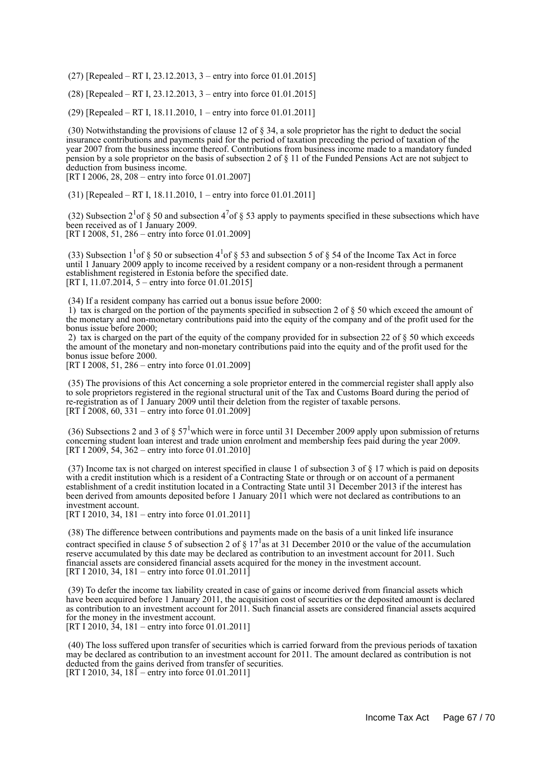(27) [Repealed – RT I, 23.12.2013, 3 – entry into force 01.01.2015]

(28) [Repealed – RT I, 23.12.2013, 3 – entry into force 01.01.2015]

(29) [Repealed – RT I, 18.11.2010, 1 – entry into force 01.01.2011]

 (30) Notwithstanding the provisions of clause 12 of § 34, a sole proprietor has the right to deduct the social insurance contributions and payments paid for the period of taxation preceding the period of taxation of the year 2007 from the business income thereof. Contributions from business income made to a mandatory funded pension by a sole proprietor on the basis of subsection 2 of § 11 of the Funded Pensions Act are not subject to deduction from business income.

[RT I 2006, 28, 208 – entry into force 01.01.2007]

(31) [Repealed – RT I, 18.11.2010, 1 – entry into force 01.01.2011]

(32) Subsection  $2^{1}$  of § 50 and subsection  $4^{7}$  of § 53 apply to payments specified in these subsections which have been received as of 1 January 2009. [RT I 2008, 51, 286 – entry into force 01.01.2009]

(33) Subsection  $1<sup>1</sup>$  of § 50 or subsection 4<sup>1</sup> of § 53 and subsection 5 of § 54 of the Income Tax Act in force until 1 January 2009 apply to income received by a resident company or a non-resident through a permanent establishment registered in Estonia before the specified date. [RT I, 11.07.2014, 5 – entry into force 01.01.2015]

(34) If a resident company has carried out a bonus issue before 2000:

1) tax is charged on the portion of the payments specified in subsection 2 of  $\S$  50 which exceed the amount of the monetary and non-monetary contributions paid into the equity of the company and of the profit used for the bonus issue before 2000;

 2) tax is charged on the part of the equity of the company provided for in subsection 22 of § 50 which exceeds the amount of the monetary and non-monetary contributions paid into the equity and of the profit used for the bonus issue before 2000.

[RT I 2008, 51, 286 – entry into force 01.01.2009]

 (35) The provisions of this Act concerning a sole proprietor entered in the commercial register shall apply also to sole proprietors registered in the regional structural unit of the Tax and Customs Board during the period of re-registration as of 1 January 2009 until their deletion from the register of taxable persons. [RT I 2008, 60, 331 – entry into force 01.01.2009]

(36) Subsections 2 and 3 of  $\S 57^1$  which were in force until 31 December 2009 apply upon submission of returns concerning student loan interest and trade union enrolment and membership fees paid during the year 2009. [RT I 2009, 54, 362 – entry into force 01.01.2010]

 (37) Income tax is not charged on interest specified in clause 1 of subsection 3 of § 17 which is paid on deposits with a credit institution which is a resident of a Contracting State or through or on account of a permanent establishment of a credit institution located in a Contracting State until 31 December 2013 if the interest has been derived from amounts deposited before 1 January 2011 which were not declared as contributions to an investment account.

[RT I 2010, 34, 181 – entry into force 01.01.2011]

 (38) The difference between contributions and payments made on the basis of a unit linked life insurance contract specified in clause 5 of subsection 2 of  $\S 17<sup>1</sup>$  as at 31 December 2010 or the value of the accumulation reserve accumulated by this date may be declared as contribution to an investment account for 2011. Such financial assets are considered financial assets acquired for the money in the investment account. [RT I 2010, 34, 181 – entry into force 01.01.2011]

 (39) To defer the income tax liability created in case of gains or income derived from financial assets which have been acquired before 1 January 2011, the acquisition cost of securities or the deposited amount is declared as contribution to an investment account for 2011. Such financial assets are considered financial assets acquired for the money in the investment account. [RT I 2010, 34, 181 – entry into force 01.01.2011]

 (40) The loss suffered upon transfer of securities which is carried forward from the previous periods of taxation may be declared as contribution to an investment account for 2011. The amount declared as contribution is not deducted from the gains derived from transfer of securities. [RT I 2010, 34,  $181$  – entry into force 01.01.2011]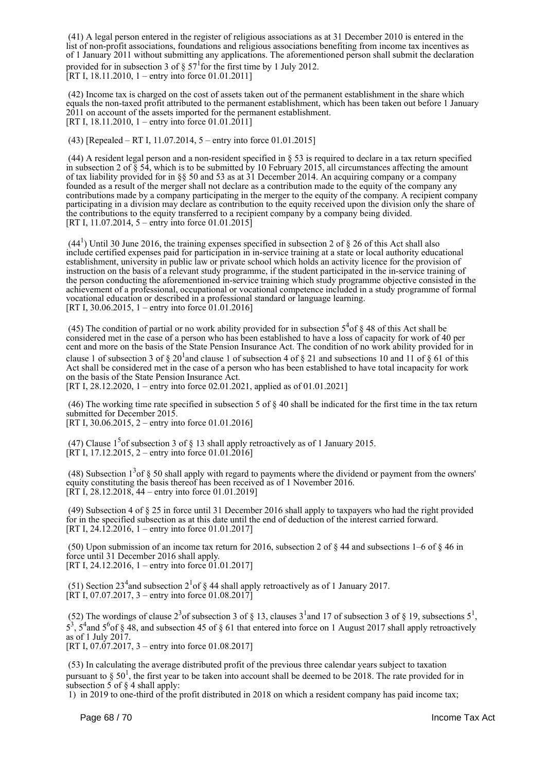(41) A legal person entered in the register of religious associations as at 31 December 2010 is entered in the list of non-profit associations, foundations and religious associations benefiting from income tax incentives as of 1 January 2011 without submitting any applications. The aforementioned person shall submit the declaration provided for in subsection 3 of  $\S 57<sup>1</sup>$  for the first time by 1 July 2012. [RT I, 18.11.2010, 1 – entry into force 01.01.2011]

 (42) Income tax is charged on the cost of assets taken out of the permanent establishment in the share which equals the non-taxed profit attributed to the permanent establishment, which has been taken out before 1 January 2011 on account of the assets imported for the permanent establishment. [RT I, 18.11.2010, 1 – entry into force 01.01.2011]

(43) [Repealed – RT I, 11.07.2014, 5 – entry into force 01.01.2015]

 (44) A resident legal person and a non-resident specified in § 53 is required to declare in a tax return specified in subsection 2 of  $\S$  54, which is to be submitted by 10 February 2015, all circumstances affecting the amount of tax liability provided for in §§ 50 and 53 as at 31 December 2014. An acquiring company or a company founded as a result of the merger shall not declare as a contribution made to the equity of the company any contributions made by a company participating in the merger to the equity of the company. A recipient company participating in a division may declare as contribution to the equity received upon the division only the share of the contributions to the equity transferred to a recipient company by a company being divided. [RT I, 11.07.2014, 5 – entry into force 01.01.2015]

 $(44<sup>1</sup>)$  Until 30 June 2016, the training expenses specified in subsection 2 of § 26 of this Act shall also include certified expenses paid for participation in in-service training at a state or local authority educational establishment, university in public law or private school which holds an activity licence for the provision of instruction on the basis of a relevant study programme, if the student participated in the in-service training of the person conducting the aforementioned in-service training which study programme objective consisted in the achievement of a professional, occupational or vocational competence included in a study programme of formal vocational education or described in a professional standard or language learning. [RT I, 30.06.2015, 1 – entry into force  $01.01.2016$ ]

(45) The condition of partial or no work ability provided for in subsection  $5<sup>4</sup>$ of § 48 of this Act shall be considered met in the case of a person who has been established to have a loss of capacity for work of 40 per cent and more on the basis of the State Pension Insurance Act. The condition of no work ability provided for in clause 1 of subsection 3 of  $\S 20^1$  and clause 1 of subsection 4 of  $\S 21$  and subsections 10 and 11 of  $\S 61$  of this Act shall be considered met in the case of a person who has been established to have total incapacity for work on the basis of the State Pension Insurance Act.

[RT I, 28.12.2020, 1 – entry into force 02.01.2021, applied as of 01.01.2021]

 (46) The working time rate specified in subsection 5 of § 40 shall be indicated for the first time in the tax return submitted for December 2015.

[RT I, 30.06.2015, 2 – entry into force 01.01.2016]

(47) Clause  $1<sup>5</sup>$  of subsection 3 of § 13 shall apply retroactively as of 1 January 2015.  $[RT1, 17.12.2015, 2 - entry into force 01.01.2016]$ 

(48) Subsection  $1<sup>3</sup>$  of § 50 shall apply with regard to payments where the dividend or payment from the owners' equity constituting the basis thereof has been received as of 1 November 2016.  $[RT I, 28.12.2018, 44 - entry into force 01.01.2019]$ 

 (49) Subsection 4 of § 25 in force until 31 December 2016 shall apply to taxpayers who had the right provided for in the specified subsection as at this date until the end of deduction of the interest carried forward. [RT I, 24.12.2016, 1 – entry into force 01.01.2017]

(50) Upon submission of an income tax return for 2016, subsection 2 of  $\S$  44 and subsections 1–6 of  $\S$  46 in force until 31 December 2016 shall apply. [RT I, 24.12.2016, 1 – entry into force 01.01.2017]

(51) Section  $23<sup>4</sup>$  and subsection  $2<sup>1</sup>$  of § 44 shall apply retroactively as of 1 January 2017.  $[\overline{RT}I, 07.07.2017, 3 -$  entry into force 01.08.2017]

(52) The wordings of clause  $2<sup>3</sup>$  of subsection 3 of § 13, clauses  $3<sup>1</sup>$  and 17 of subsection 3 of § 19, subsections  $5<sup>1</sup>$ ,  $5^3$ ,  $5^4$  and  $5^6$  of § 48, and subsection 45 of § 61 that entered into force on 1 August 2017 shall apply retroactively as of  $1$  July  $2017$ . [RT I, 07.07.2017, 3 – entry into force 01.08.2017]

 (53) In calculating the average distributed profit of the previous three calendar years subject to taxation pursuant to  $\S 50<sup>1</sup>$ , the first year to be taken into account shall be deemed to be 2018. The rate provided for in subsection 5 of  $\S$  4 shall apply:

1) in 2019 to one-third of the profit distributed in 2018 on which a resident company has paid income tax;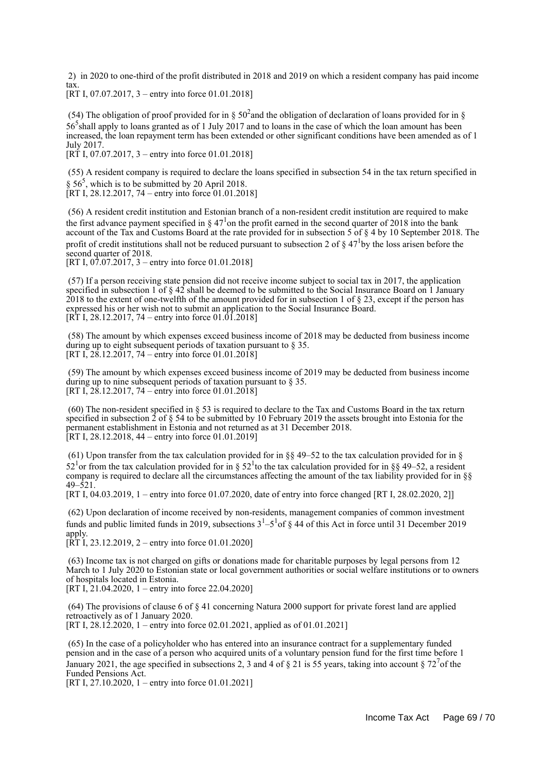2) in 2020 to one-third of the profit distributed in 2018 and 2019 on which a resident company has paid income tax.

[RT I, 07.07.2017, 3 – entry into force 01.01.2018]

(54) The obligation of proof provided for in §  $50<sup>2</sup>$  and the obligation of declaration of loans provided for in § 56<sup>5</sup> shall apply to loans granted as of 1 July 2017 and to loans in the case of which the loan amount has been increased, the loan repayment term has been extended or other significant conditions have been amended as of 1 July 2017.

[RT I, 07.07.2017, 3 – entry into force 01.01.2018]

 (55) A resident company is required to declare the loans specified in subsection 54 in the tax return specified in  $\S$  56<sup>5</sup>, which is to be submitted by 20 April 2018. [RT I, 28.12.2017, 74 – entry into force 01.01.2018]

 (56) A resident credit institution and Estonian branch of a non-resident credit institution are required to make the first advance payment specified in  $\S 47<sup>1</sup>$ on the profit earned in the second quarter of 2018 into the bank account of the Tax and Customs Board at the rate provided for in subsection 5 of § 4 by 10 September 2018. The profit of credit institutions shall not be reduced pursuant to subsection 2 of  $\S 47^1$ by the loss arisen before the second quarter of 2018.

[RT I,  $07.07.2017$ , 3 – entry into force 01.01.2018]

 (57) If a person receiving state pension did not receive income subject to social tax in 2017, the application specified in subsection 1 of  $\S$  42 shall be deemed to be submitted to the Social Insurance Board on 1 January 2018 to the extent of one-twelfth of the amount provided for in subsection 1 of § 23, except if the person has expressed his or her wish not to submit an application to the Social Insurance Board. [RT I, 28.12.2017, 74 – entry into force 01.01.2018]

 (58) The amount by which expenses exceed business income of 2018 may be deducted from business income during up to eight subsequent periods of taxation pursuant to § 35. [RT I,  $2\dot{8}$ .12.2017, 74 – entry into force 01.01.2018]

 (59) The amount by which expenses exceed business income of 2019 may be deducted from business income during up to nine subsequent periods of taxation pursuant to § 35. [RT I,  $28.12.2017$ ,  $74 -$ entry into force 01.01.2018]

 (60) The non-resident specified in § 53 is required to declare to the Tax and Customs Board in the tax return specified in subsection  $\hat{2}$  of  $\S$  54 to be submitted by 10 February 2019 the assets brought into Estonia for the permanent establishment in Estonia and not returned as at 31 December 2018.  $[RT I, 28.12.2018, 44 - entry into force 01.01.2019]$ 

(61) Upon transfer from the tax calculation provided for in §§ 49–52 to the tax calculation provided for in § 52<sup>1</sup> or from the tax calculation provided for in § 52<sup>1</sup> to the tax calculation provided for in §§ 49–52, a resident company is required to declare all the circumstances affecting the amount of the tax liability provided for in §§ 49–521.

[RT I, 04.03.2019, 1 – entry into force 01.07.2020, date of entry into force changed [RT I, 28.02.2020, 2]]

 (62) Upon declaration of income received by non-residents, management companies of common investment funds and public limited funds in 2019, subsections  $3<sup>1</sup>-5<sup>1</sup>$  of § 44 of this Act in force until 31 December 2019 apply.

 $[\overline{RT} \overline{I}, 23.12.2019, 2 -$  entry into force 01.01.2020]

 (63) Income tax is not charged on gifts or donations made for charitable purposes by legal persons from 12 March to 1 July 2020 to Estonian state or local government authorities or social welfare institutions or to owners of hospitals located in Estonia. [RT I,  $21.04.2020$ , 1 – entry into force 22.04.2020]

 (64) The provisions of clause 6 of § 41 concerning Natura 2000 support for private forest land are applied retroactively as of 1 January 2020. [RT I, 28.12.2020, 1 – entry into force 02.01.2021, applied as of 01.01.2021]

 (65) In the case of a policyholder who has entered into an insurance contract for a supplementary funded pension and in the case of a person who acquired units of a voluntary pension fund for the first time before 1 January 2021, the age specified in subsections 2, 3 and 4 of  $\S$  21 is 55 years, taking into account  $\S$  72<sup>7</sup> of the Funded Pensions Act.

[RT I, 27.10.2020, 1 – entry into force 01.01.2021]